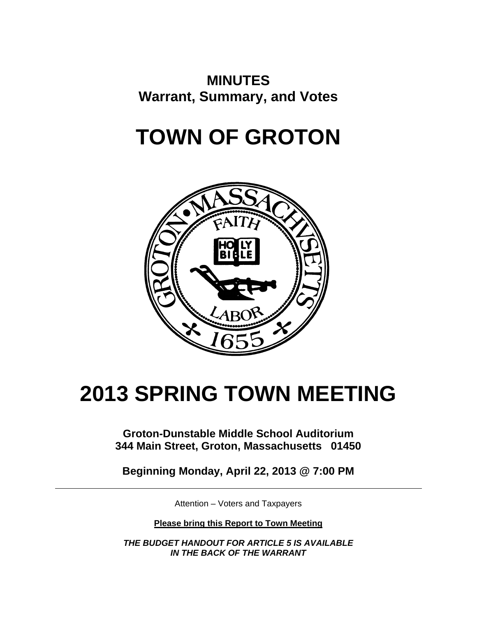# **MINUTES Warrant, Summary, and Votes**

# **TOWN OF GROTON**



# **2013 SPRING TOWN MEETING**

**Groton-Dunstable Middle School Auditorium 344 Main Street, Groton, Massachusetts 01450** 

**Beginning Monday, April 22, 2013 @ 7:00 PM** 

Attention – Voters and Taxpayers

**Please bring this Report to Town Meeting** 

*THE BUDGET HANDOUT FOR ARTICLE 5 IS AVAILABLE IN THE BACK OF THE WARRANT*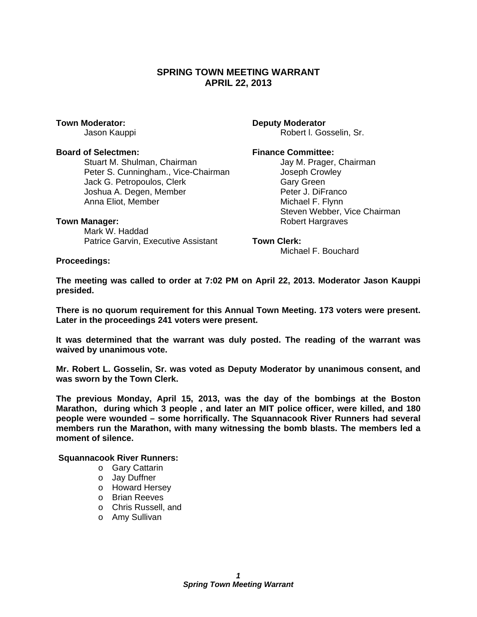### **SPRING TOWN MEETING WARRANT APRIL 22, 2013**

**Town Moderator: Deputy Moderator** 

#### **Board of Selectmen:** The Selectment Selectment Selectment Selectment Selection Selection Selection Selection Selection Selection Selection Selection Selection Selection Selection Selection Selection Selection Selection Se

Stuart M. Shulman, Chairman **Jay M. Prager, Chairman** Peter S. Cunningham., Vice-Chairman *Joseph Crowley* Jack G. Petropoulos, Clerk **Gary Green** Joshua A. Degen, Member **Peter J. DiFranco**<br>Anna Eliot. Member **Peter J. DiFranco**<br>Michael F. Flynn Anna Eliot, Member

 Mark W. Haddad Patrice Garvin, Executive Assistant **Town Clerk:** 

Jason Kauppi **Robert I. Gosselin, Sr.** Robert I. Gosselin, Sr.

 Steven Webber, Vice Chairman **Town Manager:** Town Manager: **Robert Hargraves** 

Michael F. Bouchard

**Proceedings:** 

**The meeting was called to order at 7:02 PM on April 22, 2013. Moderator Jason Kauppi presided.** 

**There is no quorum requirement for this Annual Town Meeting. 173 voters were present. Later in the proceedings 241 voters were present.** 

**It was determined that the warrant was duly posted. The reading of the warrant was waived by unanimous vote.** 

**Mr. Robert L. Gosselin, Sr. was voted as Deputy Moderator by unanimous consent, and was sworn by the Town Clerk.** 

**The previous Monday, April 15, 2013, was the day of the bombings at the Boston Marathon, during which 3 people , and later an MIT police officer, were killed, and 180 people were wounded – some horrifically. The Squannacook River Runners had several members run the Marathon, with many witnessing the bomb blasts. The members led a moment of silence.** 

 **Squannacook River Runners:** 

- o Gary Cattarin
- o Jay Duffner
- o Howard Hersey
- o Brian Reeves
- o Chris Russell, and
- o Amy Sullivan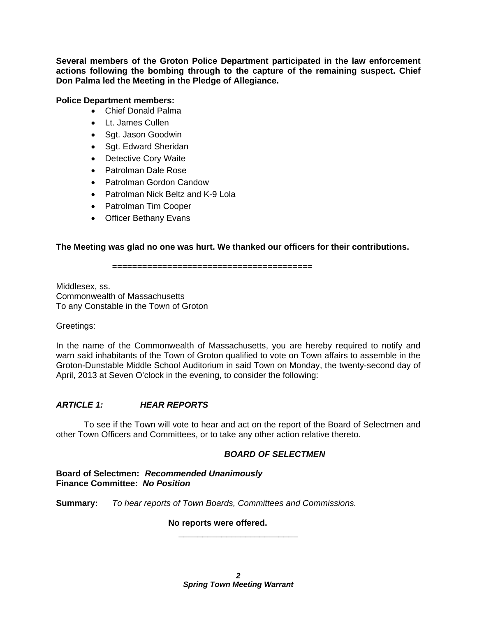**Several members of the Groton Police Department participated in the law enforcement actions following the bombing through to the capture of the remaining suspect. Chief Don Palma led the Meeting in the Pledge of Allegiance.** 

#### **Police Department members:**

- Chief Donald Palma
- Lt. James Cullen
- Sgt. Jason Goodwin
- Sgt. Edward Sheridan
- Detective Cory Waite
- Patrolman Dale Rose
- Patrolman Gordon Candow
- Patrolman Nick Beltz and K-9 Lola
- Patrolman Tim Cooper
- Officer Bethany Evans

#### **The Meeting was glad no one was hurt. We thanked our officers for their contributions.**

========================================

Middlesex, ss. Commonwealth of Massachusetts To any Constable in the Town of Groton

Greetings:

In the name of the Commonwealth of Massachusetts, you are hereby required to notify and warn said inhabitants of the Town of Groton qualified to vote on Town affairs to assemble in the Groton-Dunstable Middle School Auditorium in said Town on Monday, the twenty-second day of April, 2013 at Seven O'clock in the evening, to consider the following:

#### *ARTICLE 1: HEAR REPORTS*

 To see if the Town will vote to hear and act on the report of the Board of Selectmen and other Town Officers and Committees, or to take any other action relative thereto.

#### *BOARD OF SELECTMEN*

**Board of Selectmen:** *Recommended Unanimously*  **Finance Committee:** *No Position*

**Summary:** *To hear reports of Town Boards, Committees and Commissions.* 

#### **No reports were offered.**

\_\_\_\_\_\_\_\_\_\_\_\_\_\_\_\_\_\_\_\_\_\_\_\_\_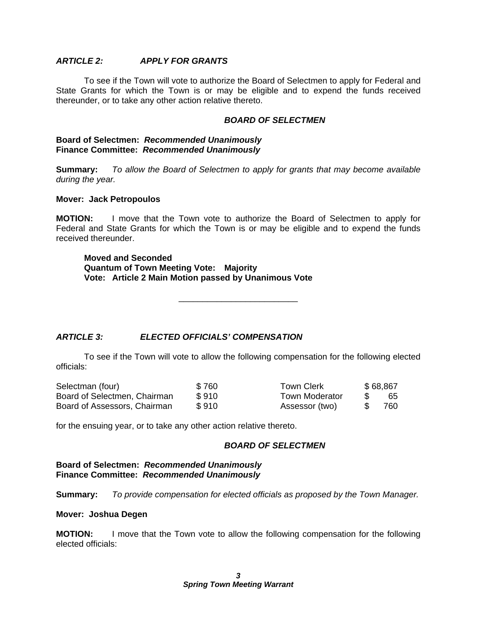### *ARTICLE 2: APPLY FOR GRANTS*

 To see if the Town will vote to authorize the Board of Selectmen to apply for Federal and State Grants for which the Town is or may be eligible and to expend the funds received thereunder, or to take any other action relative thereto.

#### *BOARD OF SELECTMEN*

#### **Board of Selectmen:** *Recommended Unanimously* **Finance Committee:** *Recommended Unanimously*

**Summary:** *To allow the Board of Selectmen to apply for grants that may become available during the year.* 

#### **Mover: Jack Petropoulos**

**MOTION:** I move that the Town vote to authorize the Board of Selectmen to apply for Federal and State Grants for which the Town is or may be eligible and to expend the funds received thereunder.

#### **Moved and Seconded Quantum of Town Meeting Vote: Majority Vote: Article 2 Main Motion passed by Unanimous Vote**

\_\_\_\_\_\_\_\_\_\_\_\_\_\_\_\_\_\_\_\_\_\_\_\_\_

#### *ARTICLE 3: ELECTED OFFICIALS' COMPENSATION*

 To see if the Town will vote to allow the following compensation for the following elected officials:

| Selectman (four)             | \$760 | Town Clerk            | \$68,867 |
|------------------------------|-------|-----------------------|----------|
| Board of Selectmen, Chairman | \$910 | <b>Town Moderator</b> | -65      |
| Board of Assessors, Chairman | \$910 | Assessor (two)        | 760-     |

for the ensuing year, or to take any other action relative thereto.

#### *BOARD OF SELECTMEN*

**Board of Selectmen:** *Recommended Unanimously* **Finance Committee:** *Recommended Unanimously*

**Summary:** *To provide compensation for elected officials as proposed by the Town Manager.* 

#### **Mover: Joshua Degen**

**MOTION:** I move that the Town vote to allow the following compensation for the following elected officials: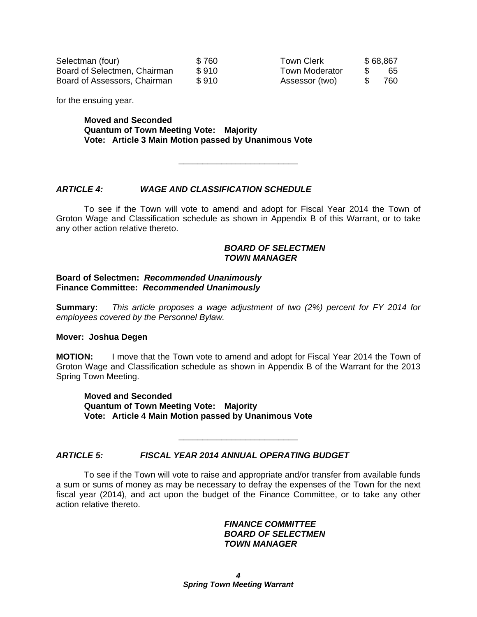| Selectman (four)             | \$760 |
|------------------------------|-------|
| Board of Selectmen, Chairman | \$910 |
| Board of Assessors, Chairman | \$910 |

Town Clerk  $$68,867$ Town Moderator \$ 65 Assessor (two) \$ 760

for the ensuing year.

**Moved and Seconded Quantum of Town Meeting Vote: Majority Vote: Article 3 Main Motion passed by Unanimous Vote** 

#### *ARTICLE 4: WAGE AND CLASSIFICATION SCHEDULE*

 To see if the Town will vote to amend and adopt for Fiscal Year 2014 the Town of Groton Wage and Classification schedule as shown in Appendix B of this Warrant, or to take any other action relative thereto.

\_\_\_\_\_\_\_\_\_\_\_\_\_\_\_\_\_\_\_\_\_\_\_\_\_

#### *BOARD OF SELECTMEN TOWN MANAGER*

#### **Board of Selectmen:** *Recommended Unanimously*  **Finance Committee:** *Recommended Unanimously*

**Summary:** *This article proposes a wage adjustment of two (2%) percent for FY 2014 for employees covered by the Personnel Bylaw.* 

#### **Mover: Joshua Degen**

**MOTION:** I move that the Town vote to amend and adopt for Fiscal Year 2014 the Town of Groton Wage and Classification schedule as shown in Appendix B of the Warrant for the 2013 Spring Town Meeting.

**Moved and Seconded Quantum of Town Meeting Vote: Majority Vote: Article 4 Main Motion passed by Unanimous Vote** 

#### *ARTICLE 5: FISCAL YEAR 2014 ANNUAL OPERATING BUDGET*

 To see if the Town will vote to raise and appropriate and/or transfer from available funds a sum or sums of money as may be necessary to defray the expenses of the Town for the next fiscal year (2014), and act upon the budget of the Finance Committee, or to take any other action relative thereto.

\_\_\_\_\_\_\_\_\_\_\_\_\_\_\_\_\_\_\_\_\_\_\_\_\_

#### *FINANCE COMMITTEE BOARD OF SELECTMEN TOWN MANAGER*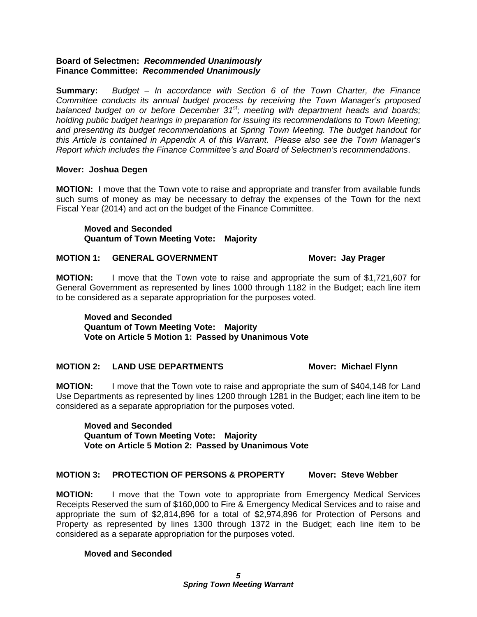#### **Board of Selectmen:** *Recommended Unanimously*  **Finance Committee:** *Recommended Unanimously*

**Summary:** *Budget – In accordance with Section 6 of the Town Charter, the Finance Committee conducts its annual budget process by receiving the Town Manager's proposed balanced budget on or before December 31st; meeting with department heads and boards; holding public budget hearings in preparation for issuing its recommendations to Town Meeting; and presenting its budget recommendations at Spring Town Meeting. The budget handout for this Article is contained in Appendix A of this Warrant. Please also see the Town Manager's Report which includes the Finance Committee's and Board of Selectmen's recommendations*.

#### **Mover: Joshua Degen**

**MOTION:** I move that the Town vote to raise and appropriate and transfer from available funds such sums of money as may be necessary to defray the expenses of the Town for the next Fiscal Year (2014) and act on the budget of the Finance Committee.

**Moved and Seconded Quantum of Town Meeting Vote: Majority** 

#### **MOTION 1: GENERAL GOVERNMENT MOTION 1: Mover: Jay Prager**

**MOTION:** I move that the Town vote to raise and appropriate the sum of \$1,721,607 for General Government as represented by lines 1000 through 1182 in the Budget; each line item to be considered as a separate appropriation for the purposes voted.

**Moved and Seconded Quantum of Town Meeting Vote: Majority Vote on Article 5 Motion 1: Passed by Unanimous Vote** 

#### **MOTION 2: LAND USE DEPARTMENTS MOTION 2: LAND USE DEPARTMENTS**

**MOTION:** I move that the Town vote to raise and appropriate the sum of \$404,148 for Land Use Departments as represented by lines 1200 through 1281 in the Budget; each line item to be considered as a separate appropriation for the purposes voted.

#### **Moved and Seconded Quantum of Town Meeting Vote: Majority Vote on Article 5 Motion 2: Passed by Unanimous Vote**

#### **MOTION 3: PROTECTION OF PERSONS & PROPERTY Mover: Steve Webber**

**MOTION:** I move that the Town vote to appropriate from Emergency Medical Services Receipts Reserved the sum of \$160,000 to Fire & Emergency Medical Services and to raise and appropriate the sum of \$2,814,896 for a total of \$2,974,896 for Protection of Persons and Property as represented by lines 1300 through 1372 in the Budget; each line item to be considered as a separate appropriation for the purposes voted.

#### **Moved and Seconded**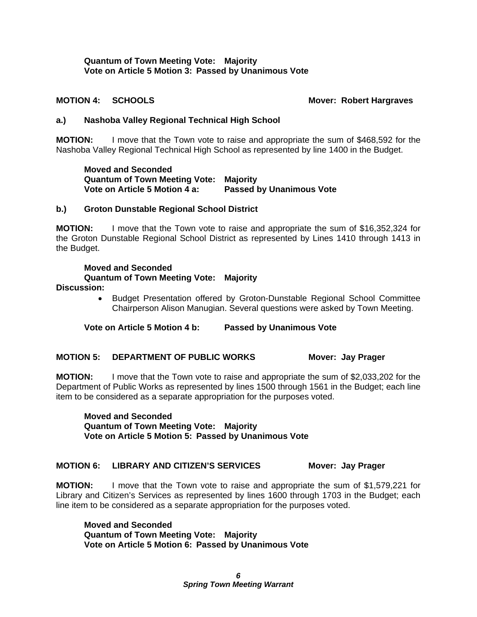#### **Quantum of Town Meeting Vote: Majority Vote on Article 5 Motion 3: Passed by Unanimous Vote**

**MOTION 4: SCHOOLS MOTION 4: SCHOOLS** 

#### **a.) Nashoba Valley Regional Technical High School**

**MOTION:** I move that the Town vote to raise and appropriate the sum of \$468,592 for the Nashoba Valley Regional Technical High School as represented by line 1400 in the Budget.

**Moved and Seconded Quantum of Town Meeting Vote: Majority Vote on Article 5 Motion 4 a: Passed by Unanimous Vote** 

#### **b.) Groton Dunstable Regional School District**

**MOTION:** I move that the Town vote to raise and appropriate the sum of \$16,352,324 for the Groton Dunstable Regional School District as represented by Lines 1410 through 1413 in the Budget.

#### **Moved and Seconded**

#### **Quantum of Town Meeting Vote: Majority**

**Discussion:** 

 Budget Presentation offered by Groton-Dunstable Regional School Committee Chairperson Alison Manugian. Several questions were asked by Town Meeting.

**Vote on Article 5 Motion 4 b: Passed by Unanimous Vote** 

#### **MOTION 5: DEPARTMENT OF PUBLIC WORKS Mover: Jay Prager**

**MOTION:** I move that the Town vote to raise and appropriate the sum of \$2,033,202 for the Department of Public Works as represented by lines 1500 through 1561 in the Budget; each line item to be considered as a separate appropriation for the purposes voted.

**Moved and Seconded Quantum of Town Meeting Vote: Majority Vote on Article 5 Motion 5: Passed by Unanimous Vote** 

#### **MOTION 6: LIBRARY AND CITIZEN'S SERVICES Mover: Jay Prager**

**MOTION:** I move that the Town vote to raise and appropriate the sum of \$1,579,221 for Library and Citizen's Services as represented by lines 1600 through 1703 in the Budget; each line item to be considered as a separate appropriation for the purposes voted.

**Moved and Seconded Quantum of Town Meeting Vote: Majority Vote on Article 5 Motion 6: Passed by Unanimous Vote**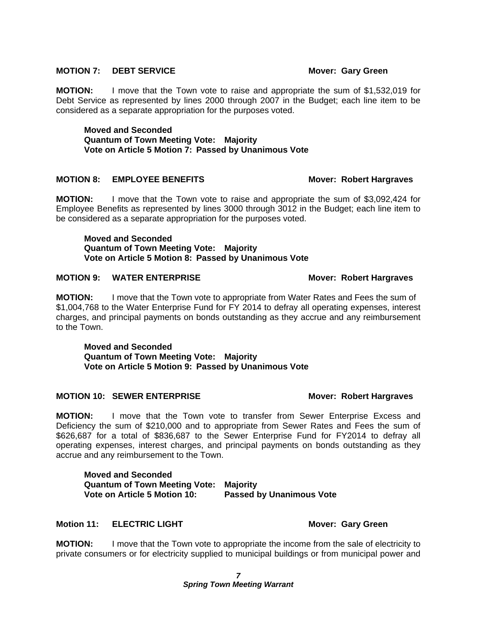#### **MOTION 7: DEBT SERVICE MOTION ASSESSED MOTION ASSESSED MOTION 7: 08 MOVER: Gary Green**

**MOTION:** I move that the Town vote to raise and appropriate the sum of \$1,532,019 for Debt Service as represented by lines 2000 through 2007 in the Budget; each line item to be considered as a separate appropriation for the purposes voted.

**Moved and Seconded Quantum of Town Meeting Vote: Majority Vote on Article 5 Motion 7: Passed by Unanimous Vote** 

#### **MOTION 8: EMPLOYEE BENEFITS MOTION 8: EMPLOYEE BENEFITS**

**MOTION:** I move that the Town vote to raise and appropriate the sum of \$3,092,424 for Employee Benefits as represented by lines 3000 through 3012 in the Budget; each line item to be considered as a separate appropriation for the purposes voted.

**Moved and Seconded Quantum of Town Meeting Vote: Majority Vote on Article 5 Motion 8: Passed by Unanimous Vote** 

#### **MOTION 9: WATER ENTERPRISE MOTION 9: WATER ENTERPRISE**

**MOTION:** I move that the Town vote to appropriate from Water Rates and Fees the sum of \$1,004,768 to the Water Enterprise Fund for FY 2014 to defray all operating expenses, interest charges, and principal payments on bonds outstanding as they accrue and any reimbursement to the Town.

**Moved and Seconded Quantum of Town Meeting Vote: Majority Vote on Article 5 Motion 9: Passed by Unanimous Vote** 

#### **MOTION 10: SEWER ENTERPRISE MOTION 10: SEWER ENTERPRISE**

**MOTION:** I move that the Town vote to transfer from Sewer Enterprise Excess and Deficiency the sum of \$210,000 and to appropriate from Sewer Rates and Fees the sum of \$626,687 for a total of \$836,687 to the Sewer Enterprise Fund for FY2014 to defray all operating expenses, interest charges, and principal payments on bonds outstanding as they accrue and any reimbursement to the Town.

**Moved and Seconded Quantum of Town Meeting Vote: Majority Vote on Article 5 Motion 10: Passed by Unanimous Vote** 

#### **Motion 11: ELECTRIC LIGHT Mover: Gary Green**

**MOTION:** I move that the Town vote to appropriate the income from the sale of electricity to private consumers or for electricity supplied to municipal buildings or from municipal power and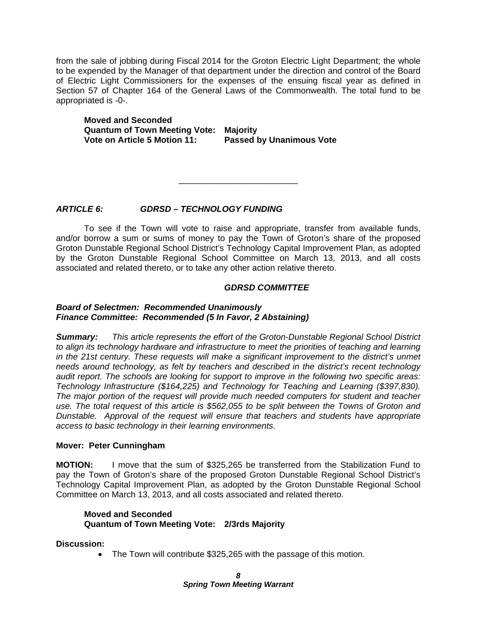from the sale of jobbing during Fiscal 2014 for the Groton Electric Light Department; the whole to be expended by the Manager of that department under the direction and control of the Board of Electric Light Commissioners for the expenses of the ensuing fiscal year as defined in Section 57 of Chapter 164 of the General Laws of the Commonwealth. The total fund to be appropriated is -0-.

**Moved and Seconded Quantum of Town Meeting Vote: Majority Vote on Article 5 Motion 11: Passed by Unanimous Vote** 

### *ARTICLE 6: GDRSD – TECHNOLOGY FUNDING*

 To see if the Town will vote to raise and appropriate, transfer from available funds, and/or borrow a sum or sums of money to pay the Town of Groton's share of the proposed Groton Dunstable Regional School District's Technology Capital Improvement Plan, as adopted by the Groton Dunstable Regional School Committee on March 13, 2013, and all costs associated and related thereto, or to take any other action relative thereto.

\_\_\_\_\_\_\_\_\_\_\_\_\_\_\_\_\_\_\_\_\_\_\_\_\_

#### *GDRSD COMMITTEE*

#### *Board of Selectmen: Recommended Unanimously Finance Committee: Recommended (5 In Favor, 2 Abstaining)*

*Summary: This article represents the effort of the Groton-Dunstable Regional School District*  to align its technology hardware and infrastructure to meet the priorities of teaching and learning *in the 21st century. These requests will make a significant improvement to the district's unmet needs around technology, as felt by teachers and described in the district's recent technology audit report. The schools are looking for support to improve in the following two specific areas: Technology Infrastructure (\$164,225) and Technology for Teaching and Learning (\$397,830). The major portion of the request will provide much needed computers for student and teacher use. The total request of this article is \$562,055 to be split between the Towns of Groton and Dunstable. Approval of the request will ensure that teachers and students have appropriate access to basic technology in their learning environments.* 

#### **Mover: Peter Cunningham**

**MOTION:** I move that the sum of \$325,265 be transferred from the Stabilization Fund to pay the Town of Groton's share of the proposed Groton Dunstable Regional School District's Technology Capital Improvement Plan, as adopted by the Groton Dunstable Regional School Committee on March 13, 2013, and all costs associated and related thereto.

#### **Moved and Seconded Quantum of Town Meeting Vote: 2/3rds Majority**

**Discussion:** 

• The Town will contribute \$325,265 with the passage of this motion.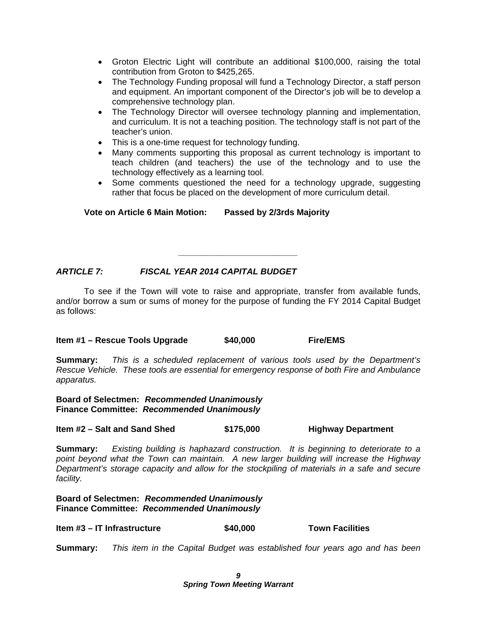- Groton Electric Light will contribute an additional \$100,000, raising the total contribution from Groton to \$425,265.
- The Technology Funding proposal will fund a Technology Director, a staff person and equipment. An important component of the Director's job will be to develop a comprehensive technology plan.
- The Technology Director will oversee technology planning and implementation, and curriculum. It is not a teaching position. The technology staff is not part of the teacher's union.
- This is a one-time request for technology funding.
- Many comments supporting this proposal as current technology is important to teach children (and teachers) the use of the technology and to use the technology effectively as a learning tool.
- Some comments questioned the need for a technology upgrade, suggesting rather that focus be placed on the development of more curriculum detail.

### **Vote on Article 6 Main Motion: Passed by 2/3rds Majority**

### *ARTICLE 7: FISCAL YEAR 2014 CAPITAL BUDGET*

 To see if the Town will vote to raise and appropriate, transfer from available funds, and/or borrow a sum or sums of money for the purpose of funding the FY 2014 Capital Budget as follows:

*\_\_\_\_\_\_\_\_\_\_\_\_\_\_\_\_\_\_\_\_\_\_\_\_\_* 

#### **Item #1 – Rescue Tools Upgrade**  $$40,000$  **Fire/EMS**

**Summary:** *This is a scheduled replacement of various tools used by the Department's Rescue Vehicle. These tools are essential for emergency response of both Fire and Ambulance apparatus.*

**Board of Selectmen:** *Recommended Unanimously*  **Finance Committee:** *Recommended Unanimously*

**Item #2 – Salt and Sand Shed \$175,000 Highway Department** 

**Summary:** *Existing building is haphazard construction. It is beginning to deteriorate to a point beyond what the Town can maintain. A new larger building will increase the Highway Department's storage capacity and allow for the stockpiling of materials in a safe and secure facility.* 

**Board of Selectmen:** *Recommended Unanimously* **Finance Committee:** *Recommended Unanimously*

**Item #3 – IT Infrastructure**  $\qquad$  **\$40,000** Town Facilities

**Summary:** *This item in the Capital Budget was established four years ago and has been*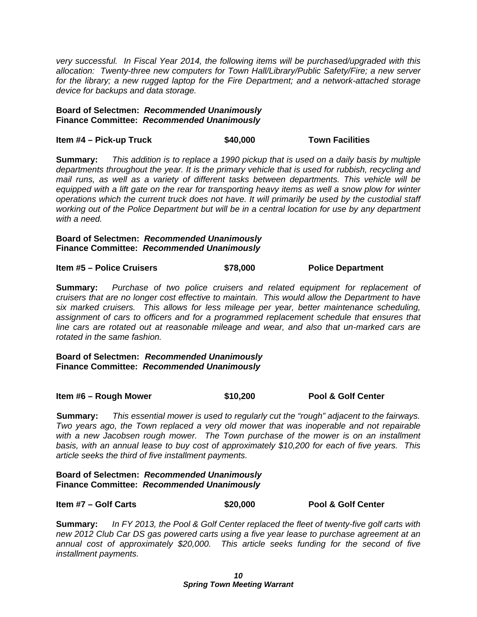*very successful. In Fiscal Year 2014, the following items will be purchased/upgraded with this allocation: Twenty-three new computers for Town Hall/Library/Public Safety/Fire; a new server for the library; a new rugged laptop for the Fire Department; and a network-attached storage device for backups and data storage.* 

#### **Board of Selectmen:** *Recommended Unanimously*  **Finance Committee:** *Recommended Unanimously*

**Item #4 – Pick-up Truck \$40,000 Town Facilities** 

**Summary:** *This addition is to replace a 1990 pickup that is used on a daily basis by multiple departments throughout the year. It is the primary vehicle that is used for rubbish, recycling and mail runs, as well as a variety of different tasks between departments. This vehicle will be equipped with a lift gate on the rear for transporting heavy items as well a snow plow for winter operations which the current truck does not have. It will primarily be used by the custodial staff working out of the Police Department but will be in a central location for use by any department with a need.*

#### **Board of Selectmen:** *Recommended Unanimously* **Finance Committee:** *Recommended Unanimously*

**Item #5 – Police Cruisers 6 (1998)** \$78,000 Police Department

**Summary:** *Purchase of two police cruisers and related equipment for replacement of cruisers that are no longer cost effective to maintain. This would allow the Department to have six marked cruisers. This allows for less mileage per year, better maintenance scheduling, assignment of cars to officers and for a programmed replacement schedule that ensures that line cars are rotated out at reasonable mileage and wear, and also that un-marked cars are rotated in the same fashion.* 

**Board of Selectmen:** *Recommended Unanimously* **Finance Committee:** *Recommended Unanimously*

**Item #6 – Rough Mower \$10,200 Pool & Golf Center** 

**Summary:** *This essential mower is used to regularly cut the "rough" adjacent to the fairways. Two years ago, the Town replaced a very old mower that was inoperable and not repairable*  with a new Jacobsen rough mower. The Town purchase of the mower is on an installment *basis, with an annual lease to buy cost of approximately \$10,200 for each of five years. This article seeks the third of five installment payments.*

**Board of Selectmen:** *Recommended Unanimously*  **Finance Committee:** *Recommended Unanimously*

**Item #7 – Golf Carts \$20,000 Pool & Golf Center** 

**Summary:** *In FY 2013, the Pool & Golf Center replaced the fleet of twenty-five golf carts with new 2012 Club Car DS gas powered carts using a five year lease to purchase agreement at an annual cost of approximately \$20,000. This article seeks funding for the second of five installment payments.*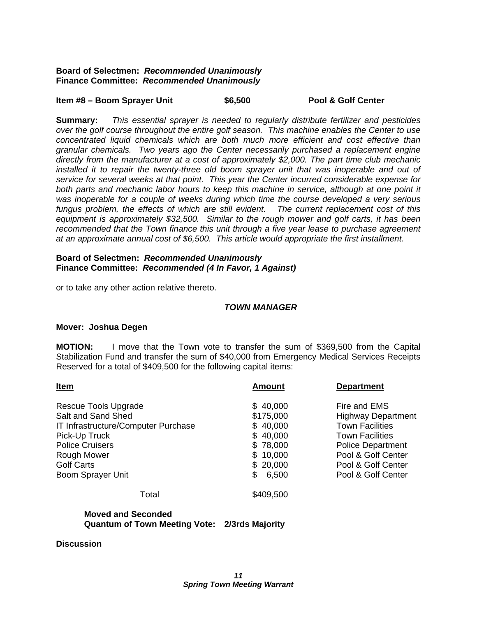#### **Board of Selectmen:** *Recommended Unanimously*  **Finance Committee:** *Recommended Unanimously*

#### **Item #8 – Boom Sprayer Unit \$6,500 Pool & Golf Center**

**Summary:** *This essential sprayer is needed to regularly distribute fertilizer and pesticides over the golf course throughout the entire golf season. This machine enables the Center to use concentrated liquid chemicals which are both much more efficient and cost effective than granular chemicals. Two years ago the Center necessarily purchased a replacement engine directly from the manufacturer at a cost of approximately \$2,000. The part time club mechanic*  installed it to repair the twenty-three old boom sprayer unit that was inoperable and out of *service for several weeks at that point. This year the Center incurred considerable expense for both parts and mechanic labor hours to keep this machine in service, although at one point it was inoperable for a couple of weeks during which time the course developed a very serious fungus problem, the effects of which are still evident. The current replacement cost of this equipment is approximately \$32,500. Similar to the rough mower and golf carts, it has been recommended that the Town finance this unit through a five year lease to purchase agreement at an approximate annual cost of \$6,500. This article would appropriate the first installment.* 

#### **Board of Selectmen:** *Recommended Unanimously* **Finance Committee:** *Recommended (4 In Favor, 1 Against)*

or to take any other action relative thereto.

#### *TOWN MANAGER*

#### **Mover: Joshua Degen**

**MOTION:** I move that the Town vote to transfer the sum of \$369,500 from the Capital Stabilization Fund and transfer the sum of \$40,000 from Emergency Medical Services Receipts Reserved for a total of \$409,500 for the following capital items:

| <b>Amount</b> | <b>Department</b>         |
|---------------|---------------------------|
| \$40,000      | Fire and EMS              |
| \$175,000     | <b>Highway Department</b> |
| \$40,000      | <b>Town Facilities</b>    |
| \$40,000      | <b>Town Facilities</b>    |
| \$78,000      | <b>Police Department</b>  |
| \$10,000      | Pool & Golf Center        |
| \$20,000      | Pool & Golf Center        |
| 6,500         | Pool & Golf Center        |
| \$409,500     |                           |
|               |                           |

#### **Moved and Seconded Quantum of Town Meeting Vote: 2/3rds Majority**

**Discussion**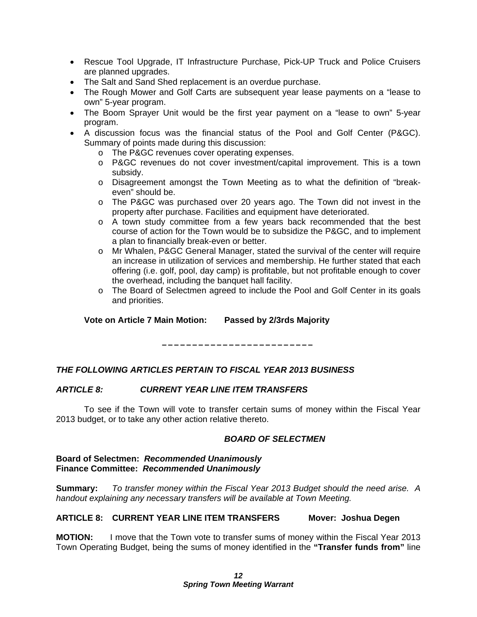- Rescue Tool Upgrade, IT Infrastructure Purchase, Pick-UP Truck and Police Cruisers are planned upgrades.
- The Salt and Sand Shed replacement is an overdue purchase.
- The Rough Mower and Golf Carts are subsequent year lease payments on a "lease to own" 5-year program.
- The Boom Sprayer Unit would be the first year payment on a "lease to own" 5-year program.
- A discussion focus was the financial status of the Pool and Golf Center (P&GC). Summary of points made during this discussion:
	- o The P&GC revenues cover operating expenses.
	- o P&GC revenues do not cover investment/capital improvement. This is a town subsidy.
	- o Disagreement amongst the Town Meeting as to what the definition of "breakeven" should be.
	- o The P&GC was purchased over 20 years ago. The Town did not invest in the property after purchase. Facilities and equipment have deteriorated.
	- o A town study committee from a few years back recommended that the best course of action for the Town would be to subsidize the P&GC, and to implement a plan to financially break-even or better.
	- o Mr Whalen, P&GC General Manager, stated the survival of the center will require an increase in utilization of services and membership. He further stated that each offering (i.e. golf, pool, day camp) is profitable, but not profitable enough to cover the overhead, including the banquet hall facility.
	- o The Board of Selectmen agreed to include the Pool and Golf Center in its goals and priorities.

**Vote on Article 7 Main Motion: Passed by 2/3rds Majority** 

#### *THE FOLLOWING ARTICLES PERTAIN TO FISCAL YEAR 2013 BUSINESS*

### *ARTICLE 8: CURRENT YEAR LINE ITEM TRANSFERS*

 To see if the Town will vote to transfer certain sums of money within the Fiscal Year 2013 budget, or to take any other action relative thereto.

**\_\_\_\_\_\_\_\_\_\_\_\_\_\_\_\_\_\_\_\_\_\_\_\_\_** 

#### *BOARD OF SELECTMEN*

#### **Board of Selectmen:** *Recommended Unanimously* **Finance Committee:** *Recommended Unanimously*

**Summary:** *To transfer money within the Fiscal Year 2013 Budget should the need arise. A handout explaining any necessary transfers will be available at Town Meeting.* 

#### **ARTICLE 8: CURRENT YEAR LINE ITEM TRANSFERS Mover: Joshua Degen**

**MOTION:** I move that the Town vote to transfer sums of money within the Fiscal Year 2013 Town Operating Budget, being the sums of money identified in the **"Transfer funds from"** line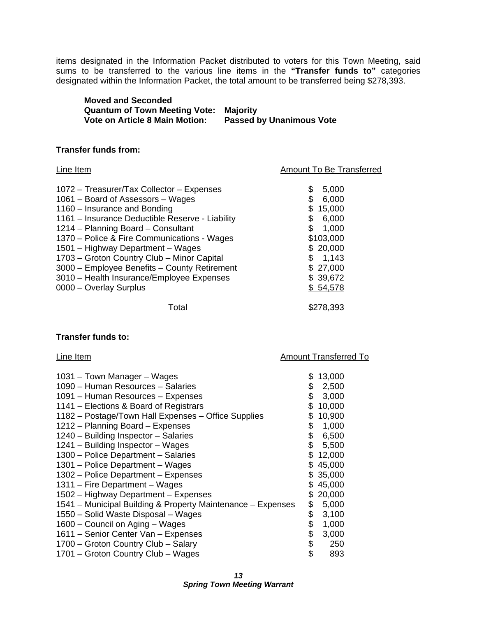items designated in the Information Packet distributed to voters for this Town Meeting, said sums to be transferred to the various line items in the **"Transfer funds to"** categories designated within the Information Packet, the total amount to be transferred being \$278,393.

| <b>Moved and Seconded</b>            |                                 |
|--------------------------------------|---------------------------------|
| <b>Quantum of Town Meeting Vote:</b> | Maioritv                        |
| Vote on Article 8 Main Motion:       | <b>Passed by Unanimous Vote</b> |

#### **Transfer funds from:**

| Line Item                                                                                                                                                                                                                                                                                                                                                                                                                                                        | Amount To Be Transferred                                                                                                                    |
|------------------------------------------------------------------------------------------------------------------------------------------------------------------------------------------------------------------------------------------------------------------------------------------------------------------------------------------------------------------------------------------------------------------------------------------------------------------|---------------------------------------------------------------------------------------------------------------------------------------------|
| 1072 - Treasurer/Tax Collector - Expenses<br>1061 – Board of Assessors – Wages<br>1160 – Insurance and Bonding<br>1161 – Insurance Deductible Reserve - Liability<br>1214 – Planning Board – Consultant<br>1370 – Police & Fire Communications - Wages<br>1501 – Highway Department – Wages<br>1703 - Groton Country Club - Minor Capital<br>3000 - Employee Benefits - County Retirement<br>3010 - Health Insurance/Employee Expenses<br>0000 - Overlay Surplus | \$<br>5,000<br>6,000<br>\$<br>15,000<br>\$<br>6,000<br>\$<br>1,000<br>\$103,000<br>\$20,000<br>\$1,143<br>\$27,000<br>\$ 39,672<br>\$54,578 |
| Total                                                                                                                                                                                                                                                                                                                                                                                                                                                            | \$278,393                                                                                                                                   |

#### **Transfer funds to:**

#### Line Item **Amount Transferred To**

| 1031 – Town Manager – Wages<br>1090 - Human Resources - Salaries<br>1091 - Human Resources - Expenses<br>1141 – Elections & Board of Registrars<br>1182 - Postage/Town Hall Expenses - Office Supplies<br>1212 - Planning Board - Expenses<br>1240 - Building Inspector - Salaries<br>1241 - Building Inspector - Wages<br>1300 – Police Department – Salaries<br>1301 – Police Department – Wages<br>1302 – Police Department – Expenses<br>1311 – Fire Department – Wages<br>1502 – Highway Department – Expenses<br>1541 – Municipal Building & Property Maintenance – Expenses<br>1550 - Solid Waste Disposal - Wages | \$<br>\$<br>\$<br>\$.<br>\$<br>\$<br>\$<br>\$<br>\$<br>SS.<br>S.<br>\$.<br>S.<br>\$ | 13,000<br>2,500<br>3,000<br>10,000<br>10,900<br>1,000<br>6,500<br>5,500<br>12,000<br>45,000<br>35,000<br>45,000<br>20,000<br>5,000<br>3,100 |
|---------------------------------------------------------------------------------------------------------------------------------------------------------------------------------------------------------------------------------------------------------------------------------------------------------------------------------------------------------------------------------------------------------------------------------------------------------------------------------------------------------------------------------------------------------------------------------------------------------------------------|-------------------------------------------------------------------------------------|---------------------------------------------------------------------------------------------------------------------------------------------|
|                                                                                                                                                                                                                                                                                                                                                                                                                                                                                                                                                                                                                           |                                                                                     |                                                                                                                                             |
|                                                                                                                                                                                                                                                                                                                                                                                                                                                                                                                                                                                                                           | \$                                                                                  | 1,000                                                                                                                                       |
| 1600 - Council on Aging - Wages                                                                                                                                                                                                                                                                                                                                                                                                                                                                                                                                                                                           | \$                                                                                  |                                                                                                                                             |
| 1611 – Senior Center Van – Expenses                                                                                                                                                                                                                                                                                                                                                                                                                                                                                                                                                                                       | \$                                                                                  | 3,000                                                                                                                                       |
| 1700 - Groton Country Club - Salary                                                                                                                                                                                                                                                                                                                                                                                                                                                                                                                                                                                       | \$                                                                                  | 250                                                                                                                                         |
| 1701 – Groton Country Club – Wages                                                                                                                                                                                                                                                                                                                                                                                                                                                                                                                                                                                        | \$                                                                                  | 893                                                                                                                                         |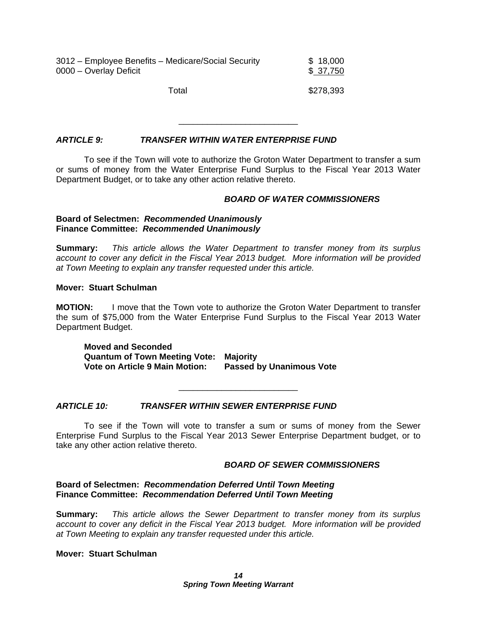| 3012 – Employee Benefits – Medicare/Social Security | \$18,000  |
|-----------------------------------------------------|-----------|
| 0000 - Overlay Deficit                              | \$37,750  |
| Total                                               | \$278,393 |

#### *ARTICLE 9: TRANSFER WITHIN WATER ENTERPRISE FUND*

 To see if the Town will vote to authorize the Groton Water Department to transfer a sum or sums of money from the Water Enterprise Fund Surplus to the Fiscal Year 2013 Water Department Budget, or to take any other action relative thereto.

\_\_\_\_\_\_\_\_\_\_\_\_\_\_\_\_\_\_\_\_\_\_\_\_\_

#### *BOARD OF WATER COMMISSIONERS*

#### **Board of Selectmen:** *Recommended Unanimously* **Finance Committee:** *Recommended Unanimously*

**Summary:** *This article allows the Water Department to transfer money from its surplus account to cover any deficit in the Fiscal Year 2013 budget. More information will be provided at Town Meeting to explain any transfer requested under this article.* 

#### **Mover: Stuart Schulman**

**MOTION:** I move that the Town vote to authorize the Groton Water Department to transfer the sum of \$75,000 from the Water Enterprise Fund Surplus to the Fiscal Year 2013 Water Department Budget.

**Moved and Seconded Quantum of Town Meeting Vote: Majority Vote on Article 9 Main Motion: Passed by Unanimous Vote** 

#### *ARTICLE 10: TRANSFER WITHIN SEWER ENTERPRISE FUND*

 To see if the Town will vote to transfer a sum or sums of money from the Sewer Enterprise Fund Surplus to the Fiscal Year 2013 Sewer Enterprise Department budget, or to take any other action relative thereto.

\_\_\_\_\_\_\_\_\_\_\_\_\_\_\_\_\_\_\_\_\_\_\_\_\_

#### *BOARD OF SEWER COMMISSIONERS*

#### **Board of Selectmen:** *Recommendation Deferred Until Town Meeting* **Finance Committee:** *Recommendation Deferred Until Town Meeting*

**Summary:** *This article allows the Sewer Department to transfer money from its surplus account to cover any deficit in the Fiscal Year 2013 budget. More information will be provided at Town Meeting to explain any transfer requested under this article.* 

#### **Mover: Stuart Schulman**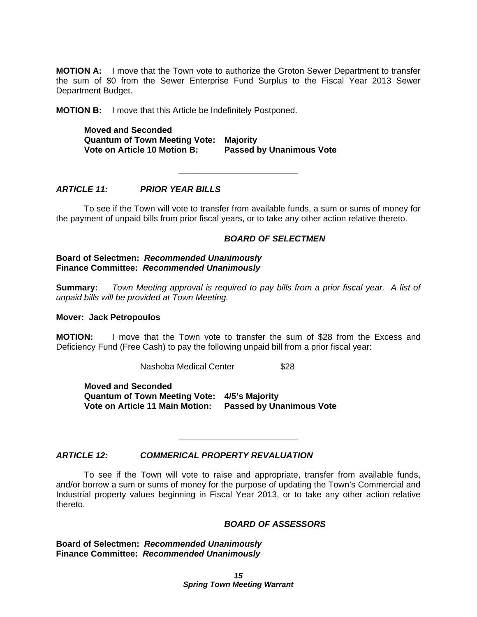**MOTION A:** I move that the Town vote to authorize the Groton Sewer Department to transfer the sum of \$0 from the Sewer Enterprise Fund Surplus to the Fiscal Year 2013 Sewer Department Budget.

**MOTION B:** I move that this Article be Indefinitely Postponed.

**Moved and Seconded Quantum of Town Meeting Vote: Majority Vote on Article 10 Motion B: Passed by Unanimous Vote** 

#### *ARTICLE 11: PRIOR YEAR BILLS*

 To see if the Town will vote to transfer from available funds, a sum or sums of money for the payment of unpaid bills from prior fiscal years, or to take any other action relative thereto.

\_\_\_\_\_\_\_\_\_\_\_\_\_\_\_\_\_\_\_\_\_\_\_\_\_

#### *BOARD OF SELECTMEN*

#### **Board of Selectmen:** *Recommended Unanimously* **Finance Committee:** *Recommended Unanimously*

**Summary:** *Town Meeting approval is required to pay bills from a prior fiscal year. A list of unpaid bills will be provided at Town Meeting.* 

#### **Mover: Jack Petropoulos**

**MOTION:** I move that the Town vote to transfer the sum of \$28 from the Excess and Deficiency Fund (Free Cash) to pay the following unpaid bill from a prior fiscal year:

Nashoba Medical Center \$28

**Moved and Seconded Quantum of Town Meeting Vote: 4/5's Majority Vote on Article 11 Main Motion: Passed by Unanimous Vote** 

#### *ARTICLE 12: COMMERICAL PROPERTY REVALUATION*

 To see if the Town will vote to raise and appropriate, transfer from available funds, and/or borrow a sum or sums of money for the purpose of updating the Town's Commercial and Industrial property values beginning in Fiscal Year 2013, or to take any other action relative thereto.

\_\_\_\_\_\_\_\_\_\_\_\_\_\_\_\_\_\_\_\_\_\_\_\_\_

#### *BOARD OF ASSESSORS*

**Board of Selectmen:** *Recommended Unanimously* **Finance Committee:** *Recommended Unanimously*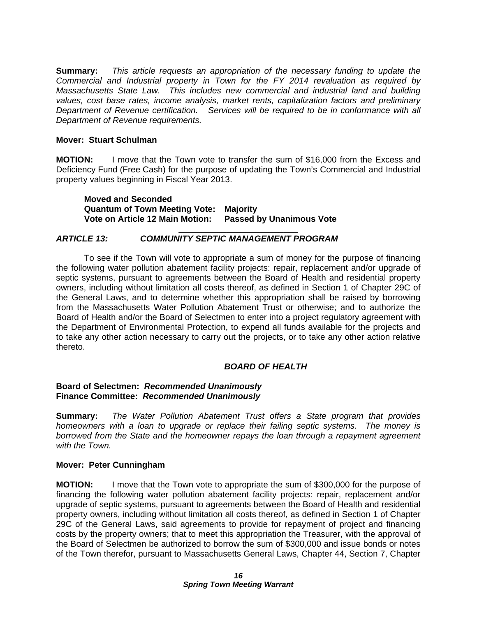**Summary:** *This article requests an appropriation of the necessary funding to update the Commercial and Industrial property in Town for the FY 2014 revaluation as required by Massachusetts State Law. This includes new commercial and industrial land and building values, cost base rates, income analysis, market rents, capitalization factors and preliminary Department of Revenue certification. Services will be required to be in conformance with all Department of Revenue requirements.* 

#### **Mover: Stuart Schulman**

**MOTION:** I move that the Town vote to transfer the sum of \$16,000 from the Excess and Deficiency Fund (Free Cash) for the purpose of updating the Town's Commercial and Industrial property values beginning in Fiscal Year 2013.

**Moved and Seconded Quantum of Town Meeting Vote: Majority Vote on Article 12 Main Motion: Passed by Unanimous Vote** 

#### \_\_\_\_\_\_\_\_\_\_\_\_\_\_\_\_\_\_\_\_\_\_\_\_\_ *ARTICLE 13: COMMUNITY SEPTIC MANAGEMENT PROGRAM*

 To see if the Town will vote to appropriate a sum of money for the purpose of financing the following water pollution abatement facility projects: repair, replacement and/or upgrade of septic systems, pursuant to agreements between the Board of Health and residential property owners, including without limitation all costs thereof, as defined in Section 1 of Chapter 29C of the General Laws, and to determine whether this appropriation shall be raised by borrowing from the Massachusetts Water Pollution Abatement Trust or otherwise; and to authorize the Board of Health and/or the Board of Selectmen to enter into a project regulatory agreement with the Department of Environmental Protection, to expend all funds available for the projects and to take any other action necessary to carry out the projects, or to take any other action relative thereto.

#### *BOARD OF HEALTH*

#### **Board of Selectmen:** *Recommended Unanimously* **Finance Committee:** *Recommended Unanimously*

**Summary:** *The Water Pollution Abatement Trust offers a State program that provides homeowners with a loan to upgrade or replace their failing septic systems. The money is borrowed from the State and the homeowner repays the loan through a repayment agreement with the Town.* 

#### **Mover: Peter Cunningham**

**MOTION:** I move that the Town vote to appropriate the sum of \$300,000 for the purpose of financing the following water pollution abatement facility projects: repair, replacement and/or upgrade of septic systems, pursuant to agreements between the Board of Health and residential property owners, including without limitation all costs thereof, as defined in Section 1 of Chapter 29C of the General Laws, said agreements to provide for repayment of project and financing costs by the property owners; that to meet this appropriation the Treasurer, with the approval of the Board of Selectmen be authorized to borrow the sum of \$300,000 and issue bonds or notes of the Town therefor, pursuant to Massachusetts General Laws, Chapter 44, Section 7, Chapter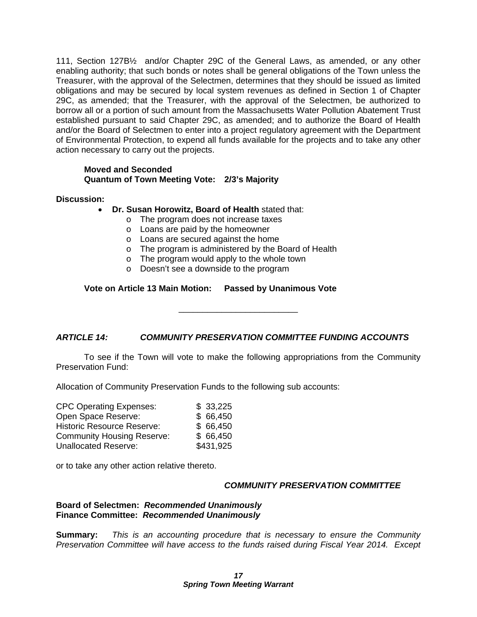111, Section 127B½ and/or Chapter 29C of the General Laws, as amended, or any other enabling authority; that such bonds or notes shall be general obligations of the Town unless the Treasurer, with the approval of the Selectmen, determines that they should be issued as limited obligations and may be secured by local system revenues as defined in Section 1 of Chapter 29C, as amended; that the Treasurer, with the approval of the Selectmen, be authorized to borrow all or a portion of such amount from the Massachusetts Water Pollution Abatement Trust established pursuant to said Chapter 29C, as amended; and to authorize the Board of Health and/or the Board of Selectmen to enter into a project regulatory agreement with the Department of Environmental Protection, to expend all funds available for the projects and to take any other action necessary to carry out the projects.

#### **Moved and Seconded Quantum of Town Meeting Vote: 2/3's Majority**

#### **Discussion:**

- **Dr. Susan Horowitz, Board of Health** stated that:
	- o The program does not increase taxes
	- o Loans are paid by the homeowner
	- o Loans are secured against the home
	- o The program is administered by the Board of Health
	- o The program would apply to the whole town
	- o Doesn't see a downside to the program

#### **Vote on Article 13 Main Motion: Passed by Unanimous Vote**

#### *ARTICLE 14: COMMUNITY PRESERVATION COMMITTEE FUNDING ACCOUNTS*

To see if the Town will vote to make the following appropriations from the Community Preservation Fund:

\_\_\_\_\_\_\_\_\_\_\_\_\_\_\_\_\_\_\_\_\_\_\_\_\_

Allocation of Community Preservation Funds to the following sub accounts:

| <b>CPC Operating Expenses:</b>    | \$33,225  |
|-----------------------------------|-----------|
| Open Space Reserve:               | \$66,450  |
| <b>Historic Resource Reserve:</b> | \$66,450  |
| <b>Community Housing Reserve:</b> | \$66,450  |
| <b>Unallocated Reserve:</b>       | \$431,925 |

or to take any other action relative thereto.

#### *COMMUNITY PRESERVATION COMMITTEE*

#### **Board of Selectmen:** *Recommended Unanimously* **Finance Committee:** *Recommended Unanimously*

**Summary:** *This is an accounting procedure that is necessary to ensure the Community Preservation Committee will have access to the funds raised during Fiscal Year 2014. Except*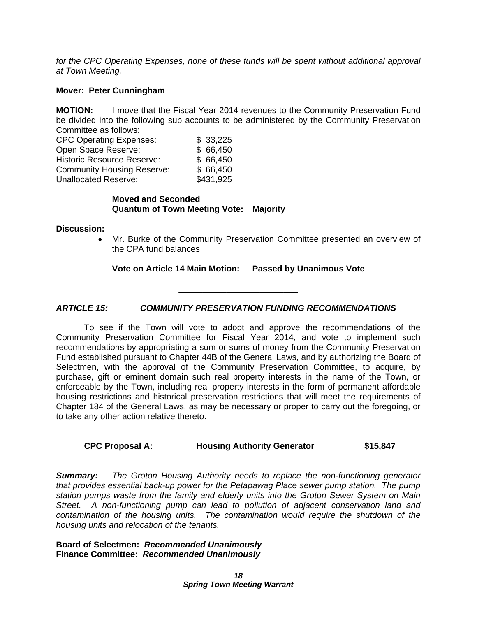for the CPC Operating Expenses, none of these funds will be spent without additional approval *at Town Meeting.* 

#### **Mover: Peter Cunningham**

**MOTION:** I move that the Fiscal Year 2014 revenues to the Community Preservation Fund be divided into the following sub accounts to be administered by the Community Preservation Committee as follows:

| <b>CPC Operating Expenses:</b>    | \$33,225  |
|-----------------------------------|-----------|
| Open Space Reserve:               | \$66,450  |
| <b>Historic Resource Reserve:</b> | \$66,450  |
| <b>Community Housing Reserve:</b> | \$66,450  |
| <b>Unallocated Reserve:</b>       | \$431,925 |

#### **Moved and Seconded Quantum of Town Meeting Vote: Majority**

#### **Discussion:**

 Mr. Burke of the Community Preservation Committee presented an overview of the CPA fund balances

**Vote on Article 14 Main Motion: Passed by Unanimous Vote** 

\_\_\_\_\_\_\_\_\_\_\_\_\_\_\_\_\_\_\_\_\_\_\_\_\_

#### *ARTICLE 15: COMMUNITY PRESERVATION FUNDING RECOMMENDATIONS*

To see if the Town will vote to adopt and approve the recommendations of the Community Preservation Committee for Fiscal Year 2014, and vote to implement such recommendations by appropriating a sum or sums of money from the Community Preservation Fund established pursuant to Chapter 44B of the General Laws, and by authorizing the Board of Selectmen, with the approval of the Community Preservation Committee, to acquire, by purchase, gift or eminent domain such real property interests in the name of the Town, or enforceable by the Town, including real property interests in the form of permanent affordable housing restrictions and historical preservation restrictions that will meet the requirements of Chapter 184 of the General Laws, as may be necessary or proper to carry out the foregoing, or to take any other action relative thereto.

#### **CPC Proposal A: Housing Authority Generator \$15,847**

*Summary: The Groton Housing Authority needs to replace the non-functioning generator that provides essential back-up power for the Petapawag Place sewer pump station. The pump station pumps waste from the family and elderly units into the Groton Sewer System on Main Street. A non-functioning pump can lead to pollution of adjacent conservation land and contamination of the housing units. The contamination would require the shutdown of the housing units and relocation of the tenants.* 

#### **Board of Selectmen:** *Recommended Unanimously* **Finance Committee:** *Recommended Unanimously*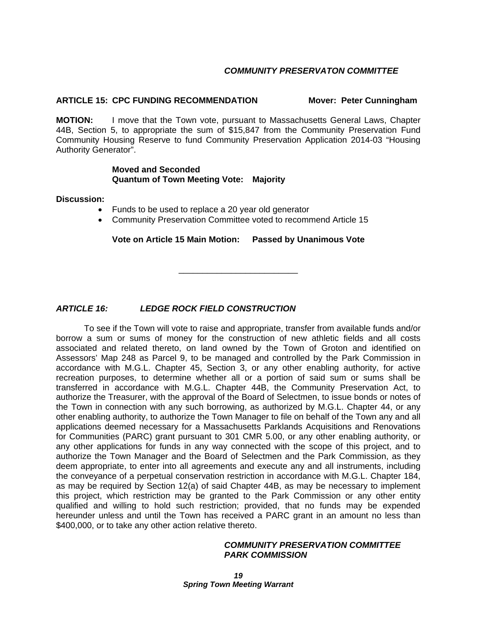#### *COMMUNITY PRESERVATON COMMITTEE*

#### **ARTICLE 15: CPC FUNDING RECOMMENDATION Mover: Peter Cunningham**

**MOTION:** I move that the Town vote, pursuant to Massachusetts General Laws, Chapter 44B, Section 5, to appropriate the sum of \$15,847 from the Community Preservation Fund Community Housing Reserve to fund Community Preservation Application 2014-03 "Housing Authority Generator".

#### **Moved and Seconded Quantum of Town Meeting Vote: Majority**

#### **Discussion:**

- Funds to be used to replace a 20 year old generator
- Community Preservation Committee voted to recommend Article 15

**Vote on Article 15 Main Motion: Passed by Unanimous Vote** 

\_\_\_\_\_\_\_\_\_\_\_\_\_\_\_\_\_\_\_\_\_\_\_\_\_

### *ARTICLE 16: LEDGE ROCK FIELD CONSTRUCTION*

 To see if the Town will vote to raise and appropriate, transfer from available funds and/or borrow a sum or sums of money for the construction of new athletic fields and all costs associated and related thereto, on land owned by the Town of Groton and identified on Assessors' Map 248 as Parcel 9, to be managed and controlled by the Park Commission in accordance with M.G.L. Chapter 45, Section 3, or any other enabling authority, for active recreation purposes, to determine whether all or a portion of said sum or sums shall be transferred in accordance with M.G.L. Chapter 44B, the Community Preservation Act, to authorize the Treasurer, with the approval of the Board of Selectmen, to issue bonds or notes of the Town in connection with any such borrowing, as authorized by M.G.L. Chapter 44, or any other enabling authority, to authorize the Town Manager to file on behalf of the Town any and all applications deemed necessary for a Massachusetts Parklands Acquisitions and Renovations for Communities (PARC) grant pursuant to 301 CMR 5.00, or any other enabling authority, or any other applications for funds in any way connected with the scope of this project, and to authorize the Town Manager and the Board of Selectmen and the Park Commission, as they deem appropriate, to enter into all agreements and execute any and all instruments, including the conveyance of a perpetual conservation restriction in accordance with M.G.L. Chapter 184, as may be required by Section 12(a) of said Chapter 44B, as may be necessary to implement this project, which restriction may be granted to the Park Commission or any other entity qualified and willing to hold such restriction; provided, that no funds may be expended hereunder unless and until the Town has received a PARC grant in an amount no less than \$400,000, or to take any other action relative thereto.

#### *COMMUNITY PRESERVATION COMMITTEE PARK COMMISSION*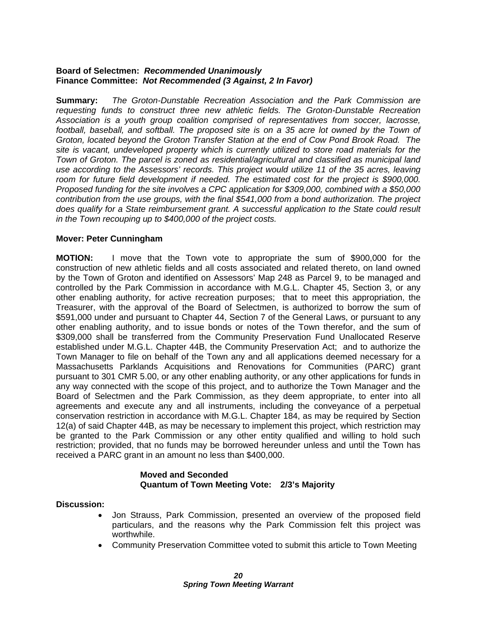#### **Board of Selectmen:** *Recommended Unanimously* **Finance Committee:** *Not Recommended (3 Against, 2 In Favor)*

**Summary:** *The Groton-Dunstable Recreation Association and the Park Commission are requesting funds to construct three new athletic fields. The Groton-Dunstable Recreation Association is a youth group coalition comprised of representatives from soccer, lacrosse,*  football, baseball, and softball. The proposed site is on a 35 acre lot owned by the Town of *Groton, located beyond the Groton Transfer Station at the end of Cow Pond Brook Road. The site is vacant, undeveloped property which is currently utilized to store road materials for the Town of Groton. The parcel is zoned as residential/agricultural and classified as municipal land use according to the Assessors' records. This project would utilize 11 of the 35 acres, leaving room for future field development if needed. The estimated cost for the project is \$900,000. Proposed funding for the site involves a CPC application for \$309,000, combined with a \$50,000 contribution from the use groups, with the final \$541,000 from a bond authorization. The project does qualify for a State reimbursement grant. A successful application to the State could result in the Town recouping up to \$400,000 of the project costs.* 

#### **Mover: Peter Cunningham**

**MOTION:** I move that the Town vote to appropriate the sum of \$900,000 for the construction of new athletic fields and all costs associated and related thereto, on land owned by the Town of Groton and identified on Assessors' Map 248 as Parcel 9, to be managed and controlled by the Park Commission in accordance with M.G.L. Chapter 45, Section 3, or any other enabling authority, for active recreation purposes; that to meet this appropriation, the Treasurer, with the approval of the Board of Selectmen, is authorized to borrow the sum of \$591,000 under and pursuant to Chapter 44, Section 7 of the General Laws, or pursuant to any other enabling authority, and to issue bonds or notes of the Town therefor, and the sum of \$309,000 shall be transferred from the Community Preservation Fund Unallocated Reserve established under M.G.L. Chapter 44B, the Community Preservation Act; and to authorize the Town Manager to file on behalf of the Town any and all applications deemed necessary for a Massachusetts Parklands Acquisitions and Renovations for Communities (PARC) grant pursuant to 301 CMR 5.00, or any other enabling authority, or any other applications for funds in any way connected with the scope of this project, and to authorize the Town Manager and the Board of Selectmen and the Park Commission, as they deem appropriate, to enter into all agreements and execute any and all instruments, including the conveyance of a perpetual conservation restriction in accordance with M.G.L. Chapter 184, as may be required by Section 12(a) of said Chapter 44B, as may be necessary to implement this project, which restriction may be granted to the Park Commission or any other entity qualified and willing to hold such restriction; provided, that no funds may be borrowed hereunder unless and until the Town has received a PARC grant in an amount no less than \$400,000.

#### **Moved and Seconded Quantum of Town Meeting Vote: 2/3's Majority**

#### **Discussion:**

- Jon Strauss, Park Commission, presented an overview of the proposed field particulars, and the reasons why the Park Commission felt this project was worthwhile.
- Community Preservation Committee voted to submit this article to Town Meeting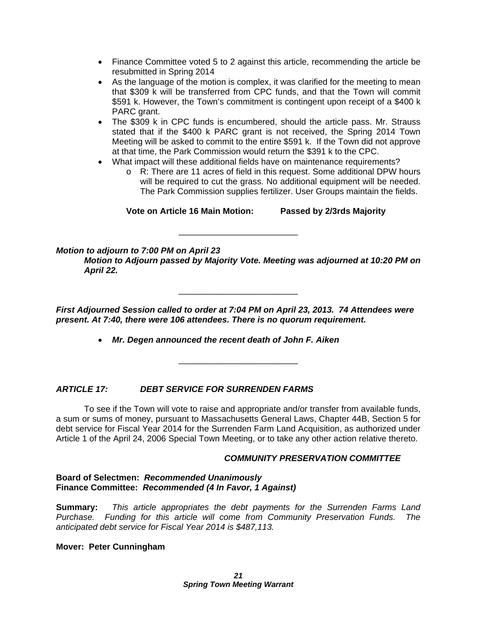- Finance Committee voted 5 to 2 against this article, recommending the article be resubmitted in Spring 2014
- As the language of the motion is complex, it was clarified for the meeting to mean that \$309 k will be transferred from CPC funds, and that the Town will commit \$591 k. However, the Town's commitment is contingent upon receipt of a \$400 k PARC grant.
- The \$309 k in CPC funds is encumbered, should the article pass. Mr. Strauss stated that if the \$400 k PARC grant is not received, the Spring 2014 Town Meeting will be asked to commit to the entire \$591 k. If the Town did not approve at that time, the Park Commission would return the \$391 k to the CPC.
- What impact will these additional fields have on maintenance requirements?
	- o R: There are 11 acres of field in this request. Some additional DPW hours will be required to cut the grass. No additional equipment will be needed. The Park Commission supplies fertilizer. User Groups maintain the fields.

**Vote on Article 16 Main Motion: Passed by 2/3rds Majority** 

#### *Motion to adjourn to 7:00 PM on April 23*

*Motion to Adjourn passed by Majority Vote. Meeting was adjourned at 10:20 PM on April 22.* 

\_\_\_\_\_\_\_\_\_\_\_\_\_\_\_\_\_\_\_\_\_\_\_\_\_

*First Adjourned Session called to order at 7:04 PM on April 23, 2013. 74 Attendees were present. At 7:40, there were 106 attendees. There is no quorum requirement.* 

\_\_\_\_\_\_\_\_\_\_\_\_\_\_\_\_\_\_\_\_\_\_\_\_\_

*Mr. Degen announced the recent death of John F. Aiken* 

\_\_\_\_\_\_\_\_\_\_\_\_\_\_\_\_\_\_\_\_\_\_\_\_\_

#### *ARTICLE 17: DEBT SERVICE FOR SURRENDEN FARMS*

 To see if the Town will vote to raise and appropriate and/or transfer from available funds, a sum or sums of money, pursuant to Massachusetts General Laws, Chapter 44B, Section 5 for debt service for Fiscal Year 2014 for the Surrenden Farm Land Acquisition, as authorized under Article 1 of the April 24, 2006 Special Town Meeting, or to take any other action relative thereto.

#### *COMMUNITY PRESERVATION COMMITTEE*

#### **Board of Selectmen:** *Recommended Unanimously* **Finance Committee:** *Recommended (4 In Favor, 1 Against)*

**Summary:** *This article appropriates the debt payments for the Surrenden Farms Land Purchase. Funding for this article will come from Community Preservation Funds. The anticipated debt service for Fiscal Year 2014 is \$487,113.* 

#### **Mover: Peter Cunningham**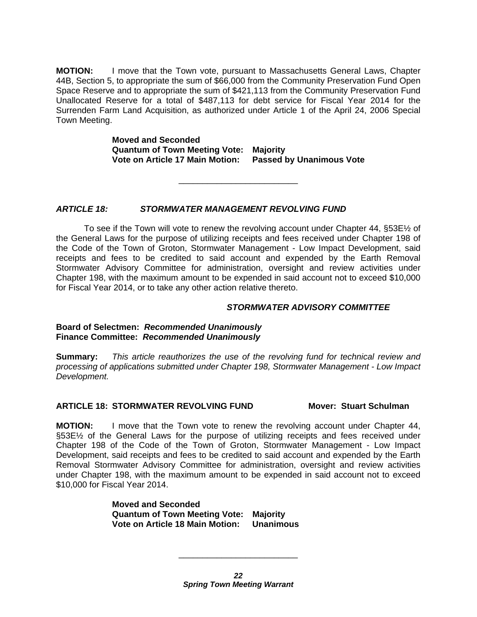**MOTION:** I move that the Town vote, pursuant to Massachusetts General Laws, Chapter 44B, Section 5, to appropriate the sum of \$66,000 from the Community Preservation Fund Open Space Reserve and to appropriate the sum of \$421,113 from the Community Preservation Fund Unallocated Reserve for a total of \$487,113 for debt service for Fiscal Year 2014 for the Surrenden Farm Land Acquisition, as authorized under Article 1 of the April 24, 2006 Special Town Meeting.

> **Moved and Seconded Quantum of Town Meeting Vote: Majority Vote on Article 17 Main Motion: Passed by Unanimous Vote**

> > \_\_\_\_\_\_\_\_\_\_\_\_\_\_\_\_\_\_\_\_\_\_\_\_\_

*ARTICLE 18: STORMWATER MANAGEMENT REVOLVING FUND* 

To see if the Town will vote to renew the revolving account under Chapter  $44$ , §53E $\frac{1}{2}$  of the General Laws for the purpose of utilizing receipts and fees received under Chapter 198 of the Code of the Town of Groton, Stormwater Management - Low Impact Development, said receipts and fees to be credited to said account and expended by the Earth Removal Stormwater Advisory Committee for administration, oversight and review activities under Chapter 198, with the maximum amount to be expended in said account not to exceed \$10,000 for Fiscal Year 2014, or to take any other action relative thereto.

#### *STORMWATER ADVISORY COMMITTEE*

**Board of Selectmen:** *Recommended Unanimously* **Finance Committee:** *Recommended Unanimously*

**Summary:** *This article reauthorizes the use of the revolving fund for technical review and processing of applications submitted under Chapter 198, Stormwater Management - Low Impact Development.* 

#### **ARTICLE 18: STORMWATER REVOLVING FUND Mover: Stuart Schulman**

**MOTION:** I move that the Town vote to renew the revolving account under Chapter 44, §53E<sup>1</sup>/<sub>2</sub> of the General Laws for the purpose of utilizing receipts and fees received under Chapter 198 of the Code of the Town of Groton, Stormwater Management - Low Impact Development, said receipts and fees to be credited to said account and expended by the Earth Removal Stormwater Advisory Committee for administration, oversight and review activities under Chapter 198, with the maximum amount to be expended in said account not to exceed \$10,000 for Fiscal Year 2014.

> **Moved and Seconded Quantum of Town Meeting Vote: Majority Vote on Article 18 Main Motion: Unanimous**

\_\_\_\_\_\_\_\_\_\_\_\_\_\_\_\_\_\_\_\_\_\_\_\_\_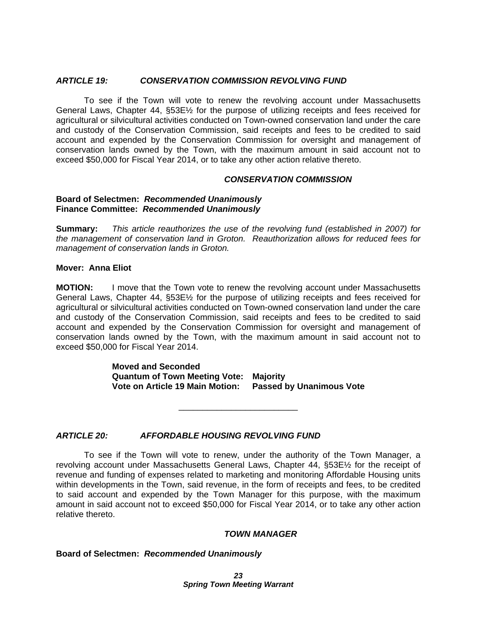#### *ARTICLE 19: CONSERVATION COMMISSION REVOLVING FUND*

To see if the Town will vote to renew the revolving account under Massachusetts General Laws, Chapter 44, §53E½ for the purpose of utilizing receipts and fees received for agricultural or silvicultural activities conducted on Town-owned conservation land under the care and custody of the Conservation Commission, said receipts and fees to be credited to said account and expended by the Conservation Commission for oversight and management of conservation lands owned by the Town, with the maximum amount in said account not to exceed \$50,000 for Fiscal Year 2014, or to take any other action relative thereto.

#### *CONSERVATION COMMISSION*

#### **Board of Selectmen:** *Recommended Unanimously* **Finance Committee:** *Recommended Unanimously*

**Summary:** *This article reauthorizes the use of the revolving fund (established in 2007) for the management of conservation land in Groton. Reauthorization allows for reduced fees for management of conservation lands in Groton.* 

#### **Mover: Anna Eliot**

**MOTION:** I move that the Town vote to renew the revolving account under Massachusetts General Laws, Chapter 44, §53E½ for the purpose of utilizing receipts and fees received for agricultural or silvicultural activities conducted on Town-owned conservation land under the care and custody of the Conservation Commission, said receipts and fees to be credited to said account and expended by the Conservation Commission for oversight and management of conservation lands owned by the Town, with the maximum amount in said account not to exceed \$50,000 for Fiscal Year 2014.

> **Moved and Seconded Quantum of Town Meeting Vote: Majority Vote on Article 19 Main Motion: Passed by Unanimous Vote**

> > \_\_\_\_\_\_\_\_\_\_\_\_\_\_\_\_\_\_\_\_\_\_\_\_\_

#### *ARTICLE 20: AFFORDABLE HOUSING REVOLVING FUND*

To see if the Town will vote to renew, under the authority of the Town Manager, a revolving account under Massachusetts General Laws, Chapter 44, §53E½ for the receipt of revenue and funding of expenses related to marketing and monitoring Affordable Housing units within developments in the Town, said revenue, in the form of receipts and fees, to be credited to said account and expended by the Town Manager for this purpose, with the maximum amount in said account not to exceed \$50,000 for Fiscal Year 2014, or to take any other action relative thereto.

#### *TOWN MANAGER*

#### **Board of Selectmen:** *Recommended Unanimously*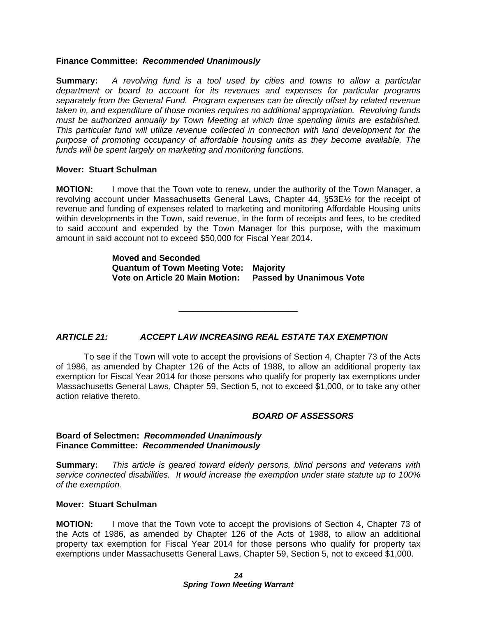#### **Finance Committee:** *Recommended Unanimously*

**Summary:** *A revolving fund is a tool used by cities and towns to allow a particular department or board to account for its revenues and expenses for particular programs separately from the General Fund. Program expenses can be directly offset by related revenue taken in, and expenditure of those monies requires no additional appropriation. Revolving funds must be authorized annually by Town Meeting at which time spending limits are established. This particular fund will utilize revenue collected in connection with land development for the purpose of promoting occupancy of affordable housing units as they become available. The funds will be spent largely on marketing and monitoring functions.* 

#### **Mover: Stuart Schulman**

**MOTION:** I move that the Town vote to renew, under the authority of the Town Manager, a revolving account under Massachusetts General Laws, Chapter 44, §53E½ for the receipt of revenue and funding of expenses related to marketing and monitoring Affordable Housing units within developments in the Town, said revenue, in the form of receipts and fees, to be credited to said account and expended by the Town Manager for this purpose, with the maximum amount in said account not to exceed \$50,000 for Fiscal Year 2014.

> **Moved and Seconded Quantum of Town Meeting Vote: Majority Vote on Article 20 Main Motion: Passed by Unanimous Vote**

> > \_\_\_\_\_\_\_\_\_\_\_\_\_\_\_\_\_\_\_\_\_\_\_\_\_

#### *ARTICLE 21: ACCEPT LAW INCREASING REAL ESTATE TAX EXEMPTION*

To see if the Town will vote to accept the provisions of Section 4, Chapter 73 of the Acts of 1986, as amended by Chapter 126 of the Acts of 1988, to allow an additional property tax exemption for Fiscal Year 2014 for those persons who qualify for property tax exemptions under Massachusetts General Laws, Chapter 59, Section 5, not to exceed \$1,000, or to take any other action relative thereto.

#### *BOARD OF ASSESSORS*

#### **Board of Selectmen:** *Recommended Unanimously* **Finance Committee:** *Recommended Unanimously*

**Summary:** *This article is geared toward elderly persons, blind persons and veterans with service connected disabilities. It would increase the exemption under state statute up to 100% of the exemption.* 

#### **Mover: Stuart Schulman**

**MOTION:** I move that the Town vote to accept the provisions of Section 4, Chapter 73 of the Acts of 1986, as amended by Chapter 126 of the Acts of 1988, to allow an additional property tax exemption for Fiscal Year 2014 for those persons who qualify for property tax exemptions under Massachusetts General Laws, Chapter 59, Section 5, not to exceed \$1,000.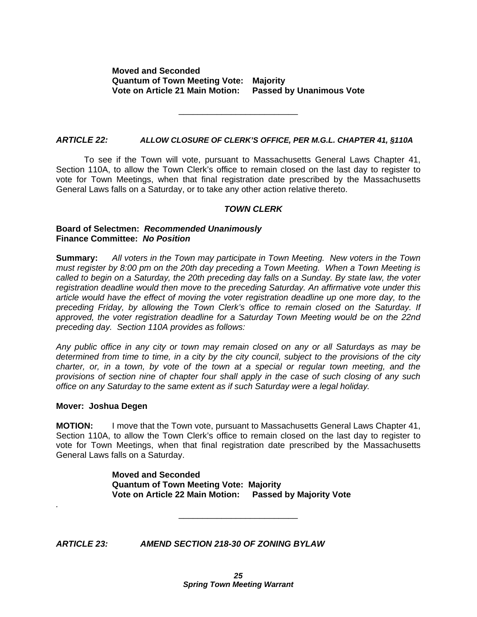\_\_\_\_\_\_\_\_\_\_\_\_\_\_\_\_\_\_\_\_\_\_\_\_\_

#### *ARTICLE 22: ALLOW CLOSURE OF CLERK'S OFFICE, PER M.G.L. CHAPTER 41, §110A*

 To see if the Town will vote, pursuant to Massachusetts General Laws Chapter 41, Section 110A, to allow the Town Clerk's office to remain closed on the last day to register to vote for Town Meetings, when that final registration date prescribed by the Massachusetts General Laws falls on a Saturday, or to take any other action relative thereto.

#### *TOWN CLERK*

#### **Board of Selectmen:** *Recommended Unanimously* **Finance Committee:** *No Position*

**Summary:** *All voters in the Town may participate in Town Meeting. New voters in the Town must register by 8:00 pm on the 20th day preceding a Town Meeting. When a Town Meeting is called to begin on a Saturday, the 20th preceding day falls on a Sunday. By state law, the voter registration deadline would then move to the preceding Saturday. An affirmative vote under this article would have the effect of moving the voter registration deadline up one more day, to the preceding Friday, by allowing the Town Clerk's office to remain closed on the Saturday. If approved, the voter registration deadline for a Saturday Town Meeting would be on the 22nd preceding day. Section 110A provides as follows:* 

*Any public office in any city or town may remain closed on any or all Saturdays as may be determined from time to time, in a city by the city council, subject to the provisions of the city charter, or, in a town, by vote of the town at a special or regular town meeting, and the provisions of section nine of chapter four shall apply in the case of such closing of any such office on any Saturday to the same extent as if such Saturday were a legal holiday.* 

#### **Mover: Joshua Degen**

*.* 

**MOTION:** I move that the Town vote, pursuant to Massachusetts General Laws Chapter 41, Section 110A, to allow the Town Clerk's office to remain closed on the last day to register to vote for Town Meetings, when that final registration date prescribed by the Massachusetts General Laws falls on a Saturday.

> **Moved and Seconded Quantum of Town Meeting Vote: Majority Vote on Article 22 Main Motion: Passed by Majority Vote**

> > \_\_\_\_\_\_\_\_\_\_\_\_\_\_\_\_\_\_\_\_\_\_\_\_\_

*ARTICLE 23: AMEND SECTION 218-30 OF ZONING BYLAW*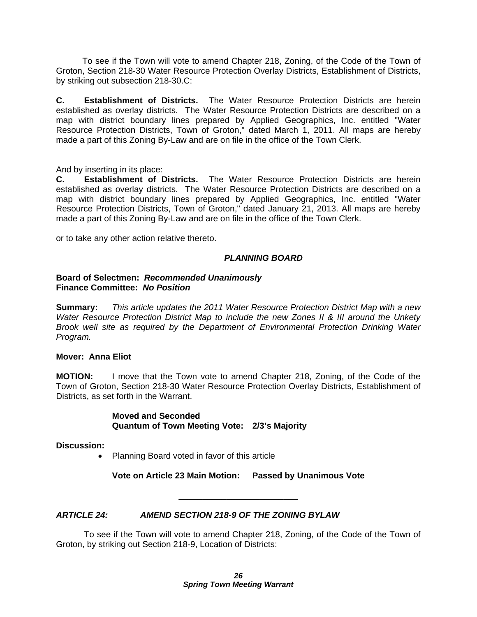To see if the Town will vote to amend Chapter 218, Zoning, of the Code of the Town of Groton, Section 218-30 Water Resource Protection Overlay Districts, Establishment of Districts, by striking out subsection 218-30.C:

**C. Establishment of Districts.** The Water Resource Protection Districts are herein established as overlay districts. The Water Resource Protection Districts are described on a map with district boundary lines prepared by Applied Geographics, Inc. entitled "Water Resource Protection Districts, Town of Groton," dated March 1, 2011. All maps are hereby made a part of this Zoning By-Law and are on file in the office of the Town Clerk.

And by inserting in its place:

**C. Establishment of Districts.** The Water Resource Protection Districts are herein established as overlay districts. The Water Resource Protection Districts are described on a map with district boundary lines prepared by Applied Geographics, Inc. entitled "Water Resource Protection Districts, Town of Groton," dated January 21, 2013. All maps are hereby made a part of this Zoning By-Law and are on file in the office of the Town Clerk.

or to take any other action relative thereto.

#### *PLANNING BOARD*

#### **Board of Selectmen:** *Recommended Unanimously* **Finance Committee:** *No Position*

**Summary:** *This article updates the 2011 Water Resource Protection District Map with a new Water Resource Protection District Map to include the new Zones II & III around the Unkety Brook well site as required by the Department of Environmental Protection Drinking Water Program.* 

#### **Mover: Anna Eliot**

**MOTION:** I move that the Town vote to amend Chapter 218, Zoning, of the Code of the Town of Groton, Section 218-30 Water Resource Protection Overlay Districts, Establishment of Districts, as set forth in the Warrant.

> **Moved and Seconded Quantum of Town Meeting Vote: 2/3's Majority**

**Discussion:** 

• Planning Board voted in favor of this article

**Vote on Article 23 Main Motion: Passed by Unanimous Vote** 

\_\_\_\_\_\_\_\_\_\_\_\_\_\_\_\_\_\_\_\_\_\_\_\_\_

#### *ARTICLE 24: AMEND SECTION 218-9 OF THE ZONING BYLAW*

 To see if the Town will vote to amend Chapter 218, Zoning, of the Code of the Town of Groton, by striking out Section 218-9, Location of Districts: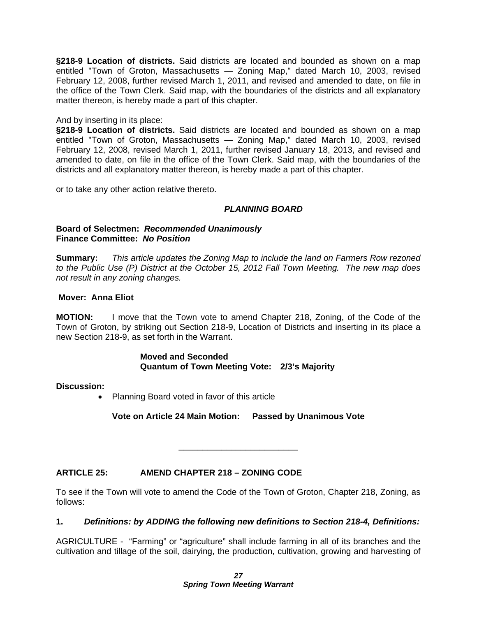**§218-9 Location of districts.** Said districts are located and bounded as shown on a map entitled "Town of Groton, Massachusetts — Zoning Map," dated March 10, 2003, revised February 12, 2008, further revised March 1, 2011, and revised and amended to date, on file in the office of the Town Clerk. Said map, with the boundaries of the districts and all explanatory matter thereon, is hereby made a part of this chapter.

And by inserting in its place:

**§218-9 Location of districts.** Said districts are located and bounded as shown on a map entitled "Town of Groton, Massachusetts — Zoning Map," dated March 10, 2003, revised February 12, 2008, revised March 1, 2011, further revised January 18, 2013, and revised and amended to date, on file in the office of the Town Clerk. Said map, with the boundaries of the districts and all explanatory matter thereon, is hereby made a part of this chapter.

or to take any other action relative thereto.

#### *PLANNING BOARD*

#### **Board of Selectmen:** *Recommended Unanimously* **Finance Committee:** *No Position*

**Summary:** *This article updates the Zoning Map to include the land on Farmers Row rezoned to the Public Use (P) District at the October 15, 2012 Fall Town Meeting. The new map does not result in any zoning changes.* 

#### **Mover: Anna Eliot**

**MOTION:** I move that the Town vote to amend Chapter 218, Zoning, of the Code of the Town of Groton, by striking out Section 218-9, Location of Districts and inserting in its place a new Section 218-9, as set forth in the Warrant.

#### **Moved and Seconded Quantum of Town Meeting Vote: 2/3's Majority**

#### **Discussion:**

• Planning Board voted in favor of this article

**Vote on Article 24 Main Motion: Passed by Unanimous Vote** 

\_\_\_\_\_\_\_\_\_\_\_\_\_\_\_\_\_\_\_\_\_\_\_\_\_

#### **ARTICLE 25: AMEND CHAPTER 218 – ZONING CODE**

To see if the Town will vote to amend the Code of the Town of Groton, Chapter 218, Zoning, as follows:

#### **1.** *Definitions: by ADDING the following new definitions to Section 218-4, Definitions:*

AGRICULTURE - "Farming" or "agriculture" shall include farming in all of its branches and the cultivation and tillage of the soil, dairying, the production, cultivation, growing and harvesting of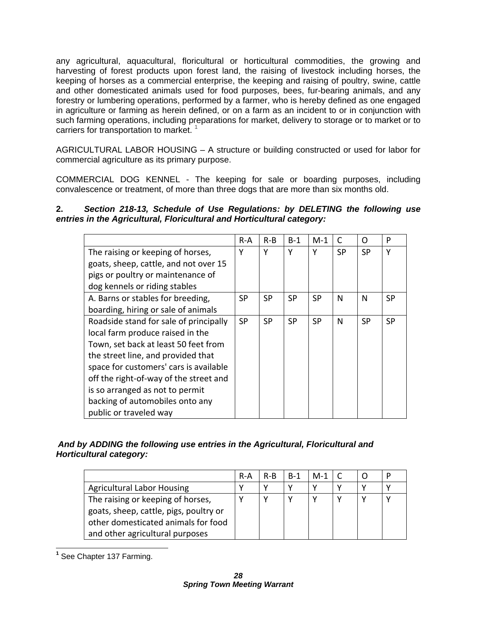any agricultural, aquacultural, floricultural or horticultural commodities, the growing and harvesting of forest products upon forest land, the raising of livestock including horses, the keeping of horses as a commercial enterprise, the keeping and raising of poultry, swine, cattle and other domesticated animals used for food purposes, bees, fur-bearing animals, and any forestry or lumbering operations, performed by a farmer, who is hereby defined as one engaged in agriculture or farming as herein defined, or on a farm as an incident to or in conjunction with such farming operations, including preparations for market, delivery to storage or to market or to carriers for transportation to market.  $1$ 

AGRICULTURAL LABOR HOUSING – A structure or building constructed or used for labor for commercial agriculture as its primary purpose.

COMMERCIAL DOG KENNEL - The keeping for sale or boarding purposes, including convalescence or treatment, of more than three dogs that are more than six months old.

### **2.** *Section 218-13, Schedule of Use Regulations: by DELETING the following use entries in the Agricultural, Floricultural and Horticultural category:*

|                                        | R-A       | $R-B$     | $B-1$     | $M-1$     | C         | Ω         | P         |
|----------------------------------------|-----------|-----------|-----------|-----------|-----------|-----------|-----------|
| The raising or keeping of horses,      | Υ         | Y         | Y         | Y         | <b>SP</b> | <b>SP</b> | Υ         |
| goats, sheep, cattle, and not over 15  |           |           |           |           |           |           |           |
| pigs or poultry or maintenance of      |           |           |           |           |           |           |           |
| dog kennels or riding stables          |           |           |           |           |           |           |           |
| A. Barns or stables for breeding,      | <b>SP</b> | <b>SP</b> | <b>SP</b> | <b>SP</b> | N         | N         | <b>SP</b> |
| boarding, hiring or sale of animals    |           |           |           |           |           |           |           |
| Roadside stand for sale of principally | <b>SP</b> | <b>SP</b> | <b>SP</b> | <b>SP</b> | N         | <b>SP</b> | <b>SP</b> |
| local farm produce raised in the       |           |           |           |           |           |           |           |
| Town, set back at least 50 feet from   |           |           |           |           |           |           |           |
| the street line, and provided that     |           |           |           |           |           |           |           |
| space for customers' cars is available |           |           |           |           |           |           |           |
| off the right-of-way of the street and |           |           |           |           |           |           |           |
| is so arranged as not to permit        |           |           |           |           |           |           |           |
| backing of automobiles onto any        |           |           |           |           |           |           |           |
| public or traveled way                 |           |           |           |           |           |           |           |

### *And by ADDING the following use entries in the Agricultural, Floricultural and Horticultural category:*

|                                        | R-A | R-B | - B-1 | M-1 |  |  |
|----------------------------------------|-----|-----|-------|-----|--|--|
| <b>Agricultural Labor Housing</b>      |     |     |       |     |  |  |
| The raising or keeping of horses,      |     |     |       |     |  |  |
| goats, sheep, cattle, pigs, poultry or |     |     |       |     |  |  |
| other domesticated animals for food    |     |     |       |     |  |  |
| and other agricultural purposes        |     |     |       |     |  |  |

 **1** See Chapter 137 Farming.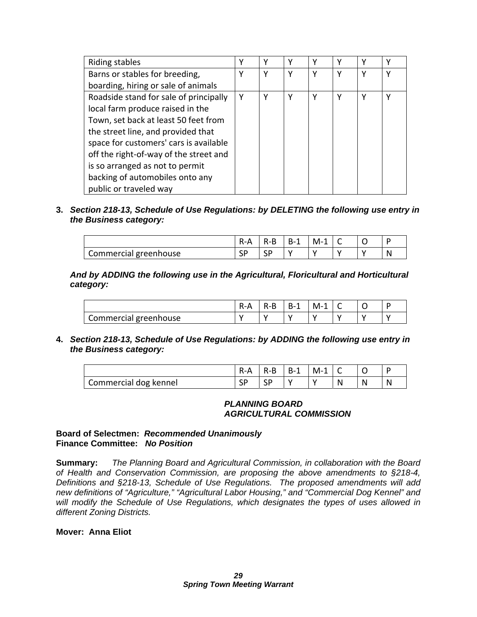| Riding stables                         |   |   | v | v |   |  |
|----------------------------------------|---|---|---|---|---|--|
| Barns or stables for breeding,         | γ | Υ | γ | v | v |  |
| boarding, hiring or sale of animals    |   |   |   |   |   |  |
| Roadside stand for sale of principally | Υ | γ | ۷ | ٧ | v |  |
| local farm produce raised in the       |   |   |   |   |   |  |
| Town, set back at least 50 feet from   |   |   |   |   |   |  |
| the street line, and provided that     |   |   |   |   |   |  |
| space for customers' cars is available |   |   |   |   |   |  |
| off the right-of-way of the street and |   |   |   |   |   |  |
| is so arranged as not to permit        |   |   |   |   |   |  |
| backing of automobiles onto any        |   |   |   |   |   |  |
| public or traveled way                 |   |   |   |   |   |  |

**3.** *Section 218-13, Schedule of Use Regulations: by DELETING the following use entry in the Business category:* 

|                       | Ð<br>K-A | к-в | $B -$<br>- | M- | ◡ |  |
|-----------------------|----------|-----|------------|----|---|--|
| Commercial greenhouse | ιب       | эF  |            |    |   |  |

*And by ADDING the following use in the Agricultural, Floricultural and Horticultural category:* 

|                       | к - д | к.к | к.:<br>-- | "<br>. |  |  |
|-----------------------|-------|-----|-----------|--------|--|--|
| Commercial greenhouse |       |     |           |        |  |  |

**4.** *Section 218-13, Schedule of Use Regulations: by ADDING the following use entry in the Business category:* 

|                       | $R - A$ | $R-B$ | $B-1$ | M-1 |   |  |
|-----------------------|---------|-------|-------|-----|---|--|
| Commercial dog kennel | ا ب     | SP    |       |     | N |  |

#### *PLANNING BOARD AGRICULTURAL COMMISSION*

#### **Board of Selectmen:** *Recommended Unanimously* **Finance Committee:** *No Position*

**Summary:** *The Planning Board and Agricultural Commission, in collaboration with the Board of Health and Conservation Commission, are proposing the above amendments to §218-4, Definitions and §218-13, Schedule of Use Regulations. The proposed amendments will add new definitions of "Agriculture," "Agricultural Labor Housing," and "Commercial Dog Kennel" and will modify the Schedule of Use Regulations, which designates the types of uses allowed in different Zoning Districts.* 

#### **Mover: Anna Eliot**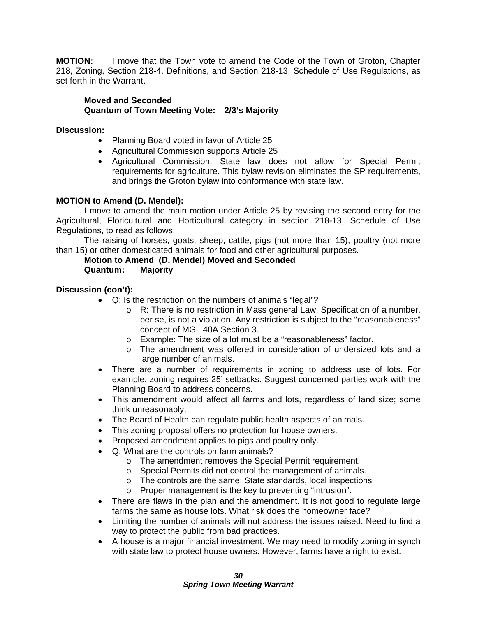**MOTION:** I move that the Town vote to amend the Code of the Town of Groton, Chapter 218, Zoning, Section 218-4, Definitions, and Section 218-13, Schedule of Use Regulations, as set forth in the Warrant.

#### **Moved and Seconded Quantum of Town Meeting Vote: 2/3's Majority**

#### **Discussion:**

- Planning Board voted in favor of Article 25
- Agricultural Commission supports Article 25
- Agricultural Commission: State law does not allow for Special Permit requirements for agriculture. This bylaw revision eliminates the SP requirements, and brings the Groton bylaw into conformance with state law.

#### **MOTION to Amend (D. Mendel):**

I move to amend the main motion under Article 25 by revising the second entry for the Agricultural, Floricultural and Horticultural category in section 218-13, Schedule of Use Regulations, to read as follows:

 The raising of horses, goats, sheep, cattle, pigs (not more than 15), poultry (not more than 15) or other domesticated animals for food and other agricultural purposes.

#### **Motion to Amend (D. Mendel) Moved and Seconded Quantum: Majority**

#### **Discussion (con't):**

- Q: Is the restriction on the numbers of animals "legal"?
	- o R: There is no restriction in Mass general Law. Specification of a number, per se, is not a violation. Any restriction is subject to the "reasonableness" concept of MGL 40A Section 3.
	- o Example: The size of a lot must be a "reasonableness" factor.
	- o The amendment was offered in consideration of undersized lots and a large number of animals.
- There are a number of requirements in zoning to address use of lots. For example, zoning requires 25' setbacks. Suggest concerned parties work with the Planning Board to address concerns.
- This amendment would affect all farms and lots, regardless of land size; some think unreasonably.
- The Board of Health can regulate public health aspects of animals.
- This zoning proposal offers no protection for house owners.
- Proposed amendment applies to pigs and poultry only.
- Q: What are the controls on farm animals?
	- o The amendment removes the Special Permit requirement.
	- o Special Permits did not control the management of animals.
	- o The controls are the same: State standards, local inspections
	- o Proper management is the key to preventing "intrusion".
- There are flaws in the plan and the amendment. It is not good to regulate large farms the same as house lots. What risk does the homeowner face?
- Limiting the number of animals will not address the issues raised. Need to find a way to protect the public from bad practices.
- A house is a major financial investment. We may need to modify zoning in synch with state law to protect house owners. However, farms have a right to exist.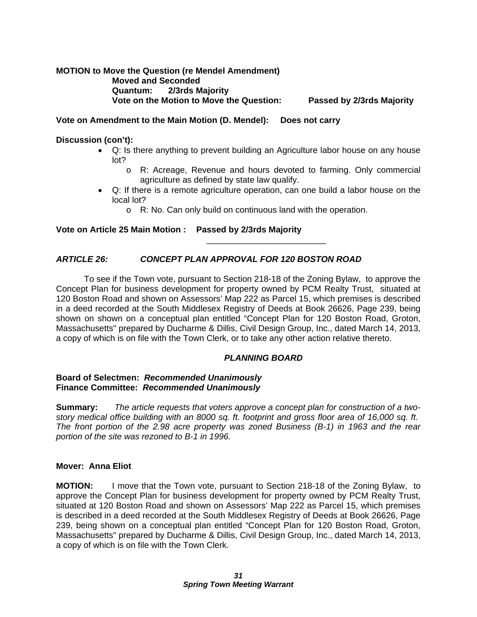#### **MOTION to Move the Question (re Mendel Amendment) Moved and Seconded Quantum: 2/3rds Majority Vote on the Motion to Move the Question: Passed by 2/3rds Majority**

#### **Vote on Amendment to the Main Motion (D. Mendel): Does not carry**

#### **Discussion (con't):**

- Q: Is there anything to prevent building an Agriculture labor house on any house lot?
	- o R: Acreage, Revenue and hours devoted to farming. Only commercial agriculture as defined by state law qualify.
- Q: If there is a remote agriculture operation, can one build a labor house on the local lot?

\_\_\_\_\_\_\_\_\_\_\_\_\_\_\_\_\_\_\_\_\_\_\_\_\_

o R: No. Can only build on continuous land with the operation.

#### **Vote on Article 25 Main Motion : Passed by 2/3rds Majority**

#### *ARTICLE 26: CONCEPT PLAN APPROVAL FOR 120 BOSTON ROAD*

To see if the Town vote, pursuant to Section 218-18 of the Zoning Bylaw, to approve the Concept Plan for business development for property owned by PCM Realty Trust, situated at 120 Boston Road and shown on Assessors' Map 222 as Parcel 15, which premises is described in a deed recorded at the South Middlesex Registry of Deeds at Book 26626, Page 239, being shown on shown on a conceptual plan entitled "Concept Plan for 120 Boston Road, Groton, Massachusetts" prepared by Ducharme & Dillis, Civil Design Group, Inc., dated March 14, 2013, a copy of which is on file with the Town Clerk, or to take any other action relative thereto.

#### *PLANNING BOARD*

#### **Board of Selectmen:** *Recommended Unanimously* **Finance Committee:** *Recommended Unanimously*

**Summary:** *The article requests that voters approve a concept plan for construction of a twostory medical office building with an 8000 sq. ft. footprint and gross floor area of 16,000 sq. ft. The front portion of the 2.98 acre property was zoned Business (B-1) in 1963 and the rear portion of the site was rezoned to B-1 in 1996.* 

#### **Mover: Anna Eliot**

**MOTION:** I move that the Town vote, pursuant to Section 218-18 of the Zoning Bylaw, to approve the Concept Plan for business development for property owned by PCM Realty Trust, situated at 120 Boston Road and shown on Assessors' Map 222 as Parcel 15, which premises is described in a deed recorded at the South Middlesex Registry of Deeds at Book 26626, Page 239, being shown on a conceptual plan entitled "Concept Plan for 120 Boston Road, Groton, Massachusetts" prepared by Ducharme & Dillis, Civil Design Group, Inc., dated March 14, 2013, a copy of which is on file with the Town Clerk.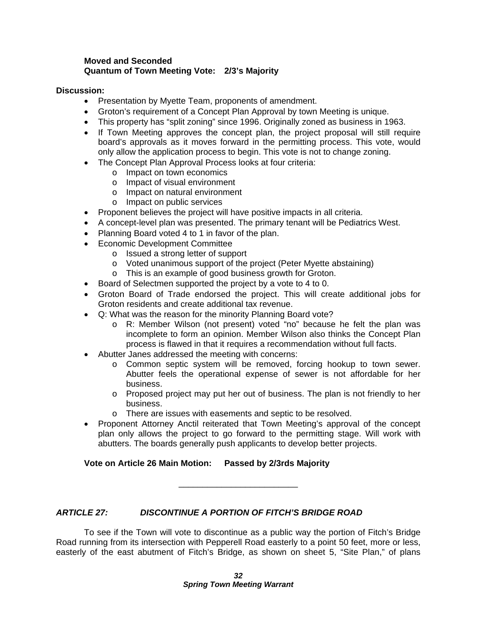#### **Moved and Seconded Quantum of Town Meeting Vote: 2/3's Majority**

#### **Discussion:**

- Presentation by Myette Team, proponents of amendment.
- Groton's requirement of a Concept Plan Approval by town Meeting is unique.
- This property has "split zoning" since 1996. Originally zoned as business in 1963.
- If Town Meeting approves the concept plan, the project proposal will still require board's approvals as it moves forward in the permitting process. This vote, would only allow the application process to begin. This vote is not to change zoning.
- The Concept Plan Approval Process looks at four criteria:
	- o Impact on town economics
	- o Impact of visual environment
	- o Impact on natural environment
	- o Impact on public services
- Proponent believes the project will have positive impacts in all criteria.
- A concept-level plan was presented. The primary tenant will be Pediatrics West.
- Planning Board voted 4 to 1 in favor of the plan.
- Economic Development Committee
	- o Issued a strong letter of support
	- o Voted unanimous support of the project (Peter Myette abstaining)
	- o This is an example of good business growth for Groton.
- Board of Selectmen supported the project by a vote to 4 to 0.
- Groton Board of Trade endorsed the project. This will create additional jobs for Groton residents and create additional tax revenue.
- Q: What was the reason for the minority Planning Board vote?
	- o R: Member Wilson (not present) voted "no" because he felt the plan was incomplete to form an opinion. Member Wilson also thinks the Concept Plan process is flawed in that it requires a recommendation without full facts.
- Abutter Janes addressed the meeting with concerns:
	- o Common septic system will be removed, forcing hookup to town sewer. Abutter feels the operational expense of sewer is not affordable for her business.
	- o Proposed project may put her out of business. The plan is not friendly to her business.
	- o There are issues with easements and septic to be resolved.
- Proponent Attorney Anctil reiterated that Town Meeting's approval of the concept plan only allows the project to go forward to the permitting stage. Will work with abutters. The boards generally push applicants to develop better projects.

**Vote on Article 26 Main Motion: Passed by 2/3rds Majority** 

#### *ARTICLE 27: DISCONTINUE A PORTION OF FITCH'S BRIDGE ROAD*

 To see if the Town will vote to discontinue as a public way the portion of Fitch's Bridge Road running from its intersection with Pepperell Road easterly to a point 50 feet, more or less, easterly of the east abutment of Fitch's Bridge, as shown on sheet 5, "Site Plan," of plans

\_\_\_\_\_\_\_\_\_\_\_\_\_\_\_\_\_\_\_\_\_\_\_\_\_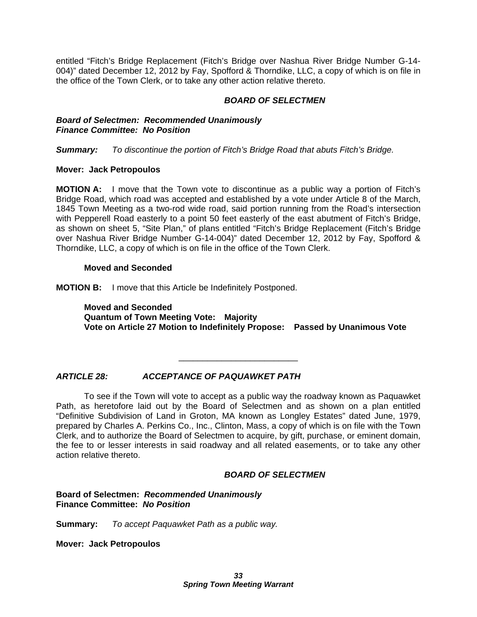entitled "Fitch's Bridge Replacement (Fitch's Bridge over Nashua River Bridge Number G-14- 004)" dated December 12, 2012 by Fay, Spofford & Thorndike, LLC, a copy of which is on file in the office of the Town Clerk, or to take any other action relative thereto.

#### *BOARD OF SELECTMEN*

#### *Board of Selectmen: Recommended Unanimously Finance Committee: No Position*

*Summary: To discontinue the portion of Fitch's Bridge Road that abuts Fitch's Bridge.* 

#### **Mover: Jack Petropoulos**

**MOTION A:** I move that the Town vote to discontinue as a public way a portion of Fitch's Bridge Road, which road was accepted and established by a vote under Article 8 of the March, 1845 Town Meeting as a two-rod wide road, said portion running from the Road's intersection with Pepperell Road easterly to a point 50 feet easterly of the east abutment of Fitch's Bridge, as shown on sheet 5, "Site Plan," of plans entitled "Fitch's Bridge Replacement (Fitch's Bridge over Nashua River Bridge Number G-14-004)" dated December 12, 2012 by Fay, Spofford & Thorndike, LLC, a copy of which is on file in the office of the Town Clerk.

#### **Moved and Seconded**

**MOTION B:** I move that this Article be Indefinitely Postponed.

**Moved and Seconded Quantum of Town Meeting Vote: Majority Vote on Article 27 Motion to Indefinitely Propose: Passed by Unanimous Vote** 

#### *ARTICLE 28: ACCEPTANCE OF PAQUAWKET PATH*

 To see if the Town will vote to accept as a public way the roadway known as Paquawket Path, as heretofore laid out by the Board of Selectmen and as shown on a plan entitled "Definitive Subdivision of Land in Groton, MA known as Longley Estates" dated June, 1979, prepared by Charles A. Perkins Co., Inc., Clinton, Mass, a copy of which is on file with the Town Clerk, and to authorize the Board of Selectmen to acquire, by gift, purchase, or eminent domain, the fee to or lesser interests in said roadway and all related easements, or to take any other action relative thereto.

\_\_\_\_\_\_\_\_\_\_\_\_\_\_\_\_\_\_\_\_\_\_\_\_\_

#### *BOARD OF SELECTMEN*

**Board of Selectmen:** *Recommended Unanimously* **Finance Committee:** *No Position*

**Summary:** *To accept Paquawket Path as a public way.* 

**Mover: Jack Petropoulos**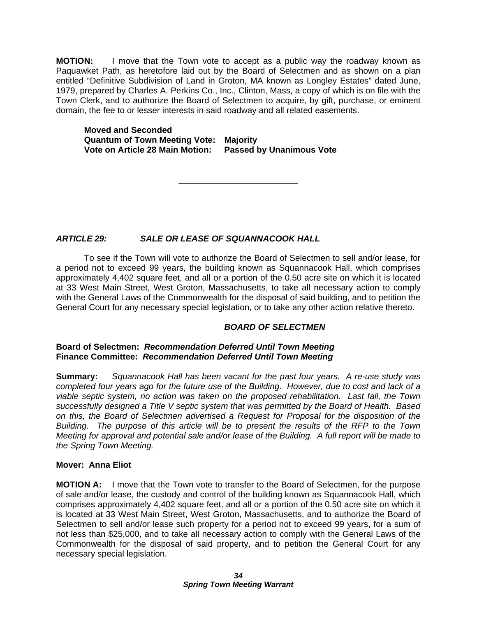**MOTION:** I move that the Town vote to accept as a public way the roadway known as Paquawket Path, as heretofore laid out by the Board of Selectmen and as shown on a plan entitled "Definitive Subdivision of Land in Groton, MA known as Longley Estates" dated June, 1979, prepared by Charles A. Perkins Co., Inc., Clinton, Mass, a copy of which is on file with the Town Clerk, and to authorize the Board of Selectmen to acquire, by gift, purchase, or eminent domain, the fee to or lesser interests in said roadway and all related easements.

\_\_\_\_\_\_\_\_\_\_\_\_\_\_\_\_\_\_\_\_\_\_\_\_\_

**Moved and Seconded Quantum of Town Meeting Vote: Majority Vote on Article 28 Main Motion: Passed by Unanimous Vote** 

*ARTICLE 29: SALE OR LEASE OF SQUANNACOOK HALL* 

 To see if the Town will vote to authorize the Board of Selectmen to sell and/or lease, for a period not to exceed 99 years, the building known as Squannacook Hall, which comprises approximately 4,402 square feet, and all or a portion of the 0.50 acre site on which it is located at 33 West Main Street, West Groton, Massachusetts, to take all necessary action to comply with the General Laws of the Commonwealth for the disposal of said building, and to petition the General Court for any necessary special legislation, or to take any other action relative thereto.

### *BOARD OF SELECTMEN*

#### **Board of Selectmen:** *Recommendation Deferred Until Town Meeting* **Finance Committee:** *Recommendation Deferred Until Town Meeting*

**Summary:** *Squannacook Hall has been vacant for the past four years. A re-use study was completed four years ago for the future use of the Building. However, due to cost and lack of a viable septic system, no action was taken on the proposed rehabilitation. Last fall, the Town successfully designed a Title V septic system that was permitted by the Board of Health. Based on this, the Board of Selectmen advertised a Request for Proposal for the disposition of the Building. The purpose of this article will be to present the results of the RFP to the Town Meeting for approval and potential sale and/or lease of the Building. A full report will be made to the Spring Town Meeting.* 

#### **Mover: Anna Eliot**

**MOTION A:** I move that the Town vote to transfer to the Board of Selectmen, for the purpose of sale and/or lease, the custody and control of the building known as Squannacook Hall, which comprises approximately 4,402 square feet, and all or a portion of the 0.50 acre site on which it is located at 33 West Main Street, West Groton, Massachusetts, and to authorize the Board of Selectmen to sell and/or lease such property for a period not to exceed 99 years, for a sum of not less than \$25,000, and to take all necessary action to comply with the General Laws of the Commonwealth for the disposal of said property, and to petition the General Court for any necessary special legislation.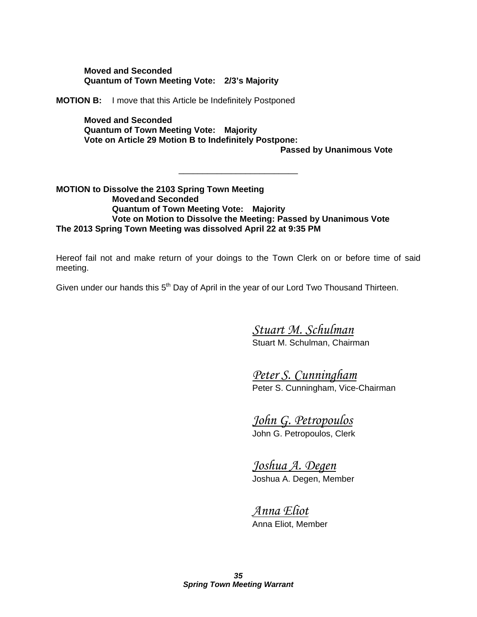**Moved and Seconded Quantum of Town Meeting Vote: 2/3's Majority** 

**MOTION B:** I move that this Article be Indefinitely Postponed

**Moved and Seconded Quantum of Town Meeting Vote: Majority Vote on Article 29 Motion B to Indefinitely Postpone:** 

\_\_\_\_\_\_\_\_\_\_\_\_\_\_\_\_\_\_\_\_\_\_\_\_\_

**Passed by Unanimous Vote** 

**MOTION to Dissolve the 2103 Spring Town Meeting Moved and Seconded Quantum of Town Meeting Vote: Majority Vote on Motion to Dissolve the Meeting: Passed by Unanimous Vote The 2013 Spring Town Meeting was dissolved April 22 at 9:35 PM** 

Hereof fail not and make return of your doings to the Town Clerk on or before time of said meeting.

Given under our hands this 5<sup>th</sup> Day of April in the year of our Lord Two Thousand Thirteen.

 *Stuart M. Schulman*  Stuart M. Schulman, Chairman

 *Peter S. Cunningham*  Peter S. Cunningham, Vice-Chairman

 *John G. Petropoulos* 

John G. Petropoulos, Clerk

 *Joshua A. Degen*  Joshua A. Degen, Member

 *Anna Eliot*  Anna Eliot, Member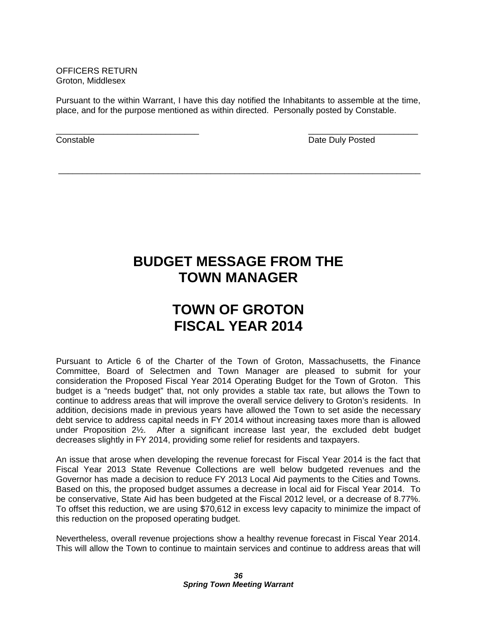OFFICERS RETURN Groton, Middlesex

Pursuant to the within Warrant, I have this day notified the Inhabitants to assemble at the time, place, and for the purpose mentioned as within directed. Personally posted by Constable.

 $\overline{\phantom{a}}$  , and the contract of the contract of the contract of the contract of the contract of the contract of the contract of the contract of the contract of the contract of the contract of the contract of the contrac

\_\_\_\_\_\_\_\_\_\_\_\_\_\_\_\_\_\_\_\_\_\_\_\_\_\_\_\_\_\_\_\_\_\_\_\_\_\_\_\_\_\_\_\_\_\_\_\_\_\_\_\_\_\_\_\_\_\_\_\_\_\_\_\_\_\_\_\_\_\_\_\_\_\_\_\_

**Constable Constable Date Duly Posted Date Duly Posted** 

## **BUDGET MESSAGE FROM THE TOWN MANAGER**

# **TOWN OF GROTON FISCAL YEAR 2014**

Pursuant to Article 6 of the Charter of the Town of Groton, Massachusetts, the Finance Committee, Board of Selectmen and Town Manager are pleased to submit for your consideration the Proposed Fiscal Year 2014 Operating Budget for the Town of Groton. This budget is a "needs budget" that, not only provides a stable tax rate, but allows the Town to continue to address areas that will improve the overall service delivery to Groton's residents. In addition, decisions made in previous years have allowed the Town to set aside the necessary debt service to address capital needs in FY 2014 without increasing taxes more than is allowed under Proposition 2½. After a significant increase last year, the excluded debt budget decreases slightly in FY 2014, providing some relief for residents and taxpayers.

An issue that arose when developing the revenue forecast for Fiscal Year 2014 is the fact that Fiscal Year 2013 State Revenue Collections are well below budgeted revenues and the Governor has made a decision to reduce FY 2013 Local Aid payments to the Cities and Towns. Based on this, the proposed budget assumes a decrease in local aid for Fiscal Year 2014. To be conservative, State Aid has been budgeted at the Fiscal 2012 level, or a decrease of 8.77%. To offset this reduction, we are using \$70,612 in excess levy capacity to minimize the impact of this reduction on the proposed operating budget.

Nevertheless, overall revenue projections show a healthy revenue forecast in Fiscal Year 2014. This will allow the Town to continue to maintain services and continue to address areas that will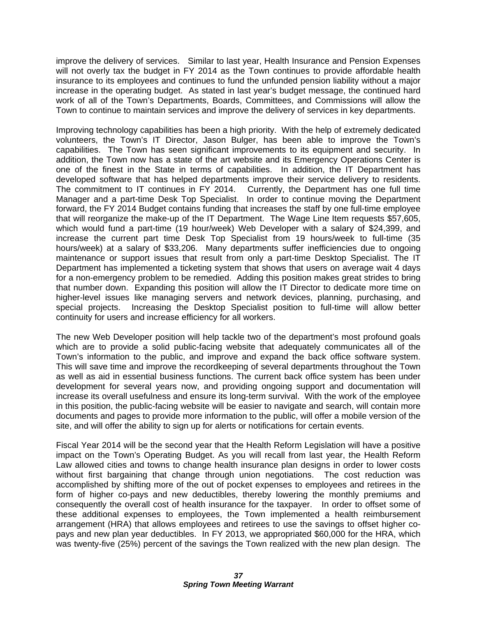improve the delivery of services. Similar to last year, Health Insurance and Pension Expenses will not overly tax the budget in FY 2014 as the Town continues to provide affordable health insurance to its employees and continues to fund the unfunded pension liability without a major increase in the operating budget. As stated in last year's budget message, the continued hard work of all of the Town's Departments, Boards, Committees, and Commissions will allow the Town to continue to maintain services and improve the delivery of services in key departments.

Improving technology capabilities has been a high priority. With the help of extremely dedicated volunteers, the Town's IT Director, Jason Bulger, has been able to improve the Town's capabilities. The Town has seen significant improvements to its equipment and security. In addition, the Town now has a state of the art website and its Emergency Operations Center is one of the finest in the State in terms of capabilities. In addition, the IT Department has developed software that has helped departments improve their service delivery to residents. The commitment to IT continues in FY 2014. Currently, the Department has one full time Manager and a part-time Desk Top Specialist. In order to continue moving the Department forward, the FY 2014 Budget contains funding that increases the staff by one full-time employee that will reorganize the make-up of the IT Department. The Wage Line Item requests \$57,605, which would fund a part-time (19 hour/week) Web Developer with a salary of \$24,399, and increase the current part time Desk Top Specialist from 19 hours/week to full-time (35 hours/week) at a salary of \$33,206. Many departments suffer inefficiencies due to ongoing maintenance or support issues that result from only a part-time Desktop Specialist. The IT Department has implemented a ticketing system that shows that users on average wait 4 days for a non-emergency problem to be remedied. Adding this position makes great strides to bring that number down. Expanding this position will allow the IT Director to dedicate more time on higher-level issues like managing servers and network devices, planning, purchasing, and special projects. Increasing the Desktop Specialist position to full-time will allow better continuity for users and increase efficiency for all workers.

The new Web Developer position will help tackle two of the department's most profound goals which are to provide a solid public-facing website that adequately communicates all of the Town's information to the public, and improve and expand the back office software system. This will save time and improve the recordkeeping of several departments throughout the Town as well as aid in essential business functions. The current back office system has been under development for several years now, and providing ongoing support and documentation will increase its overall usefulness and ensure its long-term survival. With the work of the employee in this position, the public-facing website will be easier to navigate and search, will contain more documents and pages to provide more information to the public, will offer a mobile version of the site, and will offer the ability to sign up for alerts or notifications for certain events.

Fiscal Year 2014 will be the second year that the Health Reform Legislation will have a positive impact on the Town's Operating Budget. As you will recall from last year, the Health Reform Law allowed cities and towns to change health insurance plan designs in order to lower costs without first bargaining that change through union negotiations. The cost reduction was accomplished by shifting more of the out of pocket expenses to employees and retirees in the form of higher co-pays and new deductibles, thereby lowering the monthly premiums and consequently the overall cost of health insurance for the taxpayer. In order to offset some of these additional expenses to employees, the Town implemented a health reimbursement arrangement (HRA) that allows employees and retirees to use the savings to offset higher copays and new plan year deductibles. In FY 2013, we appropriated \$60,000 for the HRA, which was twenty-five (25%) percent of the savings the Town realized with the new plan design. The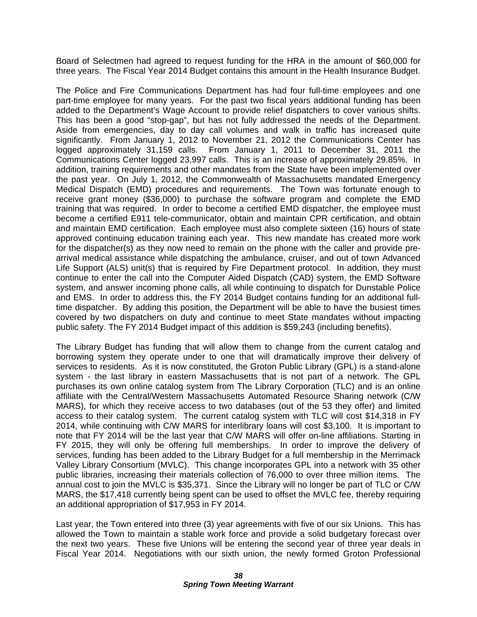Board of Selectmen had agreed to request funding for the HRA in the amount of \$60,000 for three years. The Fiscal Year 2014 Budget contains this amount in the Health Insurance Budget.

The Police and Fire Communications Department has had four full-time employees and one part-time employee for many years. For the past two fiscal years additional funding has been added to the Department's Wage Account to provide relief dispatchers to cover various shifts. This has been a good "stop-gap", but has not fully addressed the needs of the Department. Aside from emergencies, day to day call volumes and walk in traffic has increased quite significantly. From January 1, 2012 to November 21, 2012 the Communications Center has logged approximately 31,159 calls. From January 1, 2011 to December 31, 2011 the Communications Center logged 23,997 calls. This is an increase of approximately 29.85%. In addition, training requirements and other mandates from the State have been implemented over the past year. On July 1, 2012, the Commonwealth of Massachusetts mandated Emergency Medical Dispatch (EMD) procedures and requirements. The Town was fortunate enough to receive grant money (\$36,000) to purchase the software program and complete the EMD training that was required. In order to become a certified EMD dispatcher, the employee must become a certified E911 tele-communicator, obtain and maintain CPR certification, and obtain and maintain EMD certification. Each employee must also complete sixteen (16) hours of state approved continuing education training each year. This new mandate has created more work for the dispatcher(s) as they now need to remain on the phone with the caller and provide prearrival medical assistance while dispatching the ambulance, cruiser, and out of town Advanced Life Support (ALS) unit(s) that is required by Fire Department protocol. In addition, they must continue to enter the call into the Computer Aided Dispatch (CAD) system, the EMD Software system, and answer incoming phone calls, all while continuing to dispatch for Dunstable Police and EMS. In order to address this, the FY 2014 Budget contains funding for an additional fulltime dispatcher. By adding this position, the Department will be able to have the busiest times covered by two dispatchers on duty and continue to meet State mandates without impacting public safety. The FY 2014 Budget impact of this addition is \$59,243 (including benefits).

The Library Budget has funding that will allow them to change from the current catalog and borrowing system they operate under to one that will dramatically improve their delivery of services to residents. As it is now constituted, the Groton Public Library (GPL) is a stand-alone system - the last library in eastern Massachusetts that is not part of a network. The GPL purchases its own online catalog system from The Library Corporation (TLC) and is an online affiliate with the Central/Western Massachusetts Automated Resource Sharing network (C/W MARS), for which they receive access to two databases (out of the 53 they offer) and limited access to their catalog system. The current catalog system with TLC will cost \$14,318 in FY 2014, while continuing with C/W MARS for interlibrary loans will cost \$3,100. It is important to note that FY 2014 will be the last year that C/W MARS will offer on-line affiliations. Starting in FY 2015, they will only be offering full memberships. In order to improve the delivery of services, funding has been added to the Library Budget for a full membership in the Merrimack Valley Library Consortium (MVLC). This change incorporates GPL into a network with 35 other public libraries, increasing their materials collection of 76,000 to over three million items. The annual cost to join the MVLC is \$35,371. Since the Library will no longer be part of TLC or C/W MARS, the \$17,418 currently being spent can be used to offset the MVLC fee, thereby requiring an additional appropriation of \$17,953 in FY 2014.

Last year, the Town entered into three (3) year agreements with five of our six Unions. This has allowed the Town to maintain a stable work force and provide a solid budgetary forecast over the next two years. These five Unions will be entering the second year of three year deals in Fiscal Year 2014. Negotiations with our sixth union, the newly formed Groton Professional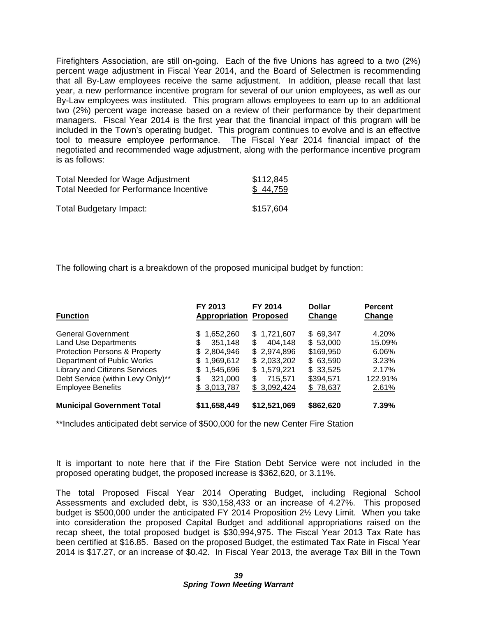Firefighters Association, are still on-going. Each of the five Unions has agreed to a two (2%) percent wage adjustment in Fiscal Year 2014, and the Board of Selectmen is recommending that all By-Law employees receive the same adjustment. In addition, please recall that last year, a new performance incentive program for several of our union employees, as well as our By-Law employees was instituted. This program allows employees to earn up to an additional two (2%) percent wage increase based on a review of their performance by their department managers. Fiscal Year 2014 is the first year that the financial impact of this program will be included in the Town's operating budget. This program continues to evolve and is an effective tool to measure employee performance. The Fiscal Year 2014 financial impact of the negotiated and recommended wage adjustment, along with the performance incentive program is as follows:

| <b>Total Needed for Wage Adjustment</b> | \$112,845 |
|-----------------------------------------|-----------|
| Total Needed for Performance Incentive  | \$44,759  |
| <b>Total Budgetary Impact:</b>          | \$157,604 |

The following chart is a breakdown of the proposed municipal budget by function:

| <b>Function</b>                          | FY 2013<br>Appropriation | FY 2014<br><b>Proposed</b> | <b>Dollar</b><br>Change | <b>Percent</b><br>Change |
|------------------------------------------|--------------------------|----------------------------|-------------------------|--------------------------|
| <b>General Government</b>                | 1,652,260<br>\$.         | \$1.721.607                | \$69.347                | 4.20%                    |
| <b>Land Use Departments</b>              | 351,148<br>S             | \$<br>404,148              | \$53,000                | 15.09%                   |
| <b>Protection Persons &amp; Property</b> | \$2,804,946              | \$2,974,896                | \$169,950               | 6.06%                    |
| Department of Public Works               | \$1,969,612              | \$2,033,202                | \$63,590                | 3.23%                    |
| <b>Library and Citizens Services</b>     | 1,545,696<br>\$.         | \$1,579,221                | \$33,525                | 2.17%                    |
| Debt Service (within Levy Only)**        | 321,000                  | 715.571<br>S               | \$394,571               | 122.91%                  |
| <b>Employee Benefits</b>                 | \$3,013,787              | \$3,092,424                | \$78,637                | 2.61%                    |
| <b>Municipal Government Total</b>        | \$11,658,449             | \$12,521,069               | \$862,620               | 7.39%                    |

\*\*Includes anticipated debt service of \$500,000 for the new Center Fire Station

It is important to note here that if the Fire Station Debt Service were not included in the proposed operating budget, the proposed increase is \$362,620, or 3.11%.

The total Proposed Fiscal Year 2014 Operating Budget, including Regional School Assessments and excluded debt, is \$30,158,433 or an increase of 4.27%. This proposed budget is \$500,000 under the anticipated FY 2014 Proposition 2½ Levy Limit. When you take into consideration the proposed Capital Budget and additional appropriations raised on the recap sheet, the total proposed budget is \$30,994,975. The Fiscal Year 2013 Tax Rate has been certified at \$16.85. Based on the proposed Budget, the estimated Tax Rate in Fiscal Year 2014 is \$17.27, or an increase of \$0.42. In Fiscal Year 2013, the average Tax Bill in the Town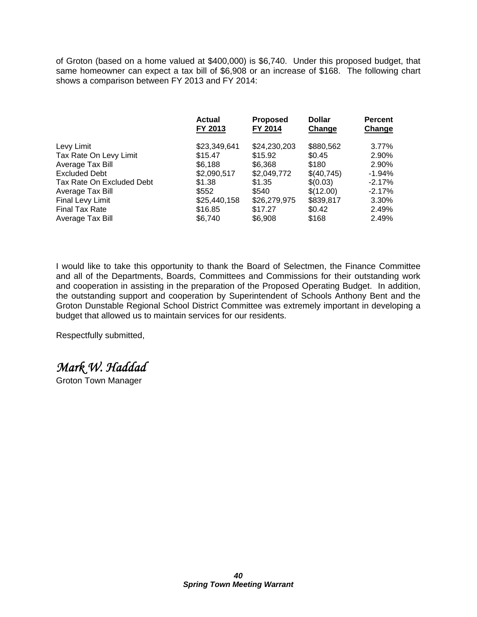of Groton (based on a home valued at \$400,000) is \$6,740. Under this proposed budget, that same homeowner can expect a tax bill of \$6,908 or an increase of \$168. The following chart shows a comparison between FY 2013 and FY 2014:

|                           | <b>Actual</b><br>FY 2013 | <b>Proposed</b><br>FY 2014 | <b>Dollar</b><br>Change | <b>Percent</b><br>Change |
|---------------------------|--------------------------|----------------------------|-------------------------|--------------------------|
| Levy Limit                | \$23,349,641             | \$24,230,203               | \$880,562               | 3.77%                    |
| Tax Rate On Levy Limit    | \$15.47                  | \$15.92                    | \$0.45                  | 2.90%                    |
| Average Tax Bill          | \$6.188                  | \$6,368                    | \$180                   | 2.90%                    |
| <b>Excluded Debt</b>      | \$2,090,517              | \$2,049,772                | \$(40,745)              | $-1.94\%$                |
| Tax Rate On Excluded Debt | \$1.38                   | \$1.35                     | \$(0.03)                | $-2.17\%$                |
| Average Tax Bill          | \$552                    | \$540                      | \$(12.00)               | $-2.17\%$                |
| Final Levy Limit          | \$25,440,158             | \$26,279,975               | \$839,817               | 3.30%                    |
| <b>Final Tax Rate</b>     | \$16.85                  | \$17.27                    | \$0.42                  | 2.49%                    |
| Average Tax Bill          | \$6.740                  | \$6.908                    | \$168                   | 2.49%                    |

I would like to take this opportunity to thank the Board of Selectmen, the Finance Committee and all of the Departments, Boards, Committees and Commissions for their outstanding work and cooperation in assisting in the preparation of the Proposed Operating Budget. In addition, the outstanding support and cooperation by Superintendent of Schools Anthony Bent and the Groton Dunstable Regional School District Committee was extremely important in developing a budget that allowed us to maintain services for our residents.

Respectfully submitted,

*Mark W. Haddad* 

Groton Town Manager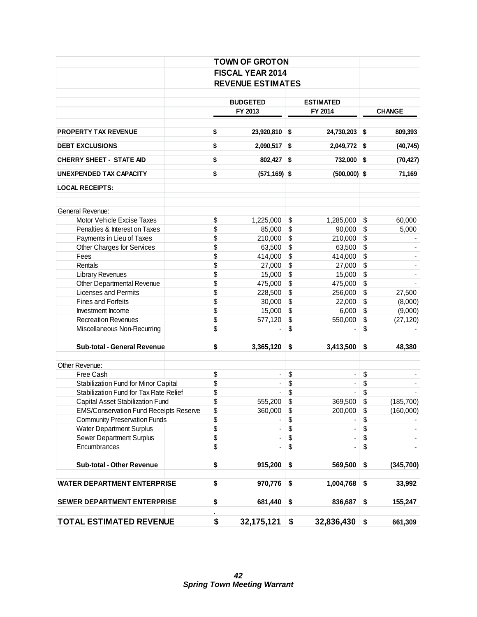|                                               |                                                                                                                                                                                                           | <b>FISCAL YEAR 2014</b>      |                   |                          |    |               |  |  |  |  |  |
|-----------------------------------------------|-----------------------------------------------------------------------------------------------------------------------------------------------------------------------------------------------------------|------------------------------|-------------------|--------------------------|----|---------------|--|--|--|--|--|
|                                               | <b>REVENUE ESTIMATES</b><br><b>BUDGETED</b><br><b>ESTIMATED</b>                                                                                                                                           |                              |                   |                          |    |               |  |  |  |  |  |
|                                               |                                                                                                                                                                                                           |                              |                   |                          |    |               |  |  |  |  |  |
|                                               |                                                                                                                                                                                                           |                              |                   |                          |    |               |  |  |  |  |  |
|                                               | <b>TOWN OF GROTON</b><br>\$<br>\$<br>\$<br>\$<br>\$<br>\$<br>\$<br>\$<br>\$<br>\$<br>\$<br>\$<br>\$<br>\$<br>\$<br>\$<br>\$<br>\$<br>\$<br>\$<br>\$<br>\$<br>\$<br>\$<br>\$<br>\$<br>\$<br>\$<br>\$<br>\$ | FY 2013                      |                   | FY 2014                  |    | <b>CHANGE</b> |  |  |  |  |  |
|                                               |                                                                                                                                                                                                           |                              |                   |                          |    |               |  |  |  |  |  |
| <b>PROPERTY TAX REVENUE</b>                   |                                                                                                                                                                                                           | $23,920,810$ \$              |                   | 24,730,203 \$            |    | 809,393       |  |  |  |  |  |
| <b>DEBT EXCLUSIONS</b>                        |                                                                                                                                                                                                           | $2,090,517$ \$               |                   | $2,049,772$ \$           |    | (40, 745)     |  |  |  |  |  |
| <b>CHERRY SHEET - STATE AID</b>               |                                                                                                                                                                                                           | $802,427$ \$                 |                   | 732,000 \$               |    | (70, 427)     |  |  |  |  |  |
| UNEXPENDED TAX CAPACITY                       |                                                                                                                                                                                                           | $(571, 169)$ \$              |                   | $(500,000)$ \$           |    | 71,169        |  |  |  |  |  |
| <b>LOCAL RECEIPTS:</b>                        |                                                                                                                                                                                                           |                              |                   |                          |    |               |  |  |  |  |  |
| General Revenue:                              |                                                                                                                                                                                                           |                              |                   |                          |    |               |  |  |  |  |  |
| Motor Vehicle Excise Taxes                    |                                                                                                                                                                                                           | 1,225,000                    | \$                | 1,285,000                | \$ | 60,000        |  |  |  |  |  |
| Penalties & Interest on Taxes                 |                                                                                                                                                                                                           | 85,000                       | \$                | 90,000                   | \$ | 5,000         |  |  |  |  |  |
| Payments in Lieu of Taxes                     |                                                                                                                                                                                                           | 210,000                      | $\boldsymbol{\$}$ | 210,000                  | \$ |               |  |  |  |  |  |
| Other Charges for Services                    |                                                                                                                                                                                                           | 63,500                       | \$                | 63,500                   | \$ |               |  |  |  |  |  |
| Fees                                          |                                                                                                                                                                                                           | 414,000                      | \$                | 414,000                  | \$ |               |  |  |  |  |  |
| Rentals                                       |                                                                                                                                                                                                           | 27,000                       | \$                | 27,000                   | \$ |               |  |  |  |  |  |
| Library Revenues                              |                                                                                                                                                                                                           | 15,000                       | \$                | 15,000                   | \$ |               |  |  |  |  |  |
| Other Departmental Revenue                    |                                                                                                                                                                                                           | 475,000                      | \$                | 475,000                  | \$ |               |  |  |  |  |  |
| <b>Licenses and Permits</b>                   |                                                                                                                                                                                                           | 228,500                      | \$                | 256,000                  | \$ | 27,500        |  |  |  |  |  |
| <b>Fines and Forfeits</b>                     |                                                                                                                                                                                                           | 30,000                       | \$                | 22,000                   | \$ | (8,000)       |  |  |  |  |  |
| Investment Income                             |                                                                                                                                                                                                           | 15,000                       | \$                | 6,000                    | \$ | (9,000)       |  |  |  |  |  |
| <b>Recreation Revenues</b>                    |                                                                                                                                                                                                           | 577,120                      | \$                | 550,000                  | \$ | (27, 120)     |  |  |  |  |  |
| Miscellaneous Non-Recurring                   |                                                                                                                                                                                                           |                              | \$                |                          | \$ |               |  |  |  |  |  |
| <b>Sub-total - General Revenue</b>            |                                                                                                                                                                                                           | 3,365,120                    | \$                | 3,413,500                | \$ | 48,380        |  |  |  |  |  |
|                                               |                                                                                                                                                                                                           |                              |                   |                          |    |               |  |  |  |  |  |
| Other Revenue:                                |                                                                                                                                                                                                           |                              |                   |                          |    |               |  |  |  |  |  |
| Free Cash                                     |                                                                                                                                                                                                           | $\qquad \qquad \blacksquare$ | \$                | $\overline{\phantom{a}}$ | \$ |               |  |  |  |  |  |
| Stabilization Fund for Minor Capital          |                                                                                                                                                                                                           |                              | \$                |                          | \$ |               |  |  |  |  |  |
| <b>Stabilization Fund for Tax Rate Relief</b> |                                                                                                                                                                                                           |                              | \$                |                          | \$ |               |  |  |  |  |  |
| Capital Asset Stabilization Fund              |                                                                                                                                                                                                           | 555,200                      | \$                | 369,500                  | \$ | (185, 700)    |  |  |  |  |  |
| <b>EMS/Conservation Fund Receipts Reserve</b> |                                                                                                                                                                                                           | 360,000                      | \$                | 200,000                  | \$ | (160,000)     |  |  |  |  |  |
| <b>Community Preservation Funds</b>           |                                                                                                                                                                                                           |                              | \$                |                          | \$ |               |  |  |  |  |  |
| <b>Water Department Surplus</b>               |                                                                                                                                                                                                           |                              | \$                |                          | \$ |               |  |  |  |  |  |
| Sewer Department Surplus                      |                                                                                                                                                                                                           |                              | \$                |                          | \$ |               |  |  |  |  |  |
| Encumbrances                                  |                                                                                                                                                                                                           |                              | \$                |                          | \$ |               |  |  |  |  |  |
| <b>Sub-total - Other Revenue</b>              |                                                                                                                                                                                                           | 915,200                      | \$                | 569,500                  | \$ | (345, 700)    |  |  |  |  |  |
| <b>WATER DEPARTMENT ENTERPRISE</b>            |                                                                                                                                                                                                           | 970,776                      | \$                | 1,004,768                | \$ | 33,992        |  |  |  |  |  |
| SEWER DEPARTMENT ENTERPRISE                   |                                                                                                                                                                                                           | 681,440                      | \$                | 836,687                  | \$ | 155,247       |  |  |  |  |  |
| <b>TOTAL ESTIMATED REVENUE</b>                | \$                                                                                                                                                                                                        | 32,175,121                   | \$                | 32,836,430               | \$ | 661,309       |  |  |  |  |  |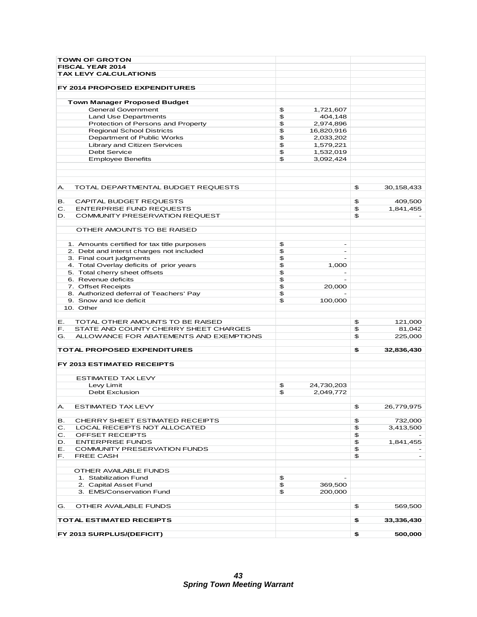| <b>TOWN OF GROTON</b>                                            |                  |                      |            |
|------------------------------------------------------------------|------------------|----------------------|------------|
| FISCAL YEAR 2014                                                 |                  |                      |            |
| <b>TAX LEVY CALCULATIONS</b>                                     |                  |                      |            |
|                                                                  |                  |                      |            |
| FY 2014 PROPOSED EXPENDITURES                                    |                  |                      |            |
|                                                                  |                  |                      |            |
| <b>Town Manager Proposed Budget</b><br><b>General Government</b> | \$<br>1,721,607  |                      |            |
| Land Use Departments                                             | \$<br>404,148    |                      |            |
| Protection of Persons and Property                               | \$<br>2,974,896  |                      |            |
| <b>Regional School Districts</b>                                 | \$<br>16,820,916 |                      |            |
| Department of Public Works                                       | \$<br>2,033,202  |                      |            |
| <b>Library and Citizen Services</b>                              | \$<br>1,579,221  |                      |            |
| <b>Debt Service</b>                                              | \$<br>1,532,019  |                      |            |
| <b>Employee Benefits</b>                                         | \$<br>3,092,424  |                      |            |
|                                                                  |                  |                      |            |
| Α.<br>TOTAL DEPARTMENTAL BUDGET REQUESTS                         |                  | \$                   | 30,158,433 |
| CAPITAL BUDGET REQUESTS<br>в.                                    |                  | \$                   | 409,500    |
| С.<br><b>ENTERPRISE FUND REQUESTS</b>                            |                  | $\mathfrak{P}$       | 1,841,455  |
| COMMUNITY PRESERVATION REQUEST<br>D.                             |                  | \$                   |            |
|                                                                  |                  |                      |            |
| OTHER AMOUNTS TO BE RAISED                                       |                  |                      |            |
|                                                                  |                  |                      |            |
| 1. Amounts certified for tax title purposes                      | \$<br>۰          |                      |            |
| 2. Debt and interst charges not included                         | \$<br>÷          |                      |            |
| 3. Final court judgments                                         | \$               |                      |            |
| 4. Total Overlay deficits of prior years                         | \$<br>1,000      |                      |            |
| 5. Total cherry sheet offsets                                    | \$               |                      |            |
| 6. Revenue deficits                                              | \$               |                      |            |
| 7. Offset Receipts                                               | \$<br>20,000     |                      |            |
| 8. Authorized deferral of Teachers' Pay                          | \$               |                      |            |
| 9. Snow and Ice deficit                                          | \$<br>100,000    |                      |            |
| 10. Other                                                        |                  |                      |            |
|                                                                  |                  |                      |            |
| TOTAL OTHER AMOUNTS TO BE RAISED<br>Е.                           |                  | \$                   | 121,000    |
| STATE AND COUNTY CHERRY SHEET CHARGES<br>F.                      |                  | \$                   | 81,042     |
| G.<br>ALLOWANCE FOR ABATEMENTS AND EXEMPTIONS                    |                  | \$                   | 225,000    |
|                                                                  |                  |                      |            |
| TOTAL PROPOSED EXPENDITURES                                      |                  | \$                   | 32,836,430 |
| FY 2013 ESTIMATED RECEIPTS                                       |                  |                      |            |
| ESTIMATED TAX LEVY                                               |                  |                      |            |
| Levy Limit                                                       | \$<br>24,730,203 |                      |            |
| <b>Debt Exclusion</b>                                            | \$<br>2,049,772  |                      |            |
|                                                                  |                  |                      |            |
| ESTIMATED TAX LEVY<br>А.                                         |                  | \$                   | 26,779,975 |
| CHERRY SHEET ESTIMATED RECEIPTS<br>в.                            |                  | \$                   | 732,000    |
| LOCAL RECEIPTS NOT ALLOCATED<br>С.                               |                  | $\pmb{\mathfrak{P}}$ | 3,413,500  |
| C.<br>OFFSET RECEIPTS                                            |                  | $\mathfrak{P}$       |            |
| <b>ENTERPRISE FUNDS</b><br>D.                                    |                  | $\mathfrak{P}$       | 1,841,455  |
| COMMUNITY PRESERVATION FUNDS<br>Е.                               |                  | $\mathfrak{P}$       |            |
| <b>FREE CASH</b><br>F.                                           |                  | $\mathfrak{P}$       |            |
|                                                                  |                  |                      |            |
| OTHER AVAILABLE FUNDS                                            |                  |                      |            |
| 1. Stabilization Fund                                            | \$               |                      |            |
| 2. Capital Asset Fund                                            | \$<br>369,500    |                      |            |
| 3. EMS/Conservation Fund                                         | \$<br>200,000    |                      |            |
| OTHER AVAILABLE FUNDS<br>G.                                      |                  | \$                   | 569,500    |
| TOTAL ESTIMATED RECEIPTS                                         |                  | \$                   | 33,336,430 |
| FY 2013 SURPLUS/(DEFICIT)                                        |                  | \$                   | 500,000    |
|                                                                  |                  |                      |            |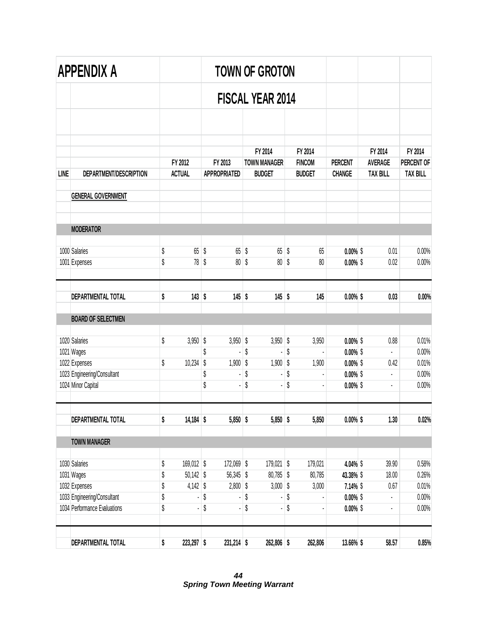|             | APPENDIX A                                        | <b>TOWN OF GROTON</b> |                          |          |                                |          |                                      |          |                                |                                 |                                   |                               |
|-------------|---------------------------------------------------|-----------------------|--------------------------|----------|--------------------------------|----------|--------------------------------------|----------|--------------------------------|---------------------------------|-----------------------------------|-------------------------------|
|             |                                                   |                       |                          |          |                                |          | <b>FISCAL YEAR 2014</b>              |          |                                |                                 |                                   |                               |
|             |                                                   |                       |                          |          |                                |          |                                      |          |                                |                                 |                                   |                               |
|             |                                                   |                       |                          |          |                                |          | FY 2014                              |          | FY 2014                        |                                 | FY 2014                           | FY 2014                       |
| <b>LINE</b> | DEPARTMENT/DESCRIPTION                            |                       | FY 2012<br><b>ACTUAL</b> |          | FY 2013<br><b>APPROPRIATED</b> |          | <b>TOWN MANAGER</b><br><b>BUDGET</b> |          | <b>FINCOM</b><br><b>BUDGET</b> | <b>PERCENT</b><br><b>CHANGE</b> | <b>AVERAGE</b><br><b>TAX BILL</b> | PERCENT OF<br><b>TAX BILL</b> |
|             | <b>GENERAL GOVERNMENT</b>                         |                       |                          |          |                                |          |                                      |          |                                |                                 |                                   |                               |
|             | <b>MODERATOR</b>                                  |                       |                          |          |                                |          |                                      |          |                                |                                 |                                   |                               |
|             | 1000 Salaries                                     | \$                    | 65                       | \$       | 65                             | \$       | 65 <sup>°</sup>                      | \$       | 65                             | $0.00\%$ \$                     | 0.01                              | 0.00%                         |
|             | 1001 Expenses                                     | \$                    | 78                       | \$       | 80 <sup>°</sup>                | \$       | 80 <sup>°</sup>                      | \$       | 80                             | $0.00\%$ \$                     | 0.02                              | 0.00%                         |
|             | DEPARTMENTAL TOTAL                                | \$                    | $143$ \$                 |          | $145$ \$                       |          | $145$ \$                             |          | 145                            | $0.00\%$ \$                     | 0.03                              | 0.00%                         |
|             | <b>BOARD OF SELECTMEN</b>                         |                       |                          |          |                                |          |                                      |          |                                |                                 |                                   |                               |
|             | 1020 Salaries                                     | \$                    | 3,950                    | \$       | 3,950                          | \$       | $3,950$ \$                           |          | 3,950                          | $0.00\%$ \$                     | 0.88                              | 0.01%                         |
|             | 1021 Wages                                        |                       |                          | \$       |                                | \$       |                                      | \$       |                                | $0.00\%$ \$                     | ÷,                                | 0.00%                         |
|             | 1022 Expenses                                     | \$                    | 10,234                   | \$       | 1,900                          | \$       | 1,900                                | \$       | 1,900                          | $0.00\%$ \$                     | 0.42                              | 0.01%                         |
|             | 1023 Engineering/Consultant<br>1024 Minor Capital |                       |                          | \$<br>\$ |                                | \$<br>\$ |                                      | \$<br>\$ |                                | $0.00\%$ \$<br>$0.00\%$ \$      | $\blacksquare$                    | 0.00%<br>0.00%                |
|             | DEPARTMENTAL TOTAL                                | \$                    | 14,184 \$                |          | $5,850$ \$                     |          | $5,850$ \$                           |          | 5,850                          | $0.00\%$ \$                     | 1.30                              | 0.02%                         |
|             | <b>TOWN MANAGER</b>                               |                       |                          |          |                                |          |                                      |          |                                |                                 |                                   |                               |
|             | 1030 Salaries                                     | \$                    | 169,012 \$               |          | 172,069 \$                     |          | 179,021 \$                           |          | 179,021                        | 4.04% \$                        | 39.90                             | 0.58%                         |
|             | 1031 Wages                                        | \$                    | $50,142$ \$              |          | 56,345                         | \$       | 80,785 \$                            |          | 80,785                         | 43.38% \$                       | 18.00                             | 0.26%                         |
|             | 1032 Expenses                                     | \$                    | $4,142$ \$               |          | 2,800                          | \$       | $3,000$ \$                           |          | 3,000                          | $7.14\%$ \$                     | 0.67                              | 0.01%                         |
|             | 1033 Engineering/Consultant                       | \$                    |                          | \$       |                                | \$       |                                      | \$       |                                | $0.00\%$ \$                     | $\blacksquare$                    | 0.00%                         |
|             | 1034 Performance Evaluations                      | \$                    |                          | \$       |                                | \$       |                                      | \$       |                                | $0.00\%$ \$                     | $\overline{\phantom{a}}$          | 0.00%                         |
|             | DEPARTMENTAL TOTAL                                | \$                    | 223,297 \$               |          | $231,214$ \$                   |          | 262,806 \$                           |          | 262,806                        | 13.66% \$                       | 58.57                             | 0.85%                         |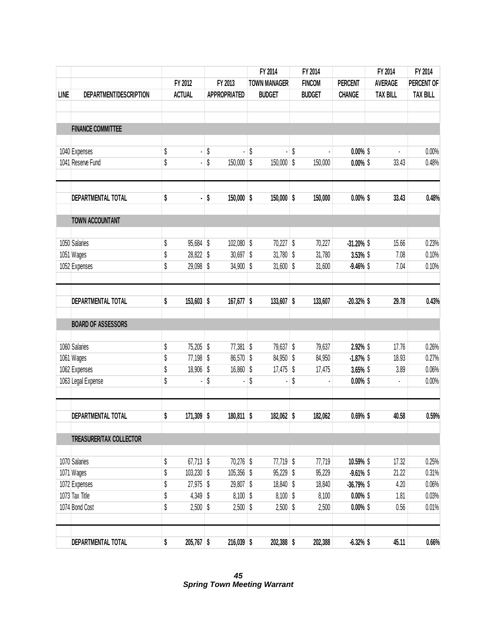|             |                           |                          |             |                     |    | FY 2014             | FY 2014       |                |                                   | FY 2014 | FY 2014         |  |
|-------------|---------------------------|--------------------------|-------------|---------------------|----|---------------------|---------------|----------------|-----------------------------------|---------|-----------------|--|
|             |                           | FY 2012<br><b>ACTUAL</b> |             | FY 2013             |    | <b>TOWN MANAGER</b> | <b>FINCOM</b> | <b>PERCENT</b> | <b>AVERAGE</b><br><b>TAX BILL</b> |         | PERCENT OF      |  |
| <b>LINE</b> | DEPARTMENT/DESCRIPTION    |                          |             | <b>APPROPRIATED</b> |    | <b>BUDGET</b>       | <b>BUDGET</b> | <b>CHANGE</b>  |                                   |         | <b>TAX BILL</b> |  |
|             | <b>FINANCE COMMITTEE</b>  |                          |             |                     |    |                     |               |                |                                   |         |                 |  |
|             | 1040 Expenses             | \$                       |             | \$                  | \$ |                     | \$            | $0.00\%$ \$    |                                   | í,      | 0.00%           |  |
|             | 1041 Reserve Fund         | \$                       |             | \$<br>$150,000$ \$  |    | 150,000 \$          | 150,000       | $0.00\%$ \$    |                                   | 33.43   | 0.48%           |  |
|             | DEPARTMENTAL TOTAL        | \$                       |             | \$<br>$150,000$ \$  |    | $150,000$ \$        | 150,000       | $0.00\%$ \$    |                                   | 33.43   | 0.48%           |  |
|             | TOWN ACCOUNTANT           |                          |             |                     |    |                     |               |                |                                   |         |                 |  |
|             | 1050 Salaries             | \$                       | 95,684 \$   | 102,080 \$          |    | $70,227$ \$         | 70,227        | $-31.20\%$ \$  |                                   | 15.66   | 0.23%           |  |
|             | 1051 Wages                | \$                       | 28,822 \$   | $30,697$ \$         |    | $31,780$ \$         | 31,780        | 3.53% \$       |                                   | 7.08    | 0.10%           |  |
|             | 1052 Expenses             | \$                       | 29,098 \$   | $34,900$ \$         |    | $31,600$ \$         | 31,600        | $-9.46\%$ \$   |                                   | 7.04    | 0.10%           |  |
|             | DEPARTMENTAL TOTAL        | \$<br>$153,603$ \$       |             | $167,677$ \$        |    | $133,607$ \$        | 133,607       | $-20.32\%$ \$  |                                   | 29.78   | 0.43%           |  |
|             | <b>BOARD OF ASSESSORS</b> |                          |             |                     |    |                     |               |                |                                   |         |                 |  |
|             | 1060 Salaries             | \$                       | 75,205 \$   | $77,381$ \$         |    | 79,637 \$           | 79,637        | 2.92% \$       |                                   | 17.76   | 0.26%           |  |
|             | 1061 Wages                | \$                       | 77,198 \$   | 86,570 \$           |    | 84,950 \$           | 84,950        | $-1.87%$       |                                   | 18.93   | 0.27%           |  |
|             | 1062 Expenses             | \$                       | 18,906 \$   | $16,860$ \$         |    | $17,475$ \$         | 17,475        | 3.65% \$       |                                   | 3.89    | 0.06%           |  |
|             | 1063 Legal Expense        | \$                       |             | \$                  | \$ |                     | \$            | $0.00\%$ \$    |                                   |         | 0.00%           |  |
|             | DEPARTMENTAL TOTAL        | \$<br>$171,309$ \$       |             | 180,811 \$          |    | 182,062 \$          | 182,062       | $0.69%$ \$     |                                   | 40.58   | 0.59%           |  |
|             |                           |                          |             |                     |    |                     |               |                |                                   |         |                 |  |
|             | TREASURER/TAX COLLECTOR   |                          |             |                     |    |                     |               |                |                                   |         |                 |  |
|             | 1070 Salaries             | \$                       | $67,713$ \$ | 70,276 \$           |    | $77,719$ \$         | 77,719        | 10.59% \$      |                                   | 17.32   | 0.25%           |  |
|             | 1071 Wages                | \$<br>$103,230$ \$       |             | $105,356$ \$        |    | $95,229$ \$         | 95,229        | $-9.61\%$ \$   |                                   | 21.22   | 0.31%           |  |
|             | 1072 Expenses             | \$                       | $27,975$ \$ | 29,807 \$           |    | 18,840 \$           | 18,840        | $-36.79%$      |                                   | 4.20    | 0.06%           |  |
|             | 1073 Tax Title            | \$                       | $4,349$ \$  | $8,100$ \$          |    | $8,100$ \$          | 8,100         | $0.00\%$ \$    |                                   | 1.81    | 0.03%           |  |
|             | 1074 Bond Cost            | \$                       | $2,500$ \$  | $2,500$ \$          |    | $2,500$ \$          | 2,500         | $0.00\%$ \$    |                                   | 0.56    | 0.01%           |  |
|             | DEPARTMENTAL TOTAL        | \$<br>$205,767$ \$       |             | $216,039$ \$        |    | 202,388 \$          | 202,388       | $-6.32%$ \$    |                                   | 45.11   | 0.66%           |  |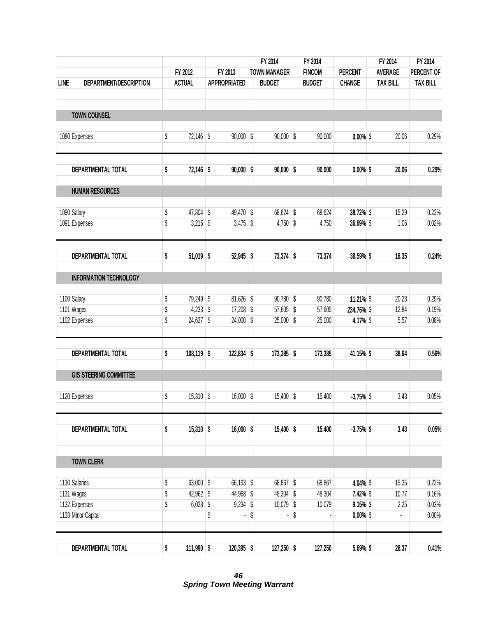|             |                               |          |                         |         |                          |    | FY 2014                    | FY 2014          |                        |                 | FY 2014        | FY 2014         |  |
|-------------|-------------------------------|----------|-------------------------|---------|--------------------------|----|----------------------------|------------------|------------------------|-----------------|----------------|-----------------|--|
|             |                               | FY 2012  |                         | FY 2013 |                          |    | <b>TOWN MANAGER</b>        | <b>FINCOM</b>    | <b>PERCENT</b>         |                 | <b>AVERAGE</b> | PERCENT OF      |  |
| <b>LINE</b> | DEPARTMENT/DESCRIPTION        |          | <b>ACTUAL</b>           |         | <b>APPROPRIATED</b>      |    | <b>BUDGET</b>              | <b>BUDGET</b>    | <b>CHANGE</b>          | <b>TAX BILL</b> |                | <b>TAX BILL</b> |  |
|             | <b>TOWN COUNSEL</b>           |          |                         |         |                          |    |                            |                  |                        |                 |                |                 |  |
|             | 1080 Expenses                 | \$       | 72,146 \$               |         | $90,000$ \$              |    | $90,000$ \$                | 90,000           | $0.00\%$ \$            |                 | 20.06          | 0.29%           |  |
|             | DEPARTMENTAL TOTAL            | \$       | 72,146 \$               |         | $90,000$ \$              |    | $90,000$ \$                | 90,000           | $0.00\%$ \$            |                 | 20.06          | 0.29%           |  |
|             | <b>HUMAN RESOURCES</b>        |          |                         |         |                          |    |                            |                  |                        |                 |                |                 |  |
|             | 1090 Salary                   | \$       | 47,804 \$               |         | 49,470 \$                |    | 68,624 \$                  | 68,624           | 38.72% \$              |                 | 15.29          | 0.22%           |  |
|             | 1091 Expenses                 | \$       | $3,215$ \$              |         | $3,475$ \$               |    | $4,750$ \$                 | 4,750            | 36.69% \$              |                 | 1.06           | 0.02%           |  |
|             | DEPARTMENTAL TOTAL            | \$       | $51,019$ \$             |         | $52,945$ \$              |    | $73,374$ \$                | 73,374           | 38.59% \$              |                 | 16.35          | 0.24%           |  |
|             | <b>INFORMATION TECHNOLOGY</b> |          |                         |         |                          |    |                            |                  |                        |                 |                |                 |  |
|             | 1100 Salary                   | \$       | 79,249 \$               |         | 81,626 \$                |    | $90,780$ \$                | 90,780           | 11.21% \$              |                 | 20.23          | 0.29%           |  |
|             | 1101 Wages<br>1102 Expenses   | \$<br>\$ | $4,233$ \$<br>24,637 \$ |         | $17,208$ \$<br>24,000 \$ |    | $57,605$ \$<br>$25,000$ \$ | 57,605<br>25,000 | 234.76% \$<br>4.17% \$ |                 | 12.84<br>5.57  | 0.19%<br>0.08%  |  |
|             |                               |          |                         |         |                          |    |                            |                  |                        |                 |                |                 |  |
|             | DEPARTMENTAL TOTAL            | \$       | 108,119 \$              |         | $122,834$ \$             |    | $173,385$ \$               | 173,385          | 41.15% \$              |                 | 38.64          | 0.56%           |  |
|             | <b>GIS STEERING COMMITTEE</b> |          |                         |         |                          |    |                            |                  |                        |                 |                |                 |  |
|             | 1120 Expenses                 | \$       | $15,310$ \$             |         | $16,000$ \$              |    | $15,400$ \$                | 15,400           | $-3.75%$               |                 | 3.43           | 0.05%           |  |
|             | DEPARTMENTAL TOTAL            | \$       | $15,310$ \$             |         | $16,000$ \$              |    | $15,400$ \$                | 15,400           | $-3.75%$ \$            |                 | 3.43           | 0.05%           |  |
|             | <b>TOWN CLERK</b>             |          |                         |         |                          |    |                            |                  |                        |                 |                |                 |  |
|             | 1130 Salaries                 | \$       | 63,000 \$               |         | 66,193 \$                |    | 68,867 \$                  | 68,867           | 4.04% \$               |                 | 15.35          | 0.22%           |  |
|             | 1131 Wages                    | \$       | 42,962 \$               |         | 44,968 \$                |    | 48,304 \$                  | 48,304           | 7.42% \$               |                 | 10.77          | 0.16%           |  |
|             | 1132 Expenses                 | \$       | $6,028$ \$              |         | $9,234$ \$               |    | 10,079 \$                  | 10,079           | $9.15\%$ \$            |                 | 2.25           | 0.03%           |  |
|             | 1133 Minor Capital            |          |                         | \$      |                          | \$ |                            | \$               | $0.00\%$ \$            |                 |                | 0.00%           |  |
|             | DEPARTMENTAL TOTAL            | \$       | 111,990 \$              |         | $120,395$ \$             |    | $127,250$ \$               | 127,250          | 5.69% \$               |                 | 28.37          | 0.41%           |  |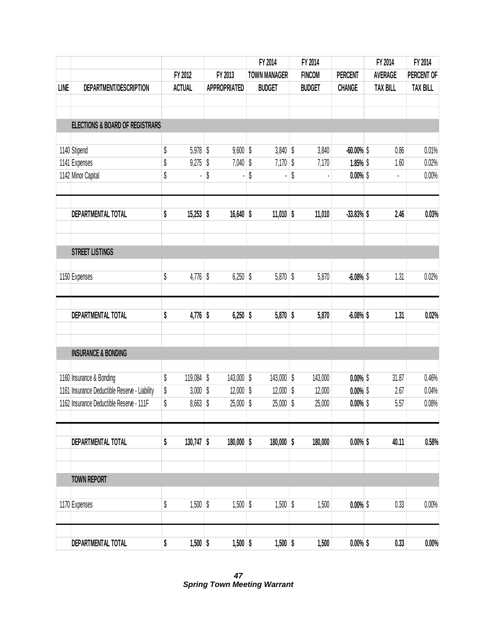|      |                                               |         |               |         |                     | FY 2014 |                     | FY 2014       |                |  | FY 2014         | FY 2014         |  |
|------|-----------------------------------------------|---------|---------------|---------|---------------------|---------|---------------------|---------------|----------------|--|-----------------|-----------------|--|
|      |                                               | FY 2012 |               | FY 2013 |                     |         | <b>TOWN MANAGER</b> | <b>FINCOM</b> | <b>PERCENT</b> |  | <b>AVERAGE</b>  | PERCENT OF      |  |
| LINE | DEPARTMENT/DESCRIPTION                        |         | <b>ACTUAL</b> |         | <b>APPROPRIATED</b> |         | <b>BUDGET</b>       | <b>BUDGET</b> | <b>CHANGE</b>  |  | <b>TAX BILL</b> | <b>TAX BILL</b> |  |
|      | <b>ELECTIONS &amp; BOARD OF REGISTRARS</b>    |         |               |         |                     |         |                     |               |                |  |                 |                 |  |
|      |                                               |         |               |         |                     |         |                     |               |                |  |                 |                 |  |
|      | 1140 Stipend                                  | \$      | $5,978$ \$    |         | $9,600$ \$          |         | $3,840$ \$          | 3,840         | $-60.00\%$ \$  |  | 0.86            | 0.01%           |  |
|      | 1141 Expenses                                 | \$      | $9,275$ \$    |         | $7,040$ \$          |         | $7,170$ \$          | 7,170         | 1.85% \$       |  | 1.60            | 0.02%           |  |
|      | 1142 Minor Capital                            | \$      |               | \$      |                     | \$      |                     | \$            | $0.00\%$ \$    |  |                 | 0.00%           |  |
|      | DEPARTMENTAL TOTAL                            | \$      | $15,253$ \$   |         | $16,640$ \$         |         | $11,010$ \$         | 11,010        | $-33.83%$ \$   |  | 2.46            | 0.03%           |  |
|      | <b>STREET LISTINGS</b>                        |         |               |         |                     |         |                     |               |                |  |                 |                 |  |
|      | 1150 Expenses                                 | \$      | $4,776$ \$    |         | $6,250$ \$          |         | $5,870$ \$          | 5,870         | $-6.08\%$ \$   |  | 1.31            | 0.02%           |  |
|      | DEPARTMENTAL TOTAL                            | \$      | $4,776$ \$    |         | $6,250$ \$          |         | $5,870$ \$          | 5,870         | $-6.08%$ \$    |  | 1.31            | 0.02%           |  |
|      | <b>INSURANCE &amp; BONDING</b>                |         |               |         |                     |         |                     |               |                |  |                 |                 |  |
|      | 1160 Insurance & Bonding                      | \$      | $119,084$ \$  |         | $143,000$ \$        |         | 143,000 \$          | 143,000       | $0.00\%$ \$    |  | 31.87           | 0.46%           |  |
|      | 1161 Insurance Deductible Reserve - Liability | \$      | $3,000$ \$    |         | $12,000$ \$         |         | $12,000$ \$         | 12,000        | $0.00\%$ \$    |  | 2.67            | 0.04%           |  |
|      | 1162 Insurance Deductible Reserve - 111F      | \$      | $8,663$ \$    |         | $25,000$ \$         |         | $25,000$ \$         | 25,000        | $0.00\%$ \$    |  | 5.57            | 0.08%           |  |
|      | DEPARTMENTAL TOTAL                            | \$      | $130,747$ \$  |         | $180,000$ \$        |         | $180,000$ \$        | 180,000       | $0.00\%$ \$    |  | 40.11           | 0.58%           |  |
|      |                                               |         |               |         |                     |         |                     |               |                |  |                 |                 |  |
|      | <b>TOWN REPORT</b>                            |         |               |         |                     |         |                     |               |                |  |                 |                 |  |
|      | 1170 Expenses                                 | \$      | $1,500$ \$    |         | $1,500$ \$          |         | $1,500$ \$          | 1,500         | $0.00\%$ \$    |  | 0.33            | 0.00%           |  |
|      | DEPARTMENTAL TOTAL                            | \$      | $1,500$ \$    |         | $1,500$ \$          |         | $1,500$ \$          | 1,500         | $0.00\%$ \$    |  | 0.33            | 0.00%           |  |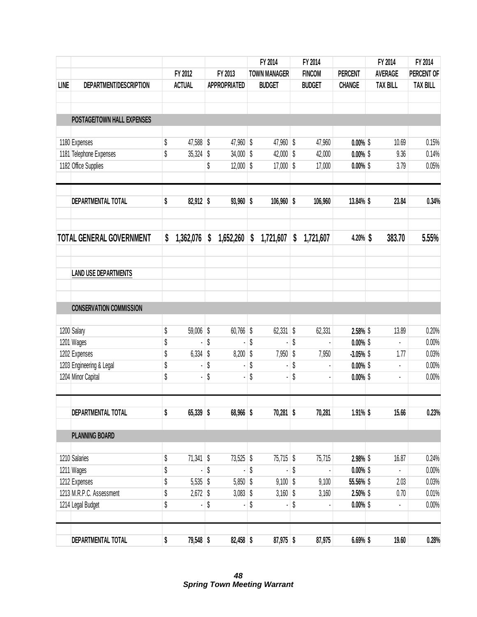|      |                                 |                   |                     | FY 2014             | FY 2014         |                | FY 2014         | FY 2014         |
|------|---------------------------------|-------------------|---------------------|---------------------|-----------------|----------------|-----------------|-----------------|
|      |                                 | FY 2012           | FY 2013             | <b>TOWN MANAGER</b> | <b>FINCOM</b>   | <b>PERCENT</b> | <b>AVERAGE</b>  | PERCENT OF      |
| LINE | DEPARTMENT/DESCRIPTION          | <b>ACTUAL</b>     | <b>APPROPRIATED</b> | <b>BUDGET</b>       | <b>BUDGET</b>   | <b>CHANGE</b>  | <b>TAX BILL</b> | <b>TAX BILL</b> |
|      | POSTAGE/TOWN HALL EXPENSES      |                   |                     |                     |                 |                |                 |                 |
|      | 1180 Expenses                   | \$<br>47,588 \$   | 47,960 \$           | 47,960 \$           | 47,960          | $0.00\%$ \$    | 10.69           | 0.15%           |
|      | 1181 Telephone Expenses         | \$<br>35,324      | \$<br>$34,000$ \$   | 42,000 \$           | 42,000          | $0.00\%$ \$    | 9.36            | 0.14%           |
|      | 1182 Office Supplies            |                   | \$<br>$12,000$ \$   | $17,000$ \$         | 17,000          | $0.00\%$ \$    | 3.79            | 0.05%           |
|      | DEPARTMENTAL TOTAL              | \$<br>82,912 \$   | $93,960$ \$         | $106,960$ \$        | 106,960         | 13.84% \$      | 23.84           | 0.34%           |
|      | <b>TOTAL GENERAL GOVERNMENT</b> | \$<br>1,362,076   | \$<br>1,652,260     | \$<br>1,721,607     | \$<br>1,721,607 | $4.20\%$ \$    | 383.70          | 5.55%           |
|      | <b>LAND USE DEPARTMENTS</b>     |                   |                     |                     |                 |                |                 |                 |
|      | <b>CONSERVATION COMMISSION</b>  |                   |                     |                     |                 |                |                 |                 |
|      | 1200 Salary                     | \$<br>$59,006$ \$ | 60,766 \$           | $62,331$ \$         | 62,331          | 2.58% \$       | 13.89           | 0.20%           |
|      | 1201 Wages                      | \$                | \$                  | \$                  | \$              | $0.00\%$ \$    | $\blacksquare$  | 0.00%           |
|      | 1202 Expenses                   | \$<br>$6,334$ \$  | $8,200$ \$          | $7,950$ \$          | 7,950           | $-3.05\%$ \$   | 1.77            | 0.03%           |
|      | 1203 Engineering & Legal        | \$                | \$                  | \$                  | \$              | $0.00\%$ \$    | $\blacksquare$  | 0.00%           |
|      | 1204 Minor Capital              | \$                | \$                  | \$                  | \$              | $0.00\%$ \$    |                 | 0.00%           |
|      | DEPARTMENTAL TOTAL              | \$<br>65,339 \$   | 68,966 \$           | $70,281$ \$         | 70,281          | $1.91\%$ \$    | 15.66           | 0.23%           |
|      | <b>PLANNING BOARD</b>           |                   |                     |                     |                 |                |                 |                 |
|      | 1210 Salaries                   | \$<br>$71,341$ \$ | 73,525 \$           | 75,715 \$           | 75,715          | 2.98% \$       | 16.87           | 0.24%           |
|      | 1211 Wages                      | \$                | \$                  | \$                  | \$              | $0.00\%$ \$    | ¥.              | 0.00%           |
|      | 1212 Expenses                   | \$<br>$5,535$ \$  | $5,850$ \$          | $9,100$ \$          | 9,100           | 55.56% \$      | 2.03            | 0.03%           |
|      | 1213 M.R.P.C. Assessment        | \$<br>$2,672$ \$  | $3,083$ \$          | $3,160$ \$          | 3,160           | $2.50\%$ \$    | 0.70            | 0.01%           |
|      | 1214 Legal Budget               | \$                | \$                  | \$                  | \$              | $0.00\%$ \$    |                 | 0.00%           |
|      | DEPARTMENTAL TOTAL              | \$<br>79,548 \$   | 82,458 \$           | 87,975 \$           | 87,975          | $6.69%$ \$     | 19.60           | 0.28%           |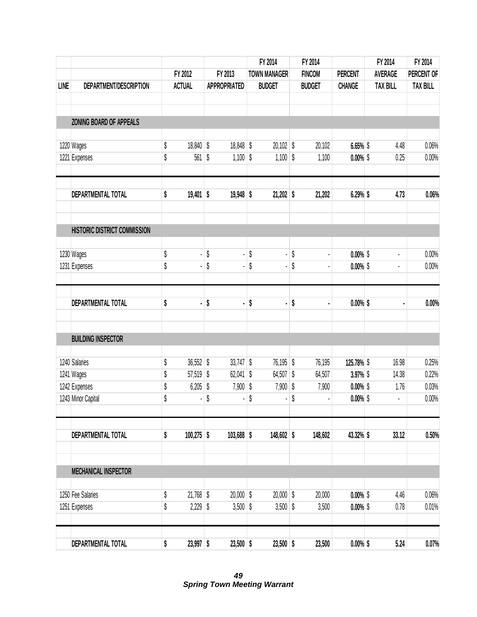|             |                              |          |               |          |                     |          | FY 2014             |          | FY 2014       |                            | FY 2014              | FY 2014         |
|-------------|------------------------------|----------|---------------|----------|---------------------|----------|---------------------|----------|---------------|----------------------------|----------------------|-----------------|
|             |                              |          | FY 2012       |          | FY 2013             |          | <b>TOWN MANAGER</b> |          | <b>FINCOM</b> | <b>PERCENT</b>             | <b>AVERAGE</b>       | PERCENT OF      |
| <b>LINE</b> | DEPARTMENT/DESCRIPTION       |          | <b>ACTUAL</b> |          | <b>APPROPRIATED</b> |          | <b>BUDGET</b>       |          | <b>BUDGET</b> | <b>CHANGE</b>              | <b>TAX BILL</b>      | <b>TAX BILL</b> |
|             |                              |          |               |          |                     |          |                     |          |               |                            |                      |                 |
|             | ZONING BOARD OF APPEALS      |          |               |          |                     |          |                     |          |               |                            |                      |                 |
|             | 1220 Wages                   | \$       | 18,840 \$     |          | 18,848 \$           |          | $20,102$ \$         |          | 20,102        | $6.65%$ \$                 | 4.48                 | 0.06%           |
|             | 1221 Expenses                | \$       | 561 \$        |          | $1,100$ \$          |          | $1,100$ \$          |          | 1,100         | $0.00\%$ \$                | 0.25                 | 0.00%           |
|             | DEPARTMENTAL TOTAL           | \$       | $19,401$ \$   |          | $19,948$ \$         |          | $21,202$ \$         |          | 21,202        | 6.29% \$                   | 4.73                 | 0.06%           |
|             | HISTORIC DISTRICT COMMISSION |          |               |          |                     |          |                     |          |               |                            |                      |                 |
|             |                              |          |               |          |                     |          |                     |          |               |                            |                      |                 |
|             | 1230 Wages<br>1231 Expenses  | \$<br>\$ | ä,<br>ä,      | \$<br>\$ | $\blacksquare$      | \$<br>\$ | ٠                   | \$<br>\$ |               | $0.00\%$ \$<br>$0.00\%$ \$ | ×,<br>$\blacksquare$ | 0.00%<br>0.00%  |
|             | DEPARTMENTAL TOTAL           | \$       | ٠             | \$       | $\blacksquare$      | \$       | ä,                  | \$       |               | $0.00\%$ \$                |                      | 0.00%           |
|             | <b>BUILDING INSPECTOR</b>    |          |               |          |                     |          |                     |          |               |                            |                      |                 |
|             | 1240 Salaries                | \$       | $36,552$ \$   |          | $33,747$ \$         |          | 76,195 \$           |          | 76,195        | 125.78% \$                 | 16.98                | 0.25%           |
|             | 1241 Wages                   | \$       | $57,519$ \$   |          | $62,041$ \$         |          | 64,507 \$           |          | 64,507        | 3.97% \$                   | 14.38                | 0.22%           |
|             | 1242 Expenses                | \$       | $6,205$ \$    |          | $7,900$ \$          |          | $7,900$ \$          |          | 7,900         | $0.00\%$ \$                | 1.76                 | 0.03%           |
|             | 1243 Minor Capital           | \$       |               | \$       |                     | \$       |                     | \$       |               | $0.00\%$ \$                | ä,                   | 0.00%           |
|             | DEPARTMENTAL TOTAL           | \$       | $100,275$ \$  |          | $103,688$ \$        |          | 148,602 \$          |          | 148,602       | 43.32% \$                  | 33.12                | 0.50%           |
|             |                              |          |               |          |                     |          |                     |          |               |                            |                      |                 |
|             | <b>MECHANICAL INSPECTOR</b>  |          |               |          |                     |          |                     |          |               |                            |                      |                 |
|             | 1250 Fee Salaries            | \$       | 21,768 \$     |          | $20,000$ \$         |          | $20,000$ \$         |          | 20,000        | $0.00\%$ \$                | 4.46                 | 0.06%           |
|             | 1251 Expenses                | \$       | $2,229$ \$    |          | $3,500$ \$          |          | $3,500$ \$          |          | 3,500         | $0.00\%$ \$                | 0.78                 | 0.01%           |
|             | DEPARTMENTAL TOTAL           | \$       | 23,997 \$     |          | $23,500$ \$         |          | $23,500$ \$         |          | 23,500        | $0.00\%$ \$                | 5.24                 | 0.07%           |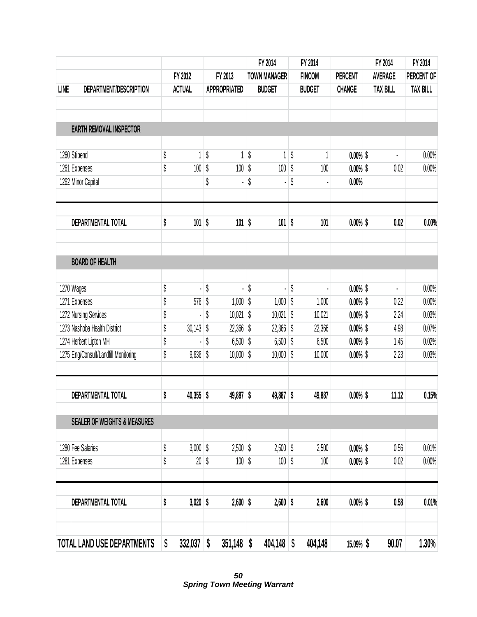|      |                                         |                    |            |                     | FY 2014             | FY 2014       |                            | FY 2014         | FY 2014         |
|------|-----------------------------------------|--------------------|------------|---------------------|---------------------|---------------|----------------------------|-----------------|-----------------|
|      |                                         | FY 2012            |            | FY 2013             | <b>TOWN MANAGER</b> | <b>FINCOM</b> | <b>PERCENT</b>             | <b>AVERAGE</b>  | PERCENT OF      |
| LINE | DEPARTMENT/DESCRIPTION                  | <b>ACTUAL</b>      |            | <b>APPROPRIATED</b> | <b>BUDGET</b>       | <b>BUDGET</b> | <b>CHANGE</b>              | <b>TAX BILL</b> | <b>TAX BILL</b> |
|      |                                         |                    |            |                     |                     |               |                            |                 |                 |
|      | <b>EARTH REMOVAL INSPECTOR</b>          |                    |            |                     |                     |               |                            |                 |                 |
|      | 1260 Stipend                            | \$<br>1            | \$         | 1                   | \$<br>1             | \$            | $0.00\%$ \$                | ä,              | 0.00%           |
|      | 1261 Expenses                           | \$<br>100          | \$         | 100                 | \$<br>100           | \$<br>100     | $0.00\%$ \$                | 0.02            | 0.00%           |
|      | 1262 Minor Capital                      |                    | \$         |                     | \$                  | \$            | 0.00%                      |                 |                 |
|      | DEPARTMENTAL TOTAL                      | \$<br>101          | $\sqrt{2}$ | $101$ \$            | $101$ \$            | 101           | $0.00\%$ \$                | 0.02            | 0.00%           |
|      | <b>BOARD OF HEALTH</b>                  |                    |            |                     |                     |               |                            |                 |                 |
|      | 1270 Wages                              | \$                 | \$         |                     | \$                  | \$            | $0.00\%$ \$                |                 | 0.00%           |
|      | 1271 Expenses                           | \$<br>576          | \$         | $1,000$ \$          | 1,000               | \$<br>1,000   | $0.00\%$ \$                | 0.22            | 0.00%           |
|      | 1272 Nursing Services                   | \$                 | \$         | $10,021$ \$         | $10,021$ \$         | 10,021        | $0.00\%$ \$                | 2.24            | 0.03%           |
|      | 1273 Nashoba Health District            | \$<br>30,143       | \$         | $22,366$ \$         | $22,366$ \$         | 22,366        | $0.00\%$ \$                | 4.98            | 0.07%           |
|      | 1274 Herbert Lipton MH                  | \$                 | \$         | $6,500$ \$          | $6,500$ \$          | 6,500         | $0.00\%$ \$                | 1.45            | 0.02%           |
|      | 1275 Eng/Consult/Landfill Monitoring    | \$<br>$9,636$ \$   |            | $10,000$ \$         | $10,000$ \$         | 10,000        | $0.00\%$ \$                | 2.23            | 0.03%           |
|      | DEPARTMENTAL TOTAL                      | \$<br>$40,355$ \$  |            | 49,887 \$           | 49,887 \$           | 49,887        | $0.00\%$ \$                | 11.12           | 0.15%           |
|      | <b>SEALER OF WEIGHTS &amp; MEASURES</b> |                    |            |                     |                     |               |                            |                 |                 |
|      | 1280 Fee Salaries                       | \$<br>$3,000$ \$   |            | $2,500$ \$          | $2,500$ \$          | 2,500         |                            | 0.56            | 0.01%           |
|      | 1281 Expenses                           | \$<br>20           | \$         | $100$ \$            | 100                 | \$<br>100     | $0.00\%$ \$<br>$0.00\%$ \$ | 0.02            | 0.00%           |
|      |                                         |                    |            |                     |                     |               |                            |                 |                 |
|      | <b>DEPARTMENTAL TOTAL</b>               | \$<br>$3,020$ \$   |            | $2,600$ \$          | $2,600$ \$          | 2,600         | $0.00\%$ \$                | 0.58            | 0.01%           |
|      | TOTAL LAND USE DEPARTMENTS              | \$<br>$332,037$ \$ |            | $351,148$ \$        | $404,148$ \$        | 404,148       | 15.09% \$                  | 90.07           | 1.30%           |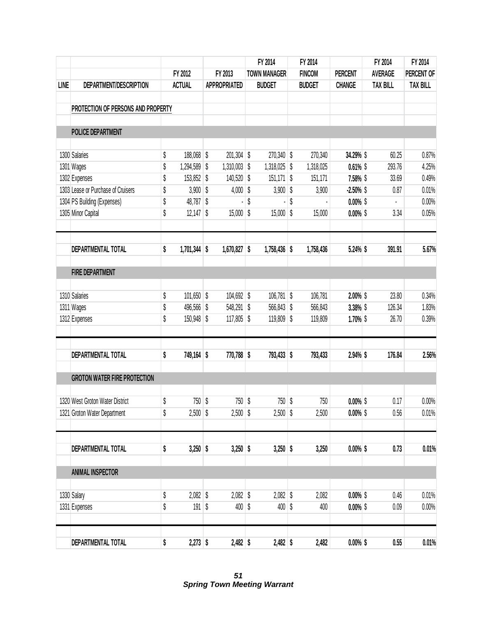|             |                                     |                      |                     | FY 2014             | FY 2014       |                | FY 2014         | FY 2014         |
|-------------|-------------------------------------|----------------------|---------------------|---------------------|---------------|----------------|-----------------|-----------------|
|             |                                     | FY 2012              | FY 2013             | <b>TOWN MANAGER</b> | <b>FINCOM</b> | <b>PERCENT</b> | <b>AVERAGE</b>  | PERCENT OF      |
| <b>LINE</b> | DEPARTMENT/DESCRIPTION              | <b>ACTUAL</b>        | <b>APPROPRIATED</b> | <b>BUDGET</b>       | <b>BUDGET</b> | <b>CHANGE</b>  | <b>TAX BILL</b> | <b>TAX BILL</b> |
|             |                                     |                      |                     |                     |               |                |                 |                 |
|             | PROTECTION OF PERSONS AND PROPERTY  |                      |                     |                     |               |                |                 |                 |
|             | <b>POLICE DEPARTMENT</b>            |                      |                     |                     |               |                |                 |                 |
|             | 1300 Salaries                       | \$<br>188,068 \$     | $201,304$ \$        | 270,340 \$          | 270,340       | 34.29% \$      | 60.25           | 0.87%           |
|             | 1301 Wages                          | \$<br>1,294,589 \$   | $1,310,003$ \$      | 1,318,025 \$        | 1,318,025     | $0.61\%$ \$    | 293.76          | 4.25%           |
|             | 1302 Expenses                       | \$<br>153,852 \$     | 140,520 \$          | 151,171 \$          | 151,171       | 7.58% \$       | 33.69           | 0.49%           |
|             | 1303 Lease or Purchase of Cruisers  | \$<br>$3,900$ \$     | $4,000$ \$          | $3,900$ \$          | 3,900         | $-2.50\%$ \$   | 0.87            | 0.01%           |
|             | 1304 PS Building (Expenses)         | \$<br>48,787 \$      |                     | \$                  | \$            | $0.00\%$ \$    |                 | 0.00%           |
|             | 1305 Minor Capital                  | \$<br>$12,147$ \$    | $15,000$ \$         | $15,000$ \$         | 15,000        | $0.00\%$ \$    | 3.34            | 0.05%           |
|             | DEPARTMENTAL TOTAL                  | \$<br>$1,701,344$ \$ | $1,670,827$ \$      | $1,758,436$ \$      | 1,758,436     | 5.24% \$       | 391.91          | 5.67%           |
|             |                                     |                      |                     |                     |               |                |                 |                 |
|             | <b>FIRE DEPARTMENT</b>              |                      |                     |                     |               |                |                 |                 |
|             | 1310 Salaries                       | \$<br>$101,650$ \$   | 104,692 \$          | $106,781$ \$        | 106,781       | $2.00\%$ \$    | 23.80           | 0.34%           |
|             | 1311 Wages                          | \$<br>496,566 \$     | 548,291 \$          | 566,843 \$          | 566,843       | 3.38% \$       | 126.34          | 1.83%           |
|             | 1312 Expenses                       | \$<br>150,948 \$     | $117,805$ \$        | 119,809 \$          | 119,809       | $1.70\%$ \$    | 26.70           | 0.39%           |
|             |                                     |                      |                     |                     |               |                |                 |                 |
|             | DEPARTMENTAL TOTAL                  | \$<br>749,164 \$     | 770,788 \$          | 793,433 \$          | 793,433       | 2.94% \$       | 176.84          | 2.56%           |
|             | <b>GROTON WATER FIRE PROTECTION</b> |                      |                     |                     |               |                |                 |                 |
|             | 1320 West Groton Water District     | \$<br>750 \$         | $750$ \$            | 750 \$              | 750           | $0.00\%$ \$    | 0.17            | 0.00%           |
|             | 1321 Groton Water Department        | \$<br>$2,500$ \$     | $2,500$ \$          | $2,500$ \$          | 2,500         | $0.00\%$ \$    | 0.56            | 0.01%           |
|             |                                     |                      |                     |                     |               |                |                 |                 |
|             | DEPARTMENTAL TOTAL                  | \$<br>$3,250$ \$     | $3,250$ \$          | $3,250$ \$          | 3,250         | $0.00\%$ \$    | 0.73            | 0.01%           |
|             | <b>ANIMAL INSPECTOR</b>             |                      |                     |                     |               |                |                 |                 |
|             | 1330 Salary                         | \$<br>$2,082$ \$     | $2,082$ \$          | $2,082$ \$          | 2,082         | $0.00\%$ \$    | 0.46            | 0.01%           |
|             | 1331 Expenses                       | \$<br>$191$ \$       | $400$ \$            | $400$ \$            | 400           | $0.00\%$ \$    | 0.09            | 0.00%           |
|             |                                     |                      |                     |                     |               |                |                 |                 |
|             | DEPARTMENTAL TOTAL                  | \$<br>$2,273$ \$     | $2,482$ \$          | $2,482$ \$          | 2,482         | $0.00\%$ \$    | 0.55            | 0.01%           |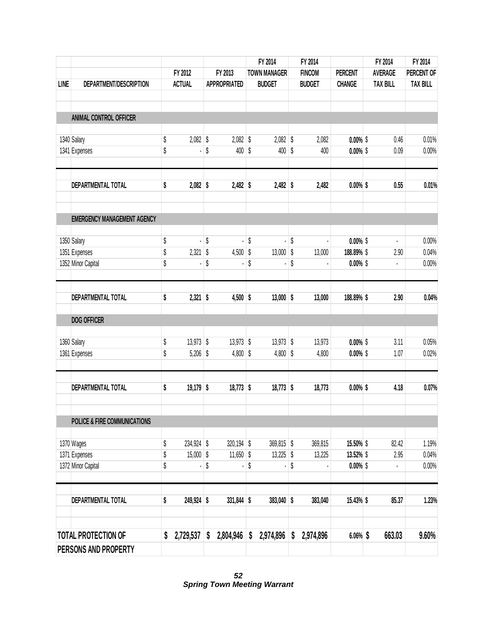|             |                                         |                   |                     | FY 2014             | FY 2014         |                | FY 2014         | FY 2014         |
|-------------|-----------------------------------------|-------------------|---------------------|---------------------|-----------------|----------------|-----------------|-----------------|
|             |                                         | FY 2012           | FY 2013             | <b>TOWN MANAGER</b> | <b>FINCOM</b>   | <b>PERCENT</b> | <b>AVERAGE</b>  | PERCENT OF      |
| <b>LINE</b> | DEPARTMENT/DESCRIPTION                  | <b>ACTUAL</b>     | <b>APPROPRIATED</b> | <b>BUDGET</b>       | <b>BUDGET</b>   | <b>CHANGE</b>  | <b>TAX BILL</b> | <b>TAX BILL</b> |
|             |                                         |                   |                     |                     |                 |                |                 |                 |
|             | ANIMAL CONTROL OFFICER                  |                   |                     |                     |                 |                |                 |                 |
|             | 1340 Salary                             | \$<br>$2,082$ \$  | $2,082$ \$          | $2,082$ \$          | 2,082           | $0.00\%$ \$    | 0.46            | 0.01%           |
|             | 1341 Expenses                           | \$                | \$<br>400 \$        | $400$ \$            | 400             | $0.00\%$ \$    | 0.09            | 0.00%           |
|             | DEPARTMENTAL TOTAL                      | \$<br>$2,082$ \$  | $2,482$ \$          | $2,482$ \$          | 2,482           | $0.00\%$ \$    | 0.55            | 0.01%           |
|             | <b>EMERGENCY MANAGEMENT AGENCY</b>      |                   |                     |                     |                 |                |                 |                 |
|             | 1350 Salary                             | \$                | \$<br>ä,            | \$                  | \$              | $0.00\%$ \$    | $\blacksquare$  | 0.00%           |
|             | 1351 Expenses                           | \$<br>2,321       | \$<br>$4,500$ \$    | $13,000$ \$         | 13,000          | 188.89% \$     | 2.90            | 0.04%           |
|             | 1352 Minor Capital                      | \$                | \$                  | \$                  | \$              | $0.00\%$ \$    | $\blacksquare$  | 0.00%           |
|             | DEPARTMENTAL TOTAL                      | \$<br>$2,321$ \$  | $4,500$ \$          | $13,000$ \$         | 13,000          | 188.89% \$     | 2.90            | 0.04%           |
|             | <b>DOG OFFICER</b>                      |                   |                     |                     |                 |                |                 |                 |
|             | 1360 Salary                             | \$<br>$13,973$ \$ | $13,973$ \$         | $13,973$ \$         | 13,973          | $0.00\%$ \$    | 3.11            | 0.05%           |
|             | 1361 Expenses                           | \$<br>$5,206$ \$  | $4,800$ \$          | $4,800$ \$          | 4,800           | $0.00\%$ \$    | 1.07            | 0.02%           |
|             | <b>DEPARTMENTAL TOTAL</b>               | \$<br>$19,179$ \$ | $18,773$ \$         | $18,773$ \$         | 18,773          | $0.00\%$ \$    | 4.18            | 0.07%           |
|             | <b>POLICE &amp; FIRE COMMUNICATIONS</b> |                   |                     |                     |                 |                |                 |                 |
|             | 1370 Wages                              | \$<br>234,924 \$  | 320,194 \$          | $369,815$ \$        | 369,815         | 15.50% \$      | 82.42           | 1.19%           |
|             | 1371 Expenses                           | \$<br>$15,000$ \$ | $11,650$ \$         | $13,225$ \$         | 13,225          | 13.52% \$      | 2.95            | 0.04%           |
|             | 1372 Minor Capital                      | \$                | \$                  | \$                  | \$              | $0.00\%$ \$    | l,              | 0.00%           |
|             | <b>DEPARTMENTAL TOTAL</b>               | \$<br>249,924 \$  | $331,844$ \$        | 383,040 \$          | 383,040         | 15.43% \$      | 85.37           | 1.23%           |
|             | <b>TOTAL PROTECTION OF</b>              | \$<br>2,729,537   | \$<br>2,804,946     | \$<br>2,974,896     | \$<br>2,974,896 | $6.06\%$ \$    | 663.03          | 9.60%           |
|             | PERSONS AND PROPERTY                    |                   |                     |                     |                 |                |                 |                 |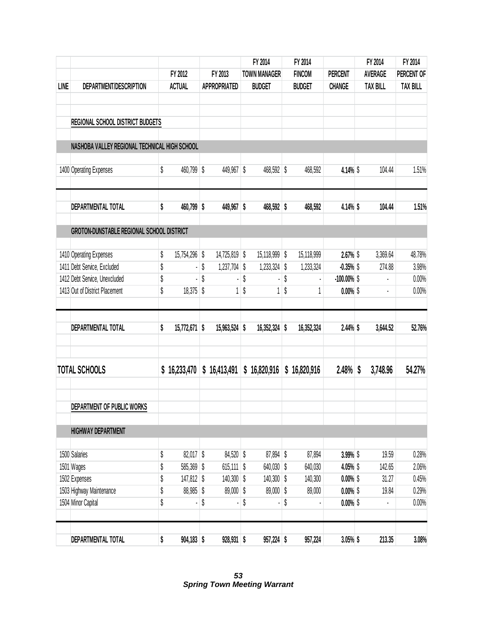|             |                                                  |                     |                      | FY 2014             | FY 2014         |                | FY 2014         | FY 2014         |
|-------------|--------------------------------------------------|---------------------|----------------------|---------------------|-----------------|----------------|-----------------|-----------------|
|             |                                                  | FY 2012             | FY 2013              | <b>TOWN MANAGER</b> | <b>FINCOM</b>   | <b>PERCENT</b> | <b>AVERAGE</b>  | PERCENT OF      |
| <b>LINE</b> | DEPARTMENT/DESCRIPTION                           | <b>ACTUAL</b>       | <b>APPROPRIATED</b>  | <b>BUDGET</b>       | <b>BUDGET</b>   | <b>CHANGE</b>  | <b>TAX BILL</b> | <b>TAX BILL</b> |
|             | <b>REGIONAL SCHOOL DISTRICT BUDGETS</b>          |                     |                      |                     |                 |                |                 |                 |
|             | NASHOBA VALLEY REGIONAL TECHNICAL HIGH SCHOOL    |                     |                      |                     |                 |                |                 |                 |
|             | 1400 Operating Expenses                          | \$<br>460,799 \$    | 449,967 \$           | 468,592 \$          | 468,592         | 4.14% \$       | 104.44          | 1.51%           |
|             | DEPARTMENTAL TOTAL                               | \$<br>460,799 \$    | 449,967 \$           | 468,592 \$          | 468,592         | 4.14% \$       | 104.44          | 1.51%           |
|             | <b>GROTON-DUNSTABLE REGIONAL SCHOOL DISTRICT</b> |                     |                      |                     |                 |                |                 |                 |
|             | 1410 Operating Expenses                          | \$<br>15,754,296 \$ | 14,725,819 \$        | 15,118,999 \$       | 15,118,999      | 2.67% \$       | 3,369.64        | 48.78%          |
|             | 1411 Debt Service, Excluded                      | \$                  | \$<br>$1,237,704$ \$ | 1,233,324           | \$<br>1,233,324 | $-0.35%$ \$    | 274.88          | 3.98%           |
|             | 1412 Debt Service, Unexcluded                    | \$                  | \$                   | \$                  | \$              | $-100.00\%$ \$ |                 | 0.00%           |
|             | 1413 Out of District Placement                   | \$<br>$18,375$ \$   | $\mathbf{1}$         | \$<br>1             | \$              | $0.00\%$ \$    |                 | 0.00%           |
|             | <b>DEPARTMENTAL TOTAL</b>                        | \$<br>15,772,671 \$ | 15,963,524 \$        | 16,352,324 \$       | 16,352,324      | $2.44\%$ \$    | 3,644.52        | 52.76%          |
|             | <b>TOTAL SCHOOLS</b>                             | \$<br>16,233,470    | \$16,413,491         | \$16,820,916        | \$16,820,916    | 2.48%          | \$<br>3,748.96  | 54.27%          |
|             | DEPARTMENT OF PUBLIC WORKS                       |                     |                      |                     |                 |                |                 |                 |
|             | <b>HIGHWAY DEPARTMENT</b>                        |                     |                      |                     |                 |                |                 |                 |
|             | 1500 Salaries                                    | \$<br>82,017 \$     | $84,520$ \$          | 87,894 \$           | 87,894          | 3.99% \$       | 19.59           | 0.28%           |
|             | 1501 Wages                                       | \$<br>585,369 \$    | $615,111$ \$         | 640,030 \$          | 640,030         | 4.05% \$       | 142.65          | 2.06%           |
|             | 1502 Expenses                                    | \$<br>147,812 \$    | $140,300$ \$         | 140,300 \$          | 140,300         | $0.00\%$ \$    | 31.27           | 0.45%           |
|             | 1503 Highway Maintenance                         | \$<br>88,985 \$     | $89,000$ \$          | 89,000 \$           | 89,000          | $0.00\%$ \$    | 19.84           | 0.29%           |
|             | 1504 Minor Capital                               | \$                  | \$                   | \$                  | \$              | $0.00\%$ \$    |                 | 0.00%           |
|             | DEPARTMENTAL TOTAL                               | \$<br>$904,183$ \$  | $928,931$ \$         | 957,224 \$          | 957,224         | $3.05\%$ \$    | 213.35          | 3.08%           |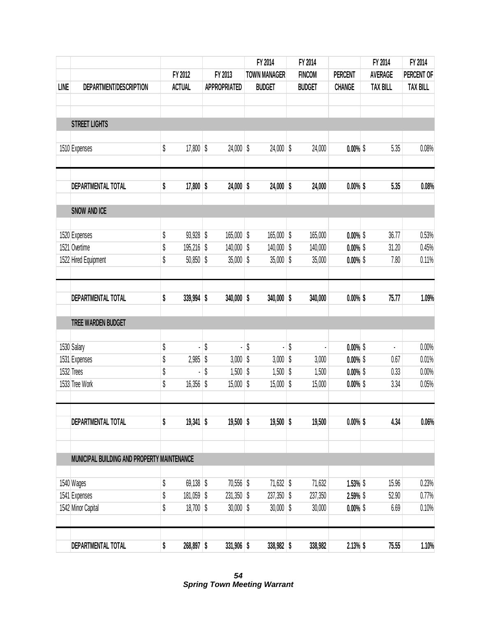|             |                                             |                    |                     | FY 2014             | FY 2014       |                            | FY 2014         | FY 2014         |
|-------------|---------------------------------------------|--------------------|---------------------|---------------------|---------------|----------------------------|-----------------|-----------------|
|             |                                             | FY 2012            | FY 2013             | <b>TOWN MANAGER</b> | <b>FINCOM</b> | <b>PERCENT</b>             | <b>AVERAGE</b>  | PERCENT OF      |
| <b>LINE</b> | DEPARTMENT/DESCRIPTION                      | <b>ACTUAL</b>      | <b>APPROPRIATED</b> | <b>BUDGET</b>       | <b>BUDGET</b> | <b>CHANGE</b>              | <b>TAX BILL</b> | <b>TAX BILL</b> |
|             |                                             |                    |                     |                     |               |                            |                 |                 |
|             | <b>STREET LIGHTS</b>                        |                    |                     |                     |               |                            |                 |                 |
|             | 1510 Expenses                               | \$<br>$17,800$ \$  | $24,000$ \$         | 24,000 \$           | 24,000        | $0.00\%$ \$                | 5.35            | 0.08%           |
|             |                                             |                    |                     |                     |               |                            |                 |                 |
|             | DEPARTMENTAL TOTAL                          | \$<br>$17,800$ \$  | $24,000$ \$         | $24,000$ \$         | 24,000        | $0.00\%$ \$                | 5.35            | 0.08%           |
|             | <b>SNOW AND ICE</b>                         |                    |                     |                     |               |                            |                 |                 |
|             |                                             |                    |                     |                     |               |                            |                 |                 |
|             | 1520 Expenses                               | \$<br>$93,928$ \$  | 165,000 \$          | 165,000 \$          | 165,000       | $0.00\%$ \$                | 36.77           | 0.53%           |
|             | 1521 Overtime                               | \$<br>195,216 \$   | 140,000 \$          | 140,000 \$          | 140,000       | $0.00\%$ \$                | 31.20           | 0.45%           |
|             | 1522 Hired Equipment                        | \$<br>$50,850$ \$  | $35,000$ \$         | $35,000$ \$         | 35,000        | $0.00\%$ \$                | 7.80            | 0.11%           |
|             | DEPARTMENTAL TOTAL                          | \$<br>339,994 \$   | $340,000$ \$        | $340,000$ \$        | 340,000       | $0.00\%$ \$                | 75.77           | 1.09%           |
|             |                                             |                    |                     |                     |               |                            |                 |                 |
|             | TREE WARDEN BUDGET                          |                    |                     |                     |               |                            |                 |                 |
|             |                                             | \$                 | \$                  | \$                  | \$            |                            | ÷.              | 0.00%           |
|             | 1530 Salary<br>1531 Expenses                | \$<br>$2,985$ \$   | $3,000$ \$          | ٠<br>$3,000$ \$     | 3,000         | $0.00\%$ \$<br>$0.00\%$ \$ | 0.67            | 0.01%           |
|             | 1532 Trees                                  | \$                 | \$<br>$1,500$ \$    | $1,500$ \$          | 1,500         | $0.00\%$ \$                | 0.33            | 0.00%           |
|             | 1533 Tree Work                              | \$<br>16,356 \$    | $15,000$ \$         | $15,000$ \$         | 15,000        | $0.00\%$ \$                | 3.34            | 0.05%           |
|             |                                             |                    |                     |                     |               |                            |                 |                 |
|             | <b>DEPARTMENTAL TOTAL</b>                   | \$<br>$19,341$ \$  | $19,500$ \$         | $19,500$ \$         | 19,500        | $0.00\%$ \$                | 4.34            | 0.06%           |
|             |                                             |                    |                     |                     |               |                            |                 |                 |
|             | MUNICIPAL BUILDING AND PROPERTY MAINTENANCE |                    |                     |                     |               |                            |                 |                 |
|             | 1540 Wages                                  | \$<br>$69,138$ \$  | 70,556 \$           | $71,632$ \$         | 71,632        | $1.53\%$ \$                | 15.96           | 0.23%           |
|             | 1541 Expenses                               | \$<br>$181,059$ \$ | $231,350$ \$        | $237,350$ \$        | 237,350       | 2.59% \$                   | 52.90           | 0.77%           |
|             | 1542 Minor Capital                          | \$<br>$18,700$ \$  | $30,000$ \$         | $30,000$ \$         | 30,000        | $0.00\%$ \$                | 6.69            | 0.10%           |
|             | DEPARTMENTAL TOTAL                          | \$<br>268,897 \$   | $331,906$ \$        | 338,982 \$          | 338,982       | $2.13\%$ \$                | 75.55           | 1.10%           |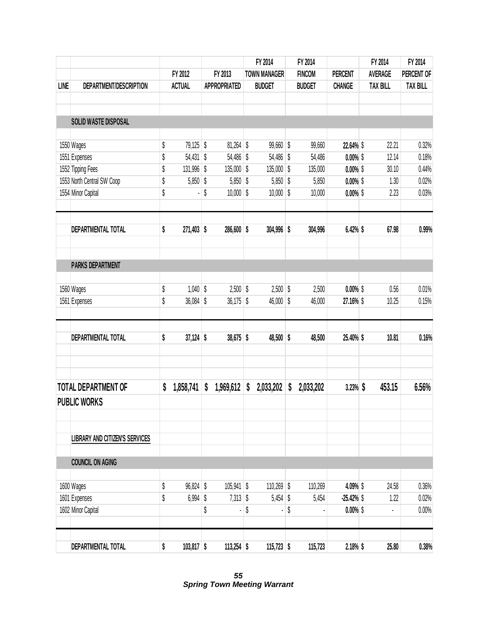|      |                                       |                    |                   | FY 2014             | FY 2014         |                | FY 2014         | FY 2014         |
|------|---------------------------------------|--------------------|-------------------|---------------------|-----------------|----------------|-----------------|-----------------|
|      |                                       | FY 2012            | FY 2013           | <b>TOWN MANAGER</b> | <b>FINCOM</b>   | <b>PERCENT</b> | <b>AVERAGE</b>  | PERCENT OF      |
| LINE | DEPARTMENT/DESCRIPTION                | <b>ACTUAL</b>      | APPROPRIATED      | <b>BUDGET</b>       | <b>BUDGET</b>   | <b>CHANGE</b>  | <b>TAX BILL</b> | <b>TAX BILL</b> |
|      |                                       |                    |                   |                     |                 |                |                 |                 |
|      | <b>SOLID WASTE DISPOSAL</b>           |                    |                   |                     |                 |                |                 |                 |
|      | 1550 Wages                            | \$<br>79,125 \$    | 81,264            | \$<br>$99,660$ \$   | 99,660          | 22.64% \$      | 22.21           | 0.32%           |
|      | 1551 Expenses                         | \$<br>54,431 \$    | 54,486            | \$<br>54,486 \$     | 54,486          | $0.00\%$ \$    | 12.14           | 0.18%           |
|      | 1552 Tipping Fees                     | \$<br>131,996 \$   | $135,000$ \$      | 135,000 \$          | 135,000         | $0.00\%$ \$    | 30.10           | 0.44%           |
|      | 1553 North Central SW Coop            | \$<br>5,850 \$     | 5,850             | \$<br>$5,850$ \$    | 5,850           | $0.00\%$ \$    | 1.30            | 0.02%           |
|      | 1554 Minor Capital                    | \$                 | \$<br>$10,000$ \$ | $10,000$ \$         | 10,000          | $0.00\%$ \$    | 2.23            | 0.03%           |
|      | <b>DEPARTMENTAL TOTAL</b>             | \$<br>271,403 \$   | 286,600 \$        | $304,996$ \$        | 304,996         | 6.42% \$       | 67.98           | 0.99%           |
|      |                                       |                    |                   |                     |                 |                |                 |                 |
|      | <b>PARKS DEPARTMENT</b>               |                    |                   |                     |                 |                |                 |                 |
|      | 1560 Wages                            | \$<br>$1,040$ \$   | 2,500             | \$<br>$2,500$ \$    | 2,500           | $0.00\%$ \$    | 0.56            | 0.01%           |
|      | 1561 Expenses                         | \$<br>36,084 \$    | 36,175            | \$<br>46,000        | \$<br>46,000    | 27.16% \$      | 10.25           | 0.15%           |
|      | DEPARTMENTAL TOTAL                    | \$<br>$37,124$ \$  | $38,675$ \$       | $48,500$ \$         | 48,500          | 25.40% \$      | 10.81           | 0.16%           |
|      | <b>TOTAL DEPARTMENT OF</b>            | \$<br>1,858,741    | \$<br>1,969,612   | \$<br>2,033,202     | \$<br>2,033,202 | $3.23\%$ \$    | 453.15          | 6.56%           |
|      | <b>PUBLIC WORKS</b>                   |                    |                   |                     |                 |                |                 |                 |
|      | <b>LIBRARY AND CITIZEN'S SERVICES</b> |                    |                   |                     |                 |                |                 |                 |
|      | <b>COUNCIL ON AGING</b>               |                    |                   |                     |                 |                |                 |                 |
|      | 1600 Wages                            | \$<br>96,824 \$    | $105,941$ \$      | 110,269 \$          | 110,269         | 4.09% \$       | 24.58           | 0.36%           |
|      | 1601 Expenses                         | \$<br>$6,994$ \$   | $7,313$ \$        | $5,454$ \$          | 5,454           | $-25.42\%$ \$  | 1.22            | 0.02%           |
|      | 1602 Minor Capital                    |                    | \$                | \$                  | \$              | $0.00\%$ \$    | ۰               | 0.00%           |
|      | DEPARTMENTAL TOTAL                    | \$<br>$103,817$ \$ | $113,254$ \$      | $115,723$ \$        | 115,723         | 2.18% \$       | 25.80           | 0.38%           |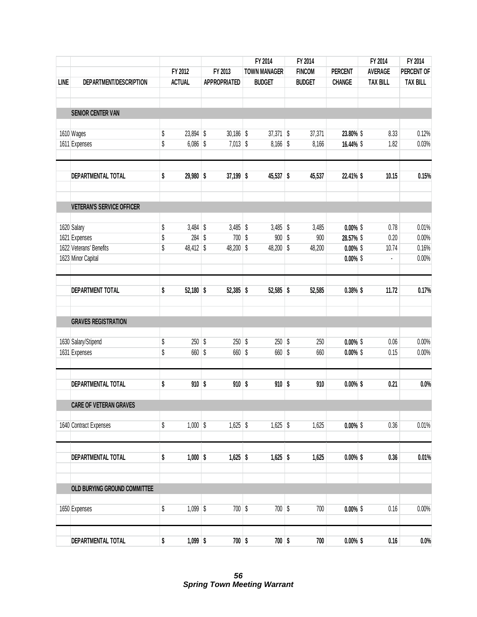|             |                                  |                   |                     | FY 2014             | FY 2014       |                | FY 2014         | FY 2014         |
|-------------|----------------------------------|-------------------|---------------------|---------------------|---------------|----------------|-----------------|-----------------|
|             |                                  | FY 2012           | FY 2013             | <b>TOWN MANAGER</b> | <b>FINCOM</b> | <b>PERCENT</b> | <b>AVERAGE</b>  | PERCENT OF      |
| <b>LINE</b> | DEPARTMENT/DESCRIPTION           | <b>ACTUAL</b>     | <b>APPROPRIATED</b> | <b>BUDGET</b>       | <b>BUDGET</b> | <b>CHANGE</b>  | <b>TAX BILL</b> | <b>TAX BILL</b> |
|             | <b>SENIOR CENTER VAN</b>         |                   |                     |                     |               |                |                 |                 |
|             |                                  |                   |                     |                     |               |                |                 |                 |
|             | 1610 Wages                       | \$<br>23,894 \$   | $30,186$ \$         | $37,371$ \$         | 37,371        | 23.80% \$      | 8.33            | 0.12%           |
|             | 1611 Expenses                    | \$<br>$6,086$ \$  | $7,013$ \$          | $8,166$ \$          | 8,166         | 16.44% \$      | 1.82            | 0.03%           |
|             | DEPARTMENTAL TOTAL               | \$<br>29,980 \$   | $37,199$ \$         | 45,537 \$           | 45,537        | 22.41% \$      | 10.15           | 0.15%           |
|             | <b>VETERAN'S SERVICE OFFICER</b> |                   |                     |                     |               |                |                 |                 |
|             | 1620 Salary                      | \$<br>$3,484$ \$  | $3,485$ \$          | $3,485$ \$          | 3,485         | $0.00\%$ \$    | 0.78            | 0.01%           |
|             | 1621 Expenses                    | \$<br>284S        | 700S                | $900$ \$            | 900           | 28.57% \$      | 0.20            | 0.00%           |
|             | 1622 Veterans' Benefits          | \$<br>48,412 \$   | 48,200 \$           | 48,200 \$           | 48,200        | $0.00\%$ \$    | 10.74           | 0.16%           |
|             | 1623 Minor Capital               |                   |                     |                     |               | $0.00\%$ \$    | ł,              | 0.00%           |
|             | <b>DEPARTMENT TOTAL</b>          | \$<br>$52,180$ \$ | 52,385 \$           | 52,585 \$           | 52,585        | $0.38\%$ \$    | 11.72           | 0.17%           |
|             | <b>GRAVES REGISTRATION</b>       |                   |                     |                     |               |                |                 |                 |
|             |                                  |                   |                     |                     |               |                |                 |                 |
|             | 1630 Salary/Stipend              | \$<br>$250$ \$    | $250$ \$            | $250$ \$            | 250           | $0.00\%$ \$    | 0.06            | 0.00%           |
|             | 1631 Expenses                    | \$<br>660 \$      | 660 \$              | 660 \$              | 660           | $0.00\%$ \$    | 0.15            | 0.00%           |
|             | DEPARTMENTAL TOTAL               | \$<br>$910$ \$    | $910$ \$            | $910$ \$            | 910           | $0.00\%$ \$    | 0.21            | 0.0%            |
|             | <b>CARE OF VETERAN GRAVES</b>    |                   |                     |                     |               |                |                 |                 |
|             | 1640 Contract Expenses           | \$<br>$1,000$ \$  | $1,625$ \$          | $1,625$ \$          | 1,625         | $0.00\%$ \$    | 0.36            | 0.01%           |
|             | DEPARTMENTAL TOTAL               | \$<br>$1,000$ \$  | $1,625$ \$          | $1,625$ \$          | 1,625         | $0.00\%$ \$    | 0.36            | 0.01%           |
|             |                                  |                   |                     |                     |               |                |                 |                 |
|             | OLD BURYING GROUND COMMITTEE     |                   |                     |                     |               |                |                 |                 |
|             | 1650 Expenses                    | \$<br>$1,099$ \$  | $700$ \$            | 700 \$              | 700           | $0.00\%$ \$    | 0.16            | $0.00\%$        |
|             | DEPARTMENTAL TOTAL               | \$<br>$1,099$ \$  | $700$ \$            | $700$ \$            | 700           | $0.00\%$ \$    | 0.16            | 0.0%            |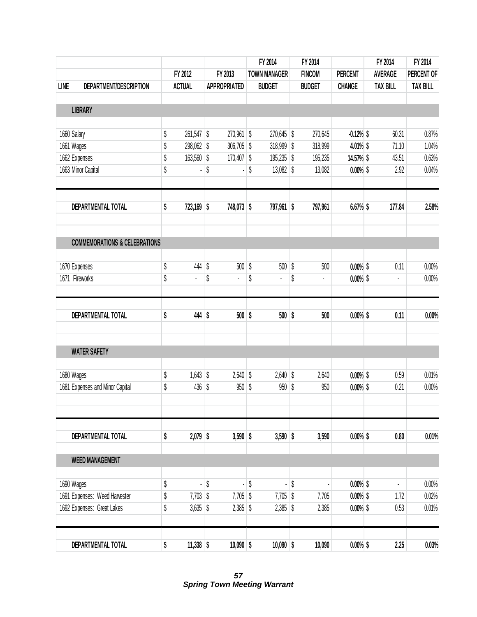|             |                                          |                    |                           |                     | FY 2014             | FY 2014       |                | FY 2014         | FY 2014         |
|-------------|------------------------------------------|--------------------|---------------------------|---------------------|---------------------|---------------|----------------|-----------------|-----------------|
|             |                                          | FY 2012            |                           | FY 2013             | <b>TOWN MANAGER</b> | <b>FINCOM</b> | <b>PERCENT</b> | <b>AVERAGE</b>  | PERCENT OF      |
| <b>LINE</b> | DEPARTMENT/DESCRIPTION                   | <b>ACTUAL</b>      |                           | <b>APPROPRIATED</b> | <b>BUDGET</b>       | <b>BUDGET</b> | <b>CHANGE</b>  | <b>TAX BILL</b> | <b>TAX BILL</b> |
|             |                                          |                    |                           |                     |                     |               |                |                 |                 |
|             | <b>LIBRARY</b>                           |                    |                           |                     |                     |               |                |                 |                 |
|             | 1660 Salary                              | \$<br>$261,547$ \$ |                           | 270,961 \$          | 270,645 \$          | 270,645       | $-0.12%$       | 60.31           | 0.87%           |
|             | 1661 Wages                               | \$<br>298,062 \$   |                           | $306,705$ \$        | 318,999 \$          | 318,999       | 4.01% \$       | 71.10           | 1.04%           |
|             | 1662 Expenses                            | \$<br>163,560 \$   |                           | $170,407$ \$        | 195,235 \$          | 195,235       | 14.57% \$      | 43.51           | 0.63%           |
|             | 1663 Minor Capital                       | \$                 | \$                        |                     | \$<br>$13,082$ \$   | 13,082        | $0.00\%$ \$    | 2.92            | 0.04%           |
|             | DEPARTMENTAL TOTAL                       | \$<br>723,169 \$   |                           | 748,073 \$          | 797,961 \$          | 797,961       | $6.67%$ \$     | 177.84          | 2.58%           |
|             | <b>COMMEMORATIONS &amp; CELEBRATIONS</b> |                    |                           |                     |                     |               |                |                 |                 |
|             |                                          |                    |                           |                     |                     |               |                |                 |                 |
|             | 1670 Expenses                            | \$<br>444          | $\boldsymbol{\mathsf{S}}$ | $500$ \$            | 500                 | \$<br>500     | $0.00\%$ \$    | 0.11            | 0.00%           |
|             | 1671 Fireworks                           | \$<br>ä,           | \$                        | l,                  | \$<br>ä,            | \$<br>¥,      | $0.00\%$ \$    | $\blacksquare$  | 0.00%           |
|             | DEPARTMENTAL TOTAL                       | \$<br>$444$ \$     |                           | $500$ \$            | $500$ \$            | 500           | $0.00\%$ \$    | 0.11            | 0.00%           |
|             | <b>WATER SAFETY</b>                      |                    |                           |                     |                     |               |                |                 |                 |
|             |                                          |                    |                           |                     |                     |               |                |                 |                 |
|             | 1680 Wages                               | \$<br>$1,643$ \$   |                           | $2,640$ \$          | $2,640$ \$          | 2,640         | $0.00\%$ \$    | 0.59            | 0.01%           |
|             | 1681 Expenses and Minor Capital          | \$<br>436          | S                         | $950  $ \$          | 950                 | \$<br>950     | $0.00\%$ \$    | 0.21            | 0.00%           |
|             |                                          |                    |                           |                     |                     |               |                |                 |                 |
|             | DEPARTMENTAL TOTAL                       | \$<br>$2,079$ \$   |                           | $3,590$ \$          | $3,590$ \$          | 3,590         | $0.00\%$ \$    | 0.80            | 0.01%           |
|             | <b>WEED MANAGEMENT</b>                   |                    |                           |                     |                     |               |                |                 |                 |
|             | 1690 Wages                               | \$                 | \$                        | ä,                  | \$                  | \$            | $0.00\%$ \$    | $\blacksquare$  | 0.00%           |
|             | 1691 Expenses: Weed Harvester            | \$<br>$7,703$ \$   |                           | $7,705$ \$          | $7,705$ \$          | 7,705         | $0.00\%$ \$    | 1.72            | 0.02%           |
|             | 1692 Expenses: Great Lakes               | \$<br>$3,635$ \$   |                           | $2,385$ \$          | $2,385$ \$          | 2,385         | $0.00\%$ \$    | 0.53            | 0.01%           |
|             | DEPARTMENTAL TOTAL                       | \$<br>$11,338$ \$  |                           | $10,090$ \$         | $10,090$ \$         | 10,090        | $0.00\%$ \$    | 2.25            | 0.03%           |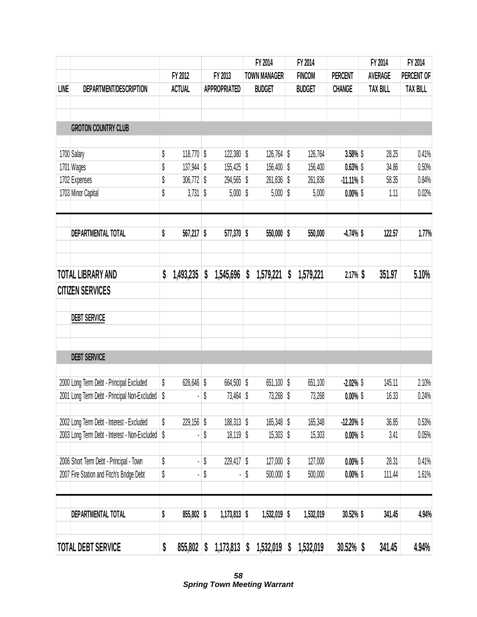|      |                                               |                    |                           |                     |    | FY 2014             | FY 2014         |                | FY 2014         | FY 2014         |
|------|-----------------------------------------------|--------------------|---------------------------|---------------------|----|---------------------|-----------------|----------------|-----------------|-----------------|
|      |                                               | FY 2012            |                           | FY 2013             |    | <b>TOWN MANAGER</b> | <b>FINCOM</b>   | <b>PERCENT</b> | <b>AVERAGE</b>  | PERCENT OF      |
| LINE | DEPARTMENT/DESCRIPTION                        | <b>ACTUAL</b>      |                           | <b>APPROPRIATED</b> |    | <b>BUDGET</b>       | <b>BUDGET</b>   | <b>CHANGE</b>  | <b>TAX BILL</b> | <b>TAX BILL</b> |
|      |                                               |                    |                           |                     |    |                     |                 |                |                 |                 |
|      | <b>GROTON COUNTRY CLUB</b>                    |                    |                           |                     |    |                     |                 |                |                 |                 |
|      | 1700 Salary                                   | \$<br>$118,770$ \$ |                           | 122,380 \$          |    | 126,764 \$          | 126,764         | $3.58%$ \$     | 28.25           | 0.41%           |
|      | 1701 Wages                                    | \$<br>137,944 \$   |                           | 155,425 \$          |    | 156,400 \$          | 156,400         | $0.63%$ \$     | 34.86           | 0.50%           |
|      | 1702 Expenses                                 | \$<br>306,772 \$   |                           | 294,565 \$          |    | 261,836 \$          | 261,836         | $-11.11\%$ \$  | 58.35           | 0.84%           |
|      | 1703 Minor Capital                            | \$<br>$3,731$ \$   |                           | $5,000$ \$          |    | $5,000$ \$          | 5,000           | $0.00\%$ \$    | 1.11            | 0.02%           |
|      | DEPARTMENTAL TOTAL                            | \$<br>567,217 \$   |                           | 577,370 \$          |    | $550,000$ \$        | 550,000         | $-4.74%$ \$    | 122.57          | 1.77%           |
|      |                                               |                    |                           |                     |    |                     |                 |                |                 |                 |
|      | <b>TOTAL LIBRARY AND</b>                      | \$<br>1,493,235    | S                         | 1,545,696           | S  | 1,579,221           | \$<br>1,579,221 | 2.17%          | 351.97          | 5.10%           |
|      | <b>CITIZEN SERVICES</b>                       |                    |                           |                     |    |                     |                 |                |                 |                 |
|      | <b>DEBT SERVICE</b>                           |                    |                           |                     |    |                     |                 |                |                 |                 |
|      | <b>DEBT SERVICE</b>                           |                    |                           |                     |    |                     |                 |                |                 |                 |
|      | 2000 Long Term Debt - Principal Excluded      | \$<br>626,646 \$   |                           | 664,500 \$          |    | 651,100 \$          | 651,100         | $-2.02%$       | 145.11          | 2.10%           |
|      | 2001 Long Term Debt - Principal Non-Excluded  | \$                 | \$                        | $73,464$ \$         |    | $73,268$ \$         | 73,268          | $0.00\%$ \$    | 16.33           | 0.24%           |
|      | 2002 Long Term Debt - Interest - Excluded     | \$<br>229,156 \$   |                           | $188,313$ \$        |    | 165,348 \$          | 165,348         | $-12.20\%$ \$  | 36.85           | 0.53%           |
|      | 2003 Long Term Debt - Interest - Non-Excluded | \$                 | \$                        | $18,119$ \$         |    | $15,303$ \$         | 15,303          | $0.00\%$ \$    | 3.41            | 0.05%           |
|      | 2006 Short Term Debt - Principal - Town       | \$                 | \$                        | 229,417 \$          |    | $127,000$ \$        | 127,000         | $0.00\%$ \$    | 28.31           | 0.41%           |
|      | 2007 Fire Station and Fitch's Bridge Debt     | \$                 | \$                        |                     | \$ | $500,000$ \$        | 500,000         | $0.00\%$ \$    | 111.44          | 1.61%           |
|      | DEPARTMENTAL TOTAL                            | \$<br>$855,802$ \$ |                           | $1,173,813$ \$      |    | $1,532,019$ \$      | 1,532,019       | 30.52% \$      | 341.45          | 4.94%           |
|      | <b>TOTAL DEBT SERVICE</b>                     | \$<br>855,802      | $\boldsymbol{\mathsf{S}}$ | 1,173,813           | \$ | 1,532,019           | \$<br>1,532,019 | $30.52\%$ \$   | 341.45          | 4.94%           |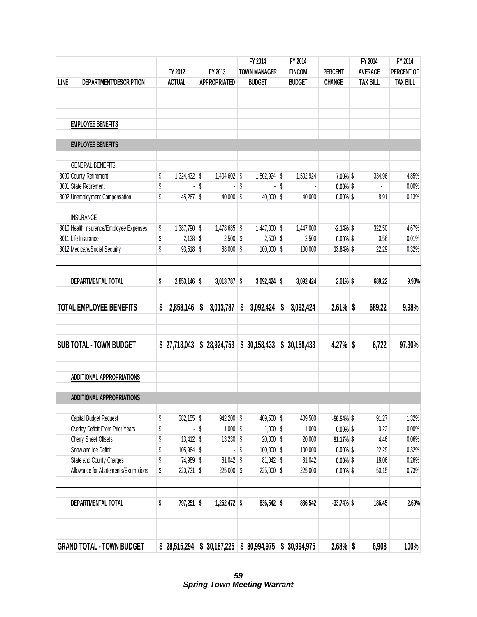|             |                                         |                              |                     | FY 2014             | FY 2014         |                | FY 2014         | FY 2014         |
|-------------|-----------------------------------------|------------------------------|---------------------|---------------------|-----------------|----------------|-----------------|-----------------|
|             |                                         | FY 2012                      | FY 2013             | <b>TOWN MANAGER</b> | <b>FINCOM</b>   | <b>PERCENT</b> | <b>AVERAGE</b>  | PERCENT OF      |
| <b>LINE</b> | DEPARTMENT/DESCRIPTION                  | <b>ACTUAL</b>                | <b>APPROPRIATED</b> | <b>BUDGET</b>       | <b>BUDGET</b>   | <b>CHANGE</b>  | <b>TAX BILL</b> | <b>TAX BILL</b> |
|             |                                         |                              |                     |                     |                 |                |                 |                 |
|             | <b>EMPLOYEE BENEFITS</b>                |                              |                     |                     |                 |                |                 |                 |
|             | <b>EMPLOYEE BENEFITS</b>                |                              |                     |                     |                 |                |                 |                 |
|             | <b>GENERAL BENEFITS</b>                 |                              |                     |                     |                 |                |                 |                 |
|             | 3000 County Retirement                  | \$<br>1,324,432 \$           | 1,404,602 \$        | 1,502,924 \$        | 1,502,924       | 7.00% \$       | 334.96          | 4.85%           |
|             | 3001 State Retirement                   | \$                           | \$                  | \$                  | \$              | $0.00\%$ \$    |                 | 0.00%           |
|             | 3002 Unemployment Compensation          | \$<br>45,267 \$              | $40,000$ \$         | $40,000$ \$         | 40,000          | $0.00\%$ \$    | 8.91            | 0.13%           |
|             | <b>INSURANCE</b>                        |                              |                     |                     |                 |                |                 |                 |
|             | 3010 Health Insurance/Employee Expenses | \$<br>1,387,790 \$           | $1,478,685$ \$      | $1,447,000$ \$      | 1,447,000       | $-2.14%$ \$    | 322.50          | 4.67%           |
|             | 3011 Life Insurance                     | \$<br>$2,138$ \$             | $2,500$ \$          | $2,500$ \$          | 2,500           | $0.00\%$ \$    | 0.56            | 0.01%           |
|             | 3012 Medicare/Social Security           | \$<br>$93,518$ \$            | 88,000 \$           | $100,000$ \$        | 100,000         | 13.64% \$      | 22.29           | 0.32%           |
|             | DEPARTMENTAL TOTAL                      | \$<br>2,853,146 \$           | $3,013,787$ \$      | $3,092,424$ \$      | 3,092,424       | $2.61\%$ \$    | 689.22          | 9.98%           |
|             | <b>TOTAL EMPLOYEE BENEFITS</b>          | \$<br>2,853,146              | \$<br>3,013,787     | \$<br>3,092,424     | \$<br>3,092,424 | 2.61%          | \$<br>689.22    | 9.98%           |
|             |                                         |                              |                     |                     |                 |                |                 |                 |
|             | <b>SUB TOTAL - TOWN BUDGET</b>          | \$27,718,043                 | \$28,924,753        | \$30,158,433        | \$30,158,433    | 4.27%          | \$<br>6,722     | 97.30%          |
|             | <b>ADDITIONAL APPROPRIATIONS</b>        |                              |                     |                     |                 |                |                 |                 |
|             | <b>ADDITIONAL APPROPRIATIONS</b>        |                              |                     |                     |                 |                |                 |                 |
|             | Capital Budget Request                  | \$<br>$382,155$ \$           | $942,200$ \$        | 409,500 \$          | 409,500         | $-56.54\%$ \$  | 91.27           | 1.32%           |
|             | Overlay Deficit From Prior Years        | \$                           | \$<br>$1,000$ \$    | $1,000$ \$          | 1,000           | $0.00\%$ \$    | 0.22            | 0.00%           |
|             | Cherry Sheet Offsets                    | \$<br>$13,412$ \$            | $13,230$ \$         | $20,000$ \$         | 20,000          | 51.17% \$      | 4.46            | 0.06%           |
|             | Snow and Ice Deficit                    | \$<br>105,964 \$             |                     | \$<br>$100,000$ \$  | 100,000         | $0.00\%$ \$    | 22.29           | 0.32%           |
|             | State and County Charges                | \$<br>74,989 \$              | $81,042$ \$         | 81,042 \$           | 81,042          | $0.00\%$ \$    | 18.06           | 0.26%           |
|             | Allowance for Abatements/Exemptions     | \$<br>$220,731$ \$           | $225,000$ \$        | 225,000 \$          | 225,000         | $0.00\%$ \$    | 50.15           | 0.73%           |
|             | <b>DEPARTMENTAL TOTAL</b>               | \$<br>797,251 \$             | 1,262,472 \$        | 836,542 \$          | 836,542         | $-33.74%$ \$   | 186.45          | 2.69%           |
|             |                                         |                              |                     |                     |                 |                |                 |                 |
|             | <b>GRAND TOTAL - TOWN BUDGET</b>        | $$28,515,294 \; $30,187,225$ |                     | \$30,994,975        | \$30,994,975    | $2.68\%$ \$    | 6,908           | 100%            |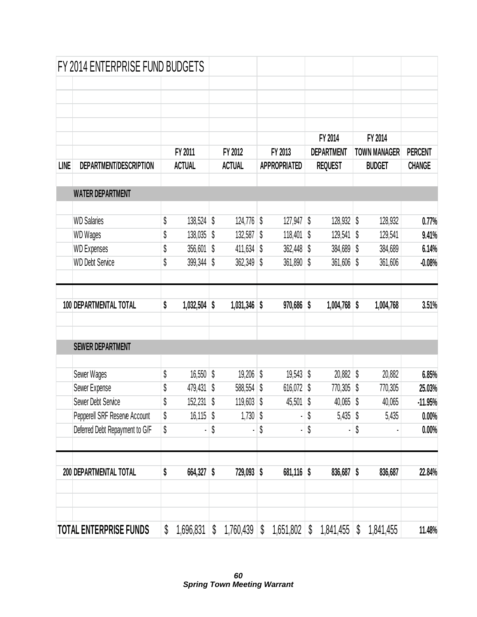|             | FY 2014 ENTERPRISE FUND BUDGETS |                      |                         |               |                     |    |                   |                     |                |
|-------------|---------------------------------|----------------------|-------------------------|---------------|---------------------|----|-------------------|---------------------|----------------|
|             |                                 |                      |                         |               |                     |    |                   |                     |                |
|             |                                 |                      |                         |               |                     |    |                   |                     |                |
|             |                                 |                      |                         |               |                     |    |                   |                     |                |
|             |                                 |                      |                         |               |                     |    | FY 2014           | FY 2014             |                |
|             |                                 | FY 2011              |                         | FY 2012       | FY 2013             |    | <b>DEPARTMENT</b> | <b>TOWN MANAGER</b> | <b>PERCENT</b> |
| <b>LINE</b> | DEPARTMENT/DESCRIPTION          | <b>ACTUAL</b>        |                         | <b>ACTUAL</b> | <b>APPROPRIATED</b> |    | <b>REQUEST</b>    | <b>BUDGET</b>       | <b>CHANGE</b>  |
|             | <b>WATER DEPARTMENT</b>         |                      |                         |               |                     |    |                   |                     |                |
|             |                                 |                      |                         |               |                     |    |                   |                     |                |
|             | <b>WD Salaries</b>              | \$<br>138,524 \$     |                         | 124,776       | \$<br>127,947       | \$ | $128,932$ \$      | 128,932             | 0.77%          |
|             | <b>WD Wages</b>                 | \$<br>138,035 \$     |                         | 132,587       | \$<br>118,401       | \$ | 129,541           | \$<br>129,541       | 9.41%          |
|             | <b>WD Expenses</b>              | \$<br>$356,601$ \$   |                         | 411,634       | \$<br>362,448       | 8  | $384,689$ \$      | 384,689             | 6.14%          |
|             | <b>WD Debt Service</b>          | \$<br>399,344        | \$                      | 362,349       | \$<br>361,890       | \$ | 361,606           | \$<br>361,606       | $-0.08%$       |
|             | 100 DEPARTMENTAL TOTAL          | \$<br>$1,032,504$ \$ |                         | 1,031,346     | \$<br>$970,686$ \$  |    | $1,004,768$ \$    | 1,004,768           | 3.51%          |
|             | <b>SEWER DEPARTMENT</b>         |                      |                         |               |                     |    |                   |                     |                |
|             | Sewer Wages                     | \$<br>$16,550$ \$    |                         | 19,206        | \$<br>$19,543$ \$   |    | $20,882$ \$       | 20,882              | 6.85%          |
|             | Sewer Expense                   | \$<br>479,431        | $\sqrt[6]{\frac{1}{2}}$ | 588,554       | \$<br>616,072       | S  | $770,305$ \$      | 770,305             | 25.03%         |
|             | Sewer Debt Service              | \$<br>152,231 \$     |                         | $119,603$ \$  | 45,501              | \$ | $40,065$ \$       | 40,065              | $-11.95%$      |
|             | Pepperell SRF Reserve Account   | \$<br>$16,115$ \$    |                         | $1,730$ \$    |                     | \$ | $5,435$ \$        | 5,435               | 0.00%          |
|             | Deferred Debt Repayment to G/F  | \$                   | \$                      |               | \$                  | \$ |                   | \$                  | 0.00%          |
|             | 200 DEPARTMENTAL TOTAL          | \$<br>664,327 \$     |                         | $729,093$ \$  | $681,116$ \$        |    | $836,687$ \$      | 836,687             | 22.84%         |
|             |                                 |                      |                         |               |                     |    |                   |                     |                |
|             | <b>TOTAL ENTERPRISE FUNDS</b>   | \$<br>1,696,831      | \$                      | 1,760,439     | \$<br>1,651,802     | \$ | 1,841,455         | \$<br>1,841,455     | 11.48%         |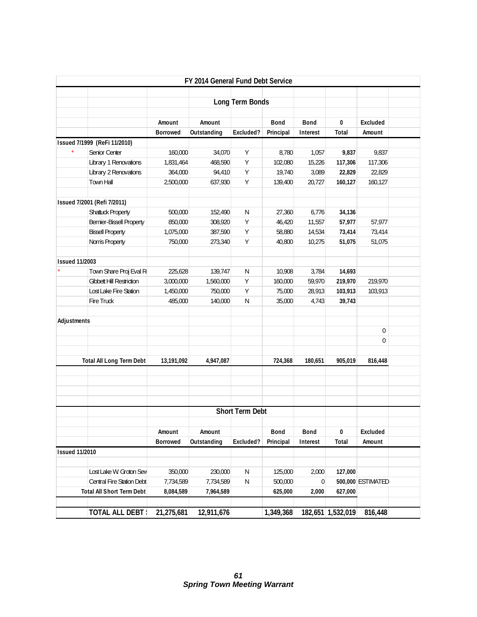|                       |                                  |                 | FY 2014 General Fund Debt Service |                        |           |             |                   |                   |  |
|-----------------------|----------------------------------|-----------------|-----------------------------------|------------------------|-----------|-------------|-------------------|-------------------|--|
|                       |                                  |                 |                                   |                        |           |             |                   |                   |  |
|                       |                                  |                 |                                   | Long Term Bonds        |           |             |                   |                   |  |
|                       |                                  | Amount          | Amount                            |                        | Bond      | <b>Bond</b> | 0                 | Excluded          |  |
|                       |                                  | <b>Borrowed</b> | Outstanding                       | Excluded?              | Principal | Interest    | Total             | Amount            |  |
|                       | Issued 7/1999 (ReFi 11/2010)     |                 |                                   |                        |           |             |                   |                   |  |
|                       | Senior Center                    | 160,000         | 34,070                            | Υ                      | 8,780     | 1,057       | 9,837             | 9,837             |  |
|                       | Library 1 Renovations            | 1,831,464       | 468,590                           | Υ                      | 102,080   | 15,226      | 117,306           | 117,306           |  |
|                       | Library 2 Renovations            | 364,000         | 94,410                            | Υ                      | 19,740    | 3,089       | 22,829            | 22,829            |  |
|                       | Town Hall                        | 2,500,000       | 637,930                           | Υ                      | 139,400   | 20,727      | 160,127           | 160,127           |  |
|                       |                                  |                 |                                   |                        |           |             |                   |                   |  |
|                       | Issued 7/2001 (Refi 7/2011)      |                 |                                   |                        |           |             |                   |                   |  |
|                       | Shattuck Property                | 500,000         | 152,490                           | N                      | 27,360    | 6,776       | 34,136            |                   |  |
|                       | Bernier-Bissell Property         | 850,000         | 308,920                           | Y                      | 46,420    | 11,557      | 57,977            | 57,977            |  |
|                       | <b>Bissell Property</b>          | 1,075,000       | 387,590                           | Υ                      | 58,880    | 14,534      | 73,414            | 73,414            |  |
|                       | Norris Property                  | 750,000         | 273,340                           | Υ                      | 40,800    | 10,275      | 51,075            | 51,075            |  |
|                       |                                  |                 |                                   |                        |           |             |                   |                   |  |
| <b>Issued 11/2003</b> |                                  |                 |                                   |                        |           |             |                   |                   |  |
|                       | Town Share Proj Eval R           | 225,628         | 139,747                           | N                      | 10,908    | 3,784       | 14,693            |                   |  |
|                       | <b>Gibbett Hill Restriction</b>  | 3,000,000       | 1,560,000                         | Y                      | 160,000   | 59,970      | 219,970           | 219,970           |  |
|                       | Lost Lake Fire Station           | 1,450,000       | 750,000                           | Υ                      | 75,000    | 28,913      | 103,913           | 103,913           |  |
|                       | Fire Truck                       | 485,000         | 140,000                           | ${\sf N}$              | 35,000    | 4,743       | 39,743            |                   |  |
|                       |                                  |                 |                                   |                        |           |             |                   |                   |  |
| Adjustments           |                                  |                 |                                   |                        |           |             |                   |                   |  |
|                       |                                  |                 |                                   |                        |           |             |                   | 0                 |  |
|                       |                                  |                 |                                   |                        |           |             |                   | 0                 |  |
|                       |                                  |                 |                                   |                        |           |             |                   |                   |  |
|                       | <b>Total All Long Term Debt</b>  | 13,191,092      | 4,947,087                         |                        | 724,368   | 180,651     | 905,019           | 816,448           |  |
|                       |                                  |                 |                                   |                        |           |             |                   |                   |  |
|                       |                                  |                 |                                   |                        |           |             |                   |                   |  |
|                       |                                  |                 |                                   |                        |           |             |                   |                   |  |
|                       |                                  |                 |                                   |                        |           |             |                   |                   |  |
|                       |                                  |                 |                                   | <b>Short Term Debt</b> |           |             |                   |                   |  |
|                       |                                  |                 |                                   |                        |           |             |                   |                   |  |
|                       |                                  | Amount          | Amount                            |                        | Bond      | Bond        | 0                 | Excluded          |  |
|                       |                                  | <b>Borrowed</b> | Outstanding                       | Excluded?              | Principal | Interest    | Total             | Amount            |  |
| <b>Issued 11/2010</b> |                                  |                 |                                   |                        |           |             |                   |                   |  |
|                       |                                  |                 |                                   |                        |           |             |                   |                   |  |
|                       | Lost Lake W. Groton Sew          | 350,000         | 230,000                           | N                      | 125,000   | 2,000       | 127,000           |                   |  |
|                       | Central Fire Station Debt        | 7,734,589       | 7,734,589                         | N                      | 500,000   | 0           |                   | 500,000 ESTIMATED |  |
|                       | <b>Total All Short Term Debt</b> | 8,084,589       | 7,964,589                         |                        | 625,000   | 2,000       | 627,000           |                   |  |
|                       |                                  |                 |                                   |                        |           |             |                   |                   |  |
|                       | <b>TOTAL ALL DEBT!</b>           | 21,275,681      | 12,911,676                        |                        | 1,349,368 |             | 182,651 1,532,019 | 816,448           |  |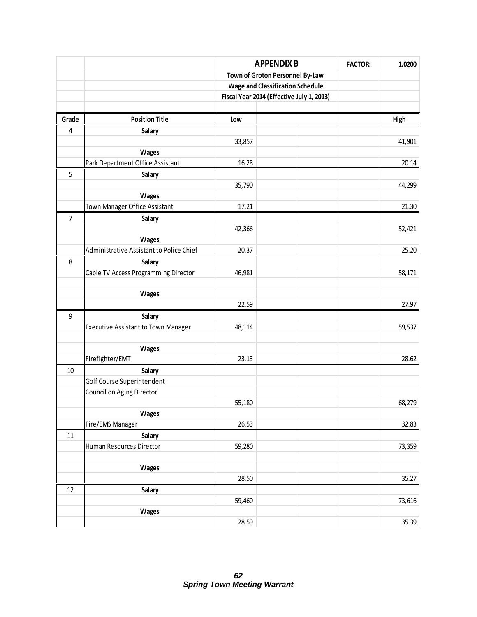|                  |                                          | <b>APPENDIX B</b>                         |  | <b>FACTOR:</b> | 1.0200 |  |
|------------------|------------------------------------------|-------------------------------------------|--|----------------|--------|--|
|                  |                                          | Town of Groton Personnel By-Law           |  |                |        |  |
|                  |                                          | <b>Wage and Classification Schedule</b>   |  |                |        |  |
|                  |                                          | Fiscal Year 2014 (Effective July 1, 2013) |  |                |        |  |
|                  |                                          |                                           |  |                |        |  |
| Grade            | <b>Position Title</b>                    | Low                                       |  |                | High   |  |
| 4                | Salary                                   |                                           |  |                |        |  |
|                  |                                          | 33,857                                    |  |                | 41,901 |  |
|                  | Wages                                    |                                           |  |                |        |  |
|                  | Park Department Office Assistant         | 16.28                                     |  |                | 20.14  |  |
| 5                | Salary                                   |                                           |  |                |        |  |
|                  |                                          | 35,790                                    |  |                | 44,299 |  |
|                  | Wages                                    |                                           |  |                |        |  |
|                  | Town Manager Office Assistant            | 17.21                                     |  |                | 21.30  |  |
| $\overline{7}$   | Salary                                   |                                           |  |                |        |  |
|                  |                                          | 42,366                                    |  |                | 52,421 |  |
|                  | <b>Wages</b>                             |                                           |  |                |        |  |
|                  | Administrative Assistant to Police Chief | 20.37                                     |  |                | 25.20  |  |
| 8                | Salary                                   |                                           |  |                |        |  |
|                  | Cable TV Access Programming Director     | 46,981                                    |  |                | 58,171 |  |
|                  |                                          |                                           |  |                |        |  |
|                  | Wages                                    |                                           |  |                |        |  |
|                  |                                          | 22.59                                     |  |                | 27.97  |  |
| $\boldsymbol{9}$ | Salary                                   |                                           |  |                |        |  |
|                  | Executive Assistant to Town Manager      | 48,114                                    |  |                | 59,537 |  |
|                  |                                          |                                           |  |                |        |  |
|                  | <b>Wages</b>                             |                                           |  |                |        |  |
|                  | Firefighter/EMT                          | 23.13                                     |  |                | 28.62  |  |
| $10\,$           | Salary                                   |                                           |  |                |        |  |
|                  | Golf Course Superintendent               |                                           |  |                |        |  |
|                  | Council on Aging Director                |                                           |  |                |        |  |
|                  |                                          | 55,180                                    |  |                | 68,279 |  |
|                  | Wages                                    |                                           |  |                |        |  |
|                  | Fire/EMS Manager                         | 26.53                                     |  |                | 32.83  |  |
| $11\,$           | Salary                                   |                                           |  |                |        |  |
|                  | Human Resources Director                 | 59,280                                    |  |                | 73,359 |  |
|                  |                                          |                                           |  |                |        |  |
|                  | Wages                                    |                                           |  |                |        |  |
|                  |                                          | 28.50                                     |  |                | 35.27  |  |
| 12               | Salary                                   |                                           |  |                |        |  |
|                  |                                          | 59,460                                    |  |                | 73,616 |  |
|                  | Wages                                    |                                           |  |                |        |  |
|                  |                                          | 28.59                                     |  |                | 35.39  |  |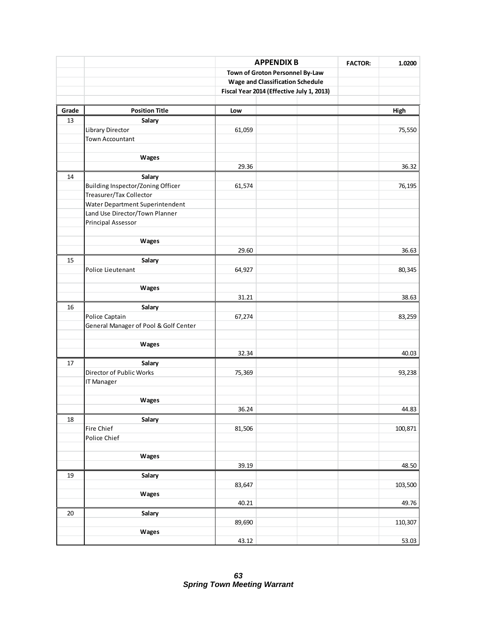|        |                                       | <b>APPENDIX B</b><br>Town of Groton Personnel By-Law |                                           | <b>FACTOR:</b> | 1.0200  |  |
|--------|---------------------------------------|------------------------------------------------------|-------------------------------------------|----------------|---------|--|
|        |                                       |                                                      |                                           |                |         |  |
|        |                                       |                                                      | <b>Wage and Classification Schedule</b>   |                |         |  |
|        |                                       |                                                      |                                           |                |         |  |
|        |                                       |                                                      | Fiscal Year 2014 (Effective July 1, 2013) |                |         |  |
| Grade  | <b>Position Title</b>                 | Low                                                  |                                           |                | High    |  |
| 13     | Salary                                |                                                      |                                           |                |         |  |
|        | Library Director                      | 61,059                                               |                                           |                | 75,550  |  |
|        | Town Accountant                       |                                                      |                                           |                |         |  |
|        |                                       |                                                      |                                           |                |         |  |
|        | Wages                                 |                                                      |                                           |                |         |  |
|        |                                       | 29.36                                                |                                           |                | 36.32   |  |
| 14     | Salary                                |                                                      |                                           |                |         |  |
|        | Building Inspector/Zoning Officer     | 61,574                                               |                                           |                | 76,195  |  |
|        | Treasurer/Tax Collector               |                                                      |                                           |                |         |  |
|        | Water Department Superintendent       |                                                      |                                           |                |         |  |
|        | Land Use Director/Town Planner        |                                                      |                                           |                |         |  |
|        | <b>Principal Assessor</b>             |                                                      |                                           |                |         |  |
|        |                                       |                                                      |                                           |                |         |  |
|        | Wages                                 |                                                      |                                           |                |         |  |
|        |                                       | 29.60                                                |                                           |                | 36.63   |  |
| 15     | Salary                                |                                                      |                                           |                |         |  |
|        | Police Lieutenant                     | 64,927                                               |                                           |                | 80,345  |  |
|        |                                       |                                                      |                                           |                |         |  |
|        | Wages                                 |                                                      |                                           |                |         |  |
|        |                                       | 31.21                                                |                                           |                | 38.63   |  |
| 16     | Salary                                |                                                      |                                           |                |         |  |
|        | Police Captain                        | 67,274                                               |                                           |                | 83,259  |  |
|        | General Manager of Pool & Golf Center |                                                      |                                           |                |         |  |
|        |                                       |                                                      |                                           |                |         |  |
|        | Wages                                 |                                                      |                                           |                |         |  |
|        |                                       | 32.34                                                |                                           |                | 40.03   |  |
| 17     | Salary                                |                                                      |                                           |                |         |  |
|        | Director of Public Works              | 75,369                                               |                                           |                | 93,238  |  |
|        | IT Manager                            |                                                      |                                           |                |         |  |
|        |                                       |                                                      |                                           |                |         |  |
|        | Wages                                 |                                                      |                                           |                |         |  |
|        |                                       | 36.24                                                |                                           |                | 44.83   |  |
| 18     | Salary                                |                                                      |                                           |                |         |  |
|        | Fire Chief                            | 81,506                                               |                                           |                | 100,871 |  |
|        | Police Chief                          |                                                      |                                           |                |         |  |
|        |                                       |                                                      |                                           |                |         |  |
|        | Wages                                 |                                                      |                                           |                |         |  |
|        |                                       | 39.19                                                |                                           |                | 48.50   |  |
| 19     | Salary                                |                                                      |                                           |                |         |  |
|        |                                       | 83,647                                               |                                           |                | 103,500 |  |
|        | Wages                                 |                                                      |                                           |                |         |  |
|        |                                       | 40.21                                                |                                           |                | 49.76   |  |
| $20\,$ | Salary                                |                                                      |                                           |                |         |  |
|        |                                       | 89,690                                               |                                           |                | 110,307 |  |
|        | Wages                                 |                                                      |                                           |                |         |  |
|        |                                       | 43.12                                                |                                           |                | 53.03   |  |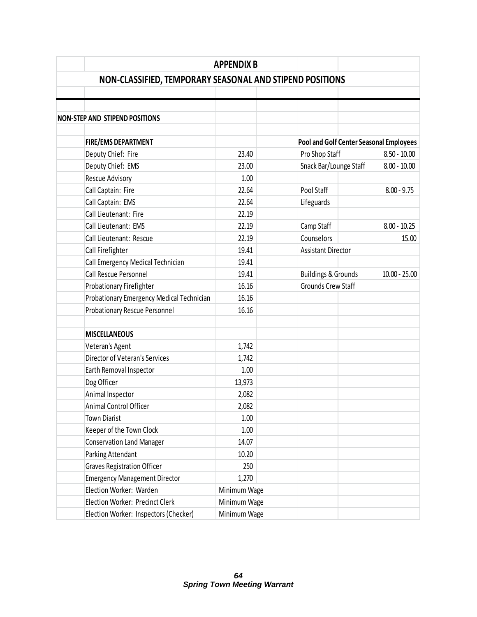|                                                          | <b>APPENDIX B</b> |                                         |                 |
|----------------------------------------------------------|-------------------|-----------------------------------------|-----------------|
| NON-CLASSIFIED, TEMPORARY SEASONAL AND STIPEND POSITIONS |                   |                                         |                 |
|                                                          |                   |                                         |                 |
|                                                          |                   |                                         |                 |
| <b>NON-STEP AND STIPEND POSITIONS</b>                    |                   |                                         |                 |
|                                                          |                   |                                         |                 |
| <b>FIRE/EMS DEPARTMENT</b>                               |                   | Pool and Golf Center Seasonal Employees |                 |
| Deputy Chief: Fire                                       | 23.40             | Pro Shop Staff                          | $8.50 - 10.00$  |
| Deputy Chief: EMS                                        | 23.00             | Snack Bar/Lounge Staff                  | $8.00 - 10.00$  |
| Rescue Advisory                                          | 1.00              |                                         |                 |
| Call Captain: Fire                                       | 22.64             | Pool Staff                              | $8.00 - 9.75$   |
| Call Captain: EMS                                        | 22.64             | Lifeguards                              |                 |
| Call Lieutenant: Fire                                    | 22.19             |                                         |                 |
| Call Lieutenant: EMS                                     | 22.19             | Camp Staff                              | $8.00 - 10.25$  |
| Call Lieutenant: Rescue                                  | 22.19             | Counselors                              | 15.00           |
| Call Firefighter                                         | 19.41             | <b>Assistant Director</b>               |                 |
| Call Emergency Medical Technician                        | 19.41             |                                         |                 |
| Call Rescue Personnel                                    | 19.41             | <b>Buildings &amp; Grounds</b>          | $10.00 - 25.00$ |
| Probationary Firefighter                                 | 16.16             | Grounds Crew Staff                      |                 |
| Probationary Emergency Medical Technician                | 16.16             |                                         |                 |
| <b>Probationary Rescue Personnel</b>                     | 16.16             |                                         |                 |
|                                                          |                   |                                         |                 |
| <b>MISCELLANEOUS</b>                                     |                   |                                         |                 |
| Veteran's Agent                                          | 1,742             |                                         |                 |
| <b>Director of Veteran's Services</b>                    | 1,742             |                                         |                 |
| Earth Removal Inspector                                  | 1.00              |                                         |                 |
| Dog Officer                                              | 13,973            |                                         |                 |
| Animal Inspector                                         | 2,082             |                                         |                 |
| Animal Control Officer                                   | 2,082             |                                         |                 |
| <b>Town Diarist</b>                                      | 1.00              |                                         |                 |
| Keeper of the Town Clock                                 | 1.00              |                                         |                 |
| <b>Conservation Land Manager</b>                         | 14.07             |                                         |                 |
| Parking Attendant                                        | 10.20             |                                         |                 |
| <b>Graves Registration Officer</b>                       | 250               |                                         |                 |
| <b>Emergency Management Director</b>                     | 1,270             |                                         |                 |
| Election Worker: Warden                                  | Minimum Wage      |                                         |                 |
| Election Worker: Precinct Clerk                          | Minimum Wage      |                                         |                 |
| Election Worker: Inspectors (Checker)                    | Minimum Wage      |                                         |                 |